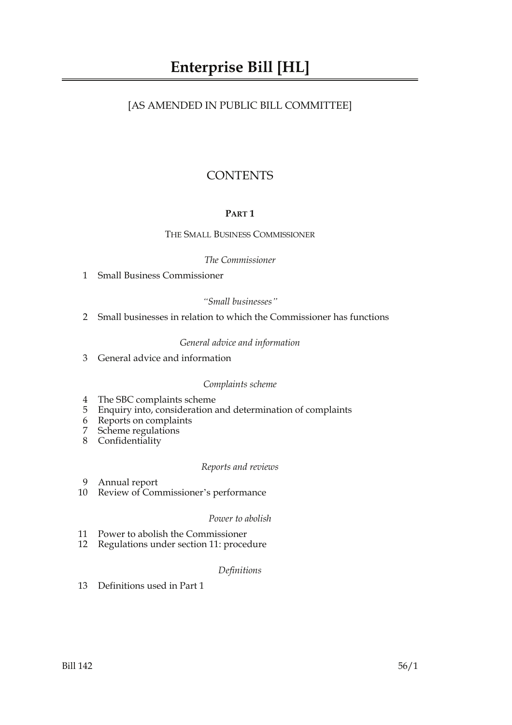## [AS AMENDED IN PUBLIC BILL COMMITTEE]

## **CONTENTS**

## **PART 1**

## THE SMALL BUSINESS COMMISSIONER

## *The Commissioner*

1 Small Business Commissioner

## *"Small businesses"*

2 Small businesses in relation to which the Commissioner has functions

## *General advice and information*

3 General advice and information

## *Complaints scheme*

- 4 The SBC complaints scheme
- 5 Enquiry into, consideration and determination of complaints
- 6 Reports on complaints<br>7 Scheme regulations
- Scheme regulations
- 8 Confidentiality

## *Reports and reviews*

- 9 Annual report
- 10 Review of Commissioner's performance

## *Power to abolish*

- 11 Power to abolish the Commissioner
- 12 Regulations under section 11: procedure

## *Definitions*

13 Definitions used in Part 1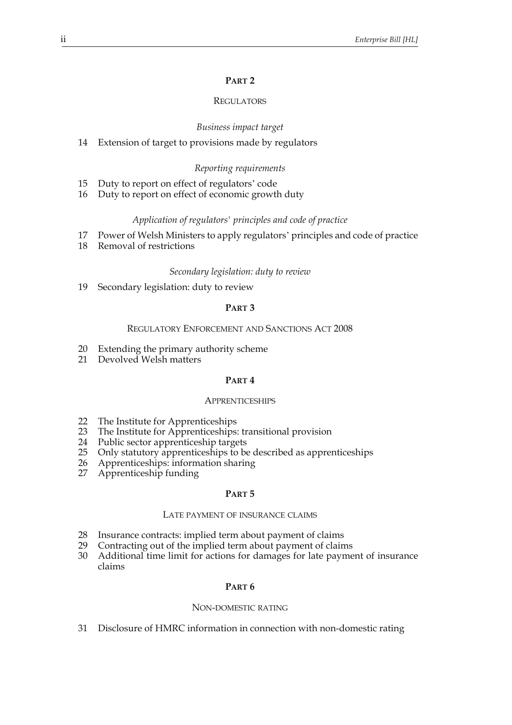## **PART 2**

## **REGULATORS**

## *Business impact target*

14 Extension of target to provisions made by regulators

## *Reporting requirements*

- 15 Duty to report on effect of regulators' code
- 16 Duty to report on effect of economic growth duty

#### *Application of regulators' principles and code of practice*

- 17 Power of Welsh Ministers to apply regulators' principles and code of practice
- 18 Removal of restrictions

#### *Secondary legislation: duty to review*

19 Secondary legislation: duty to review

## **PART 3**

#### REGULATORY ENFORCEMENT AND SANCTIONS ACT 2008

- 20 Extending the primary authority scheme
- 21 Devolved Welsh matters

#### **PART 4**

#### **APPRENTICESHIPS**

- 
- 22 The Institute for Apprenticeships<br>23 The Institute for Apprenticeships The Institute for Apprenticeships: transitional provision
- 24 Public sector apprenticeship targets
- 25 Only statutory apprenticeships to be described as apprenticeships
- 26 Apprenticeships: information sharing
- 27 Apprenticeship funding

## **PART 5**

## LATE PAYMENT OF INSURANCE CLAIMS

- 28 Insurance contracts: implied term about payment of claims
- 29 Contracting out of the implied term about payment of claims
- 30 Additional time limit for actions for damages for late payment of insurance claims

#### **PART 6**

#### NON-DOMESTIC RATING

31 Disclosure of HMRC information in connection with non-domestic rating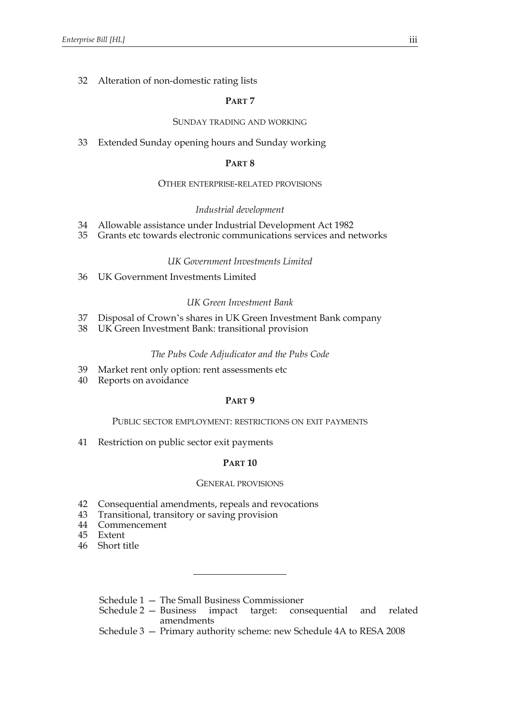## 32 Alteration of non-domestic rating lists

## **PART 7**

## SUNDAY TRADING AND WORKING

33 Extended Sunday opening hours and Sunday working

#### **PART 8**

## OTHER ENTERPRISE-RELATED PROVISIONS

#### *Industrial development*

- 34 Allowable assistance under Industrial Development Act 1982
- 35 Grants etc towards electronic communications services and networks

## *UK Government Investments Limited*

36 UK Government Investments Limited

#### *UK Green Investment Bank*

- 37 Disposal of Crown's shares in UK Green Investment Bank company
- 38 UK Green Investment Bank: transitional provision

#### *The Pubs Code Adjudicator and the Pubs Code*

- 39 Market rent only option: rent assessments etc
- 40 Reports on avoidance

## **PART 9**

## PUBLIC SECTOR EMPLOYMENT: RESTRICTIONS ON EXIT PAYMENTS

41 Restriction on public sector exit payments

#### **PART 10**

#### GENERAL PROVISIONS

- 42 Consequential amendments, repeals and revocations
- 43 Transitional, transitory or saving provision
- 44 Commencement
- 45 Extent
- 46 Short title
	- Schedule 1 The Small Business Commissioner
	- Schedule 2 Business impact target: consequential and related amendments
	- Schedule 3 Primary authority scheme: new Schedule 4A to RESA 2008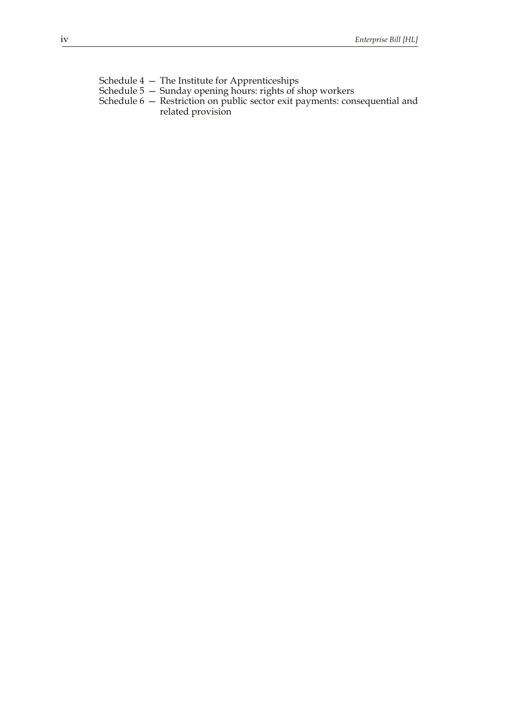- Schedule 4 The Institute for Apprenticeships
- Schedule 5 Sunday opening hours: rights of shop workers
- Schedule 6 Restriction on public sector exit payments: consequential and related provision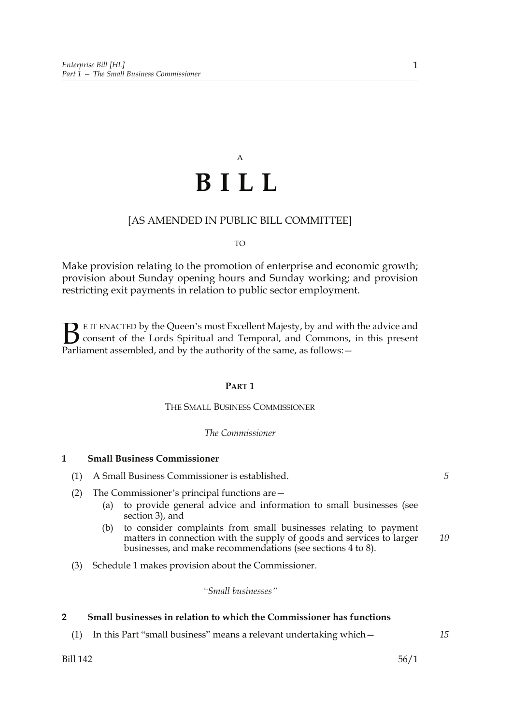# A **BILL**

## [AS AMENDED IN PUBLIC BILL COMMITTEE]

#### TO

Make provision relating to the promotion of enterprise and economic growth; provision about Sunday opening hours and Sunday working; and provision restricting exit payments in relation to public sector employment.

E IT ENACTED by the Queen's most Excellent Majesty, by and with the advice and consent of the Lords Spiritual and Temporal, and Commons, in this present **B** E IT ENACTED by the Queen's most Excellent Majesty, by and with consent of the Lords Spiritual and Temporal, and Commons, Parliament assembled, and by the authority of the same, as follows:  $-$ 

#### **PART 1**

## THE SMALL BUSINESS COMMISSIONER

#### *The Commissioner*

## **1 Small Business Commissioner**

- (1) A Small Business Commissioner is established.
- (2) The Commissioner's principal functions are—
	- (a) to provide general advice and information to small businesses (see section 3), and
	- (b) to consider complaints from small businesses relating to payment matters in connection with the supply of goods and services to larger businesses, and make recommendations (see sections 4 to 8). *10*
- (3) Schedule 1 makes provision about the Commissioner.

## *"Small businesses"*

#### **2 Small businesses in relation to which the Commissioner has functions**

(1) In this Part "small business" means a relevant undertaking which—

*15*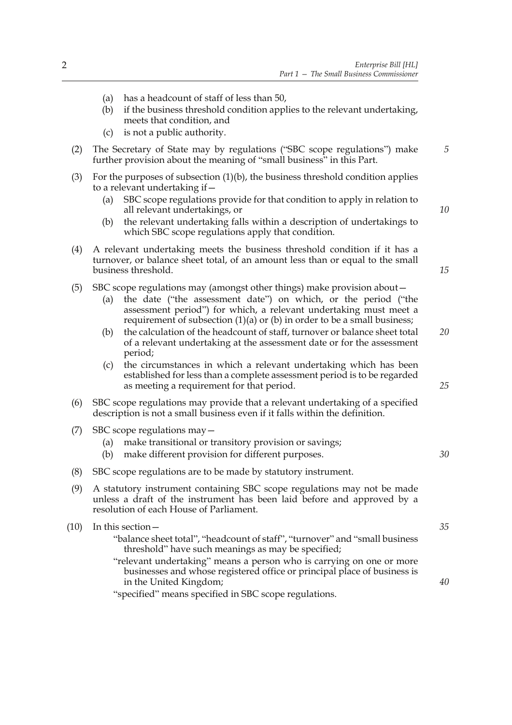(a) has a headcount of staff of less than 50, (b) if the business threshold condition applies to the relevant undertaking, meets that condition, and (c) is not a public authority. (2) The Secretary of State may by regulations ("SBC scope regulations") make further provision about the meaning of "small business" in this Part. (3) For the purposes of subsection  $(1)(b)$ , the business threshold condition applies to a relevant undertaking if— (a) SBC scope regulations provide for that condition to apply in relation to all relevant undertakings, or (b) the relevant undertaking falls within a description of undertakings to which SBC scope regulations apply that condition. (4) A relevant undertaking meets the business threshold condition if it has a turnover, or balance sheet total, of an amount less than or equal to the small business threshold. (5) SBC scope regulations may (amongst other things) make provision about— (a) the date ("the assessment date") on which, or the period ("the assessment period") for which, a relevant undertaking must meet a requirement of subsection (1)(a) or (b) in order to be a small business; (b) the calculation of the headcount of staff, turnover or balance sheet total of a relevant undertaking at the assessment date or for the assessment period; (c) the circumstances in which a relevant undertaking which has been established for less than a complete assessment period is to be regarded as meeting a requirement for that period. (6) SBC scope regulations may provide that a relevant undertaking of a specified description is not a small business even if it falls within the definition. (7) SBC scope regulations may— (a) make transitional or transitory provision or savings; (b) make different provision for different purposes. (8) SBC scope regulations are to be made by statutory instrument. (9) A statutory instrument containing SBC scope regulations may not be made unless a draft of the instrument has been laid before and approved by a resolution of each House of Parliament. (10) In this section— "balance sheet total", "headcount of staff", "turnover" and "small business threshold" have such meanings as may be specified; "relevant undertaking" means a person who is carrying on one or more businesses and whose registered office or principal place of business is in the United Kingdom; "specified" means specified in SBC scope regulations. *5 10 15 20 25 30 35 40*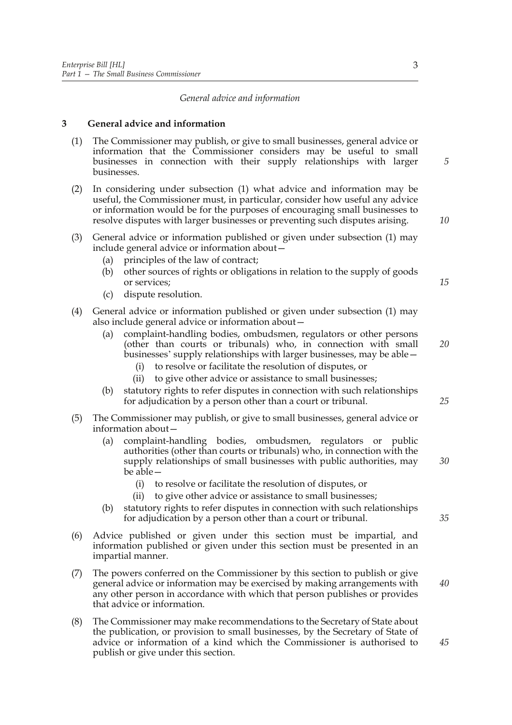## *General advice and information*

## **3 General advice and information**

- (1) The Commissioner may publish, or give to small businesses, general advice or information that the Commissioner considers may be useful to small businesses in connection with their supply relationships with larger businesses.
- (2) In considering under subsection (1) what advice and information may be useful, the Commissioner must, in particular, consider how useful any advice or information would be for the purposes of encouraging small businesses to resolve disputes with larger businesses or preventing such disputes arising.
- (3) General advice or information published or given under subsection (1) may include general advice or information about—
	- (a) principles of the law of contract;
	- (b) other sources of rights or obligations in relation to the supply of goods or services;
	- (c) dispute resolution.
- (4) General advice or information published or given under subsection (1) may also include general advice or information about—
	- (a) complaint-handling bodies, ombudsmen, regulators or other persons (other than courts or tribunals) who, in connection with small businesses' supply relationships with larger businesses, may be able—
		- (i) to resolve or facilitate the resolution of disputes, or
		- (ii) to give other advice or assistance to small businesses;
	- (b) statutory rights to refer disputes in connection with such relationships for adjudication by a person other than a court or tribunal.
- (5) The Commissioner may publish, or give to small businesses, general advice or information about—
	- (a) complaint-handling bodies, ombudsmen, regulators or public authorities (other than courts or tribunals) who, in connection with the supply relationships of small businesses with public authorities, may be able—
		- (i) to resolve or facilitate the resolution of disputes, or
		- (ii) to give other advice or assistance to small businesses;
	- (b) statutory rights to refer disputes in connection with such relationships for adjudication by a person other than a court or tribunal.
- (6) Advice published or given under this section must be impartial, and information published or given under this section must be presented in an impartial manner.
- (7) The powers conferred on the Commissioner by this section to publish or give general advice or information may be exercised by making arrangements with any other person in accordance with which that person publishes or provides that advice or information.
- (8) The Commissioner may make recommendations to the Secretary of State about the publication, or provision to small businesses, by the Secretary of State of advice or information of a kind which the Commissioner is authorised to publish or give under this section.

*5*

*10*

*15*

*20*

*30*

*25*

*35*

*40*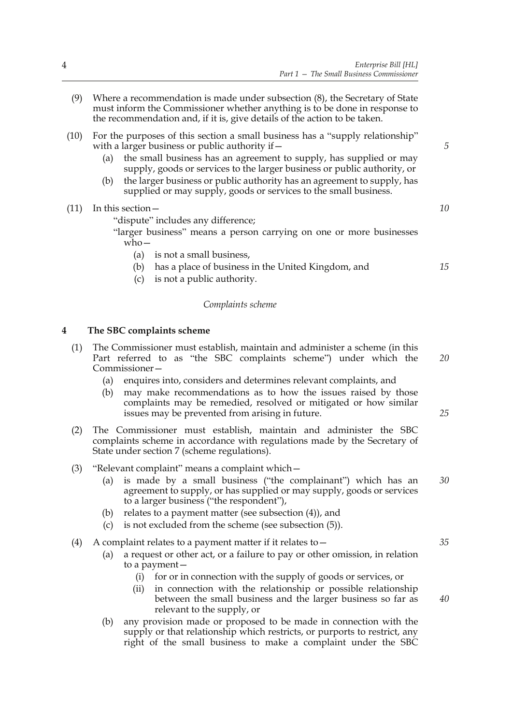- (9) Where a recommendation is made under subsection (8), the Secretary of State must inform the Commissioner whether anything is to be done in response to the recommendation and, if it is, give details of the action to be taken.
- (10) For the purposes of this section a small business has a "supply relationship" with a larger business or public authority if  $-$ 
	- (a) the small business has an agreement to supply, has supplied or may supply, goods or services to the larger business or public authority, or
	- (b) the larger business or public authority has an agreement to supply, has supplied or may supply, goods or services to the small business.

(11) In this section—

"dispute" includes any difference;

"larger business" means a person carrying on one or more businesses who—

- (a) is not a small business,
- (b) has a place of business in the United Kingdom, and
- (c) is not a public authority.

#### *Complaints scheme*

## **4 The SBC complaints scheme**

- (1) The Commissioner must establish, maintain and administer a scheme (in this Part referred to as "the SBC complaints scheme") under which the Commissioner— *20*
	- (a) enquires into, considers and determines relevant complaints, and
	- (b) may make recommendations as to how the issues raised by those complaints may be remedied, resolved or mitigated or how similar issues may be prevented from arising in future.
- (2) The Commissioner must establish, maintain and administer the SBC complaints scheme in accordance with regulations made by the Secretary of State under section 7 (scheme regulations).
- (3) "Relevant complaint" means a complaint which—
	- (a) is made by a small business ("the complainant") which has an agreement to supply, or has supplied or may supply, goods or services to a larger business ("the respondent"), *30*
	- (b) relates to a payment matter (see subsection (4)), and
	- (c) is not excluded from the scheme (see subsection (5)).
- (4) A complaint relates to a payment matter if it relates to  $-$ 
	- (a) a request or other act, or a failure to pay or other omission, in relation to a payment—
		- (i) for or in connection with the supply of goods or services, or
		- (ii) in connection with the relationship or possible relationship between the small business and the larger business so far as relevant to the supply, or
	- (b) any provision made or proposed to be made in connection with the supply or that relationship which restricts, or purports to restrict, any right of the small business to make a complaint under the SBC

*35*

*40*

*25*

*5*

*10*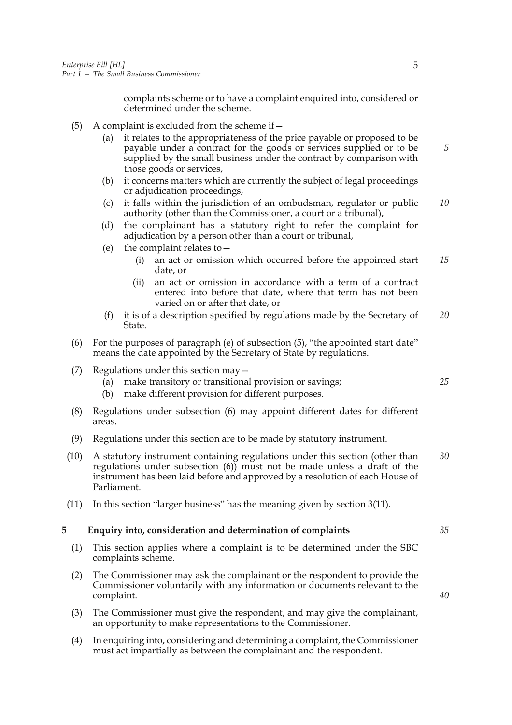complaints scheme or to have a complaint enquired into, considered or determined under the scheme.

- (5) A complaint is excluded from the scheme if  $-$ 
	- (a) it relates to the appropriateness of the price payable or proposed to be payable under a contract for the goods or services supplied or to be supplied by the small business under the contract by comparison with those goods or services,
	- (b) it concerns matters which are currently the subject of legal proceedings or adjudication proceedings,
	- (c) it falls within the jurisdiction of an ombudsman, regulator or public authority (other than the Commissioner, a court or a tribunal), *10*
	- (d) the complainant has a statutory right to refer the complaint for adjudication by a person other than a court or tribunal,
	- (e) the complaint relates to—
		- (i) an act or omission which occurred before the appointed start date, or *15*
		- (ii) an act or omission in accordance with a term of a contract entered into before that date, where that term has not been varied on or after that date, or
	- (f) it is of a description specified by regulations made by the Secretary of State. *20*
- (6) For the purposes of paragraph (e) of subsection (5), "the appointed start date" means the date appointed by the Secretary of State by regulations.
- (7) Regulations under this section may—
	- (a) make transitory or transitional provision or savings;
	- (b) make different provision for different purposes.
- (8) Regulations under subsection (6) may appoint different dates for different areas.
- (9) Regulations under this section are to be made by statutory instrument.
- (10) A statutory instrument containing regulations under this section (other than regulations under subsection (6)) must not be made unless a draft of the instrument has been laid before and approved by a resolution of each House of Parliament. *30*
- (11) In this section "larger business" has the meaning given by section 3(11).

## **5 Enquiry into, consideration and determination of complaints**

- (1) This section applies where a complaint is to be determined under the SBC complaints scheme.
- (2) The Commissioner may ask the complainant or the respondent to provide the Commissioner voluntarily with any information or documents relevant to the complaint.
- (3) The Commissioner must give the respondent, and may give the complainant, an opportunity to make representations to the Commissioner.
- (4) In enquiring into, considering and determining a complaint, the Commissioner must act impartially as between the complainant and the respondent.

*5*

*40*

*35*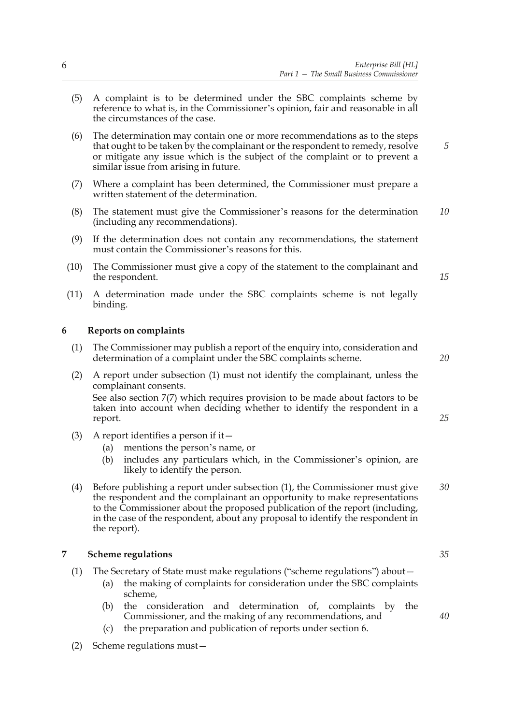- (5) A complaint is to be determined under the SBC complaints scheme by reference to what is, in the Commissioner's opinion, fair and reasonable in all the circumstances of the case.
- (6) The determination may contain one or more recommendations as to the steps that ought to be taken by the complainant or the respondent to remedy, resolve or mitigate any issue which is the subject of the complaint or to prevent a similar issue from arising in future.
- (7) Where a complaint has been determined, the Commissioner must prepare a written statement of the determination.
- (8) The statement must give the Commissioner's reasons for the determination (including any recommendations). *10*
- (9) If the determination does not contain any recommendations, the statement must contain the Commissioner's reasons for this.
- (10) The Commissioner must give a copy of the statement to the complainant and the respondent.
- (11) A determination made under the SBC complaints scheme is not legally binding.

## **6 Reports on complaints**

- (1) The Commissioner may publish a report of the enquiry into, consideration and determination of a complaint under the SBC complaints scheme.
- (2) A report under subsection (1) must not identify the complainant, unless the complainant consents.

See also section 7(7) which requires provision to be made about factors to be taken into account when deciding whether to identify the respondent in a report.

- (3) A report identifies a person if it—
	- (a) mentions the person's name, or
	- (b) includes any particulars which, in the Commissioner's opinion, are likely to identify the person.
- (4) Before publishing a report under subsection (1), the Commissioner must give the respondent and the complainant an opportunity to make representations to the Commissioner about the proposed publication of the report (including, in the case of the respondent, about any proposal to identify the respondent in the report). *30*

#### **7 Scheme regulations**

- (1) The Secretary of State must make regulations ("scheme regulations") about—
	- (a) the making of complaints for consideration under the SBC complaints scheme,
	- (b) the consideration and determination of, complaints by the Commissioner, and the making of any recommendations, and
	- (c) the preparation and publication of reports under section 6.
- (2) Scheme regulations must—

*20*

*25*

*15*

*5*

*35*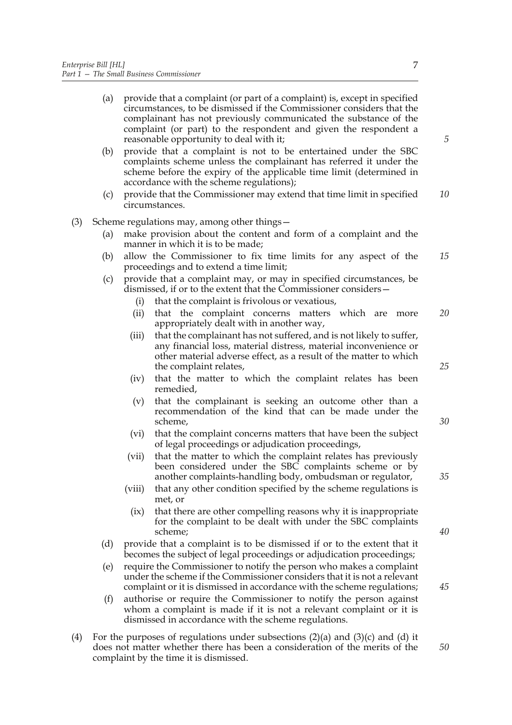- (a) provide that a complaint (or part of a complaint) is, except in specified circumstances, to be dismissed if the Commissioner considers that the complainant has not previously communicated the substance of the complaint (or part) to the respondent and given the respondent a reasonable opportunity to deal with it;
- (b) provide that a complaint is not to be entertained under the SBC complaints scheme unless the complainant has referred it under the scheme before the expiry of the applicable time limit (determined in accordance with the scheme regulations);
- (c) provide that the Commissioner may extend that time limit in specified circumstances. *10*
- (3) Scheme regulations may, among other things—
	- (a) make provision about the content and form of a complaint and the manner in which it is to be made;
	- (b) allow the Commissioner to fix time limits for any aspect of the proceedings and to extend a time limit; *15*
	- (c) provide that a complaint may, or may in specified circumstances, be dismissed, if or to the extent that the Commissioner considers—
		- (i) that the complaint is frivolous or vexatious,
		- (ii) that the complaint concerns matters which are more appropriately dealt with in another way, *20*
		- (iii) that the complainant has not suffered, and is not likely to suffer, any financial loss, material distress, material inconvenience or other material adverse effect, as a result of the matter to which the complaint relates,
		- (iv) that the matter to which the complaint relates has been remedied,
		- (v) that the complainant is seeking an outcome other than a recommendation of the kind that can be made under the scheme,
		- (vi) that the complaint concerns matters that have been the subject of legal proceedings or adjudication proceedings,
		- (vii) that the matter to which the complaint relates has previously been considered under the SBC complaints scheme or by another complaints-handling body, ombudsman or regulator,
		- (viii) that any other condition specified by the scheme regulations is met, or
			- (ix) that there are other compelling reasons why it is inappropriate for the complaint to be dealt with under the SBC complaints scheme;
	- (d) provide that a complaint is to be dismissed if or to the extent that it becomes the subject of legal proceedings or adjudication proceedings;
	- (e) require the Commissioner to notify the person who makes a complaint under the scheme if the Commissioner considers that it is not a relevant complaint or it is dismissed in accordance with the scheme regulations;
	- (f) authorise or require the Commissioner to notify the person against whom a complaint is made if it is not a relevant complaint or it is dismissed in accordance with the scheme regulations.
- (4) For the purposes of regulations under subsections  $(2)(a)$  and  $(3)(c)$  and  $(d)$  it does not matter whether there has been a consideration of the merits of the complaint by the time it is dismissed.

*5*

*35*

*25*

*30*

*40*

*45*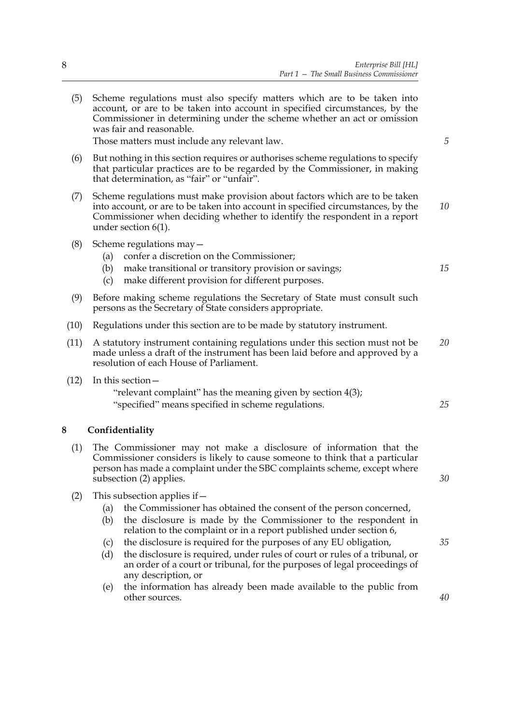- (5) Scheme regulations must also specify matters which are to be taken into account, or are to be taken into account in specified circumstances, by the Commissioner in determining under the scheme whether an act or omission was fair and reasonable. Those matters must include any relevant law. (6) But nothing in this section requires or authorises scheme regulations to specify that particular practices are to be regarded by the Commissioner, in making that determination, as "fair" or "unfair". (7) Scheme regulations must make provision about factors which are to be taken into account, or are to be taken into account in specified circumstances, by the Commissioner when deciding whether to identify the respondent in a report under section 6(1). (8) Scheme regulations may— (a) confer a discretion on the Commissioner; (b) make transitional or transitory provision or savings; (c) make different provision for different purposes. (9) Before making scheme regulations the Secretary of State must consult such persons as the Secretary of State considers appropriate. (10) Regulations under this section are to be made by statutory instrument. (11) A statutory instrument containing regulations under this section must not be made unless a draft of the instrument has been laid before and approved by a resolution of each House of Parliament. (12) In this section— "relevant complaint" has the meaning given by section 4(3); "specified" means specified in scheme regulations. **8 Confidentiality** (1) The Commissioner may not make a disclosure of information that the Commissioner considers is likely to cause someone to think that a particular person has made a complaint under the SBC complaints scheme, except where subsection (2) applies. (2) This subsection applies if  $-$ (a) the Commissioner has obtained the consent of the person concerned, (b) the disclosure is made by the Commissioner to the respondent in relation to the complaint or in a report published under section 6, (c) the disclosure is required for the purposes of any EU obligation, (d) the disclosure is required, under rules of court or rules of a tribunal, or *5 10 15 25 30 35*
	- any description, or (e) the information has already been made available to the public from other sources.

an order of a court or tribunal, for the purposes of legal proceedings of

- 
- *20*

*40*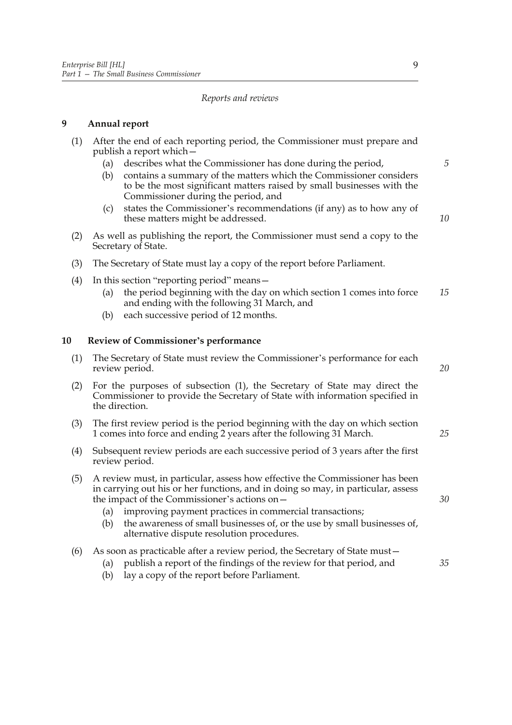## *Reports and reviews*

## **9 Annual report**

- (1) After the end of each reporting period, the Commissioner must prepare and publish a report which—
	- (a) describes what the Commissioner has done during the period,
	- (b) contains a summary of the matters which the Commissioner considers to be the most significant matters raised by small businesses with the Commissioner during the period, and
	- (c) states the Commissioner's recommendations (if any) as to how any of these matters might be addressed.
- *10*

*20*

*25*

*30*

*35*

*5*

- (2) As well as publishing the report, the Commissioner must send a copy to the Secretary of State.
- (3) The Secretary of State must lay a copy of the report before Parliament.
- (4) In this section "reporting period" means—
	- (a) the period beginning with the day on which section 1 comes into force and ending with the following 31 March, and *15*
	- (b) each successive period of 12 months.

## **10 Review of Commissioner's performance**

- (1) The Secretary of State must review the Commissioner's performance for each review period.
- (2) For the purposes of subsection (1), the Secretary of State may direct the Commissioner to provide the Secretary of State with information specified in the direction.
- (3) The first review period is the period beginning with the day on which section 1 comes into force and ending 2 years after the following 31 March.
- (4) Subsequent review periods are each successive period of 3 years after the first review period.
- (5) A review must, in particular, assess how effective the Commissioner has been in carrying out his or her functions, and in doing so may, in particular, assess the impact of the Commissioner's actions on—
	- (a) improving payment practices in commercial transactions;
	- (b) the awareness of small businesses of, or the use by small businesses of, alternative dispute resolution procedures.
- (6) As soon as practicable after a review period, the Secretary of State must—
	- (a) publish a report of the findings of the review for that period, and
	- (b) lay a copy of the report before Parliament.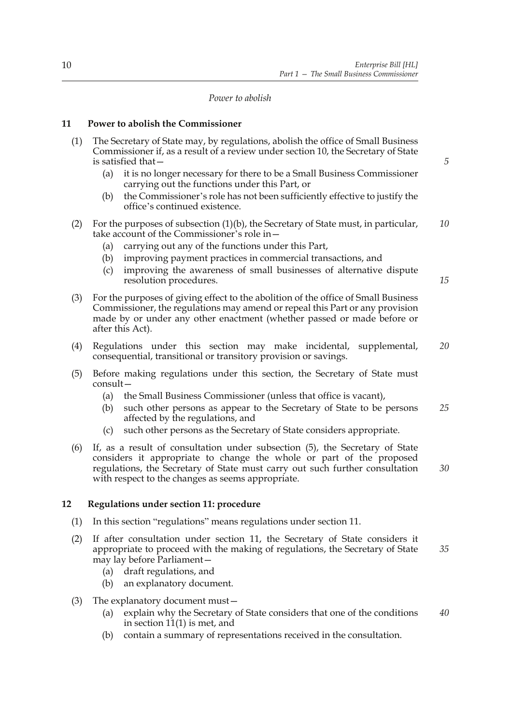## *Power to abolish*

## **11 Power to abolish the Commissioner**

| (1) | The Secretary of State may, by regulations, abolish the office of Small Business<br>Commissioner if, as a result of a review under section 10, the Secretary of State<br>is satisfied that-                                                                                                                                                                                    | 5        |  |
|-----|--------------------------------------------------------------------------------------------------------------------------------------------------------------------------------------------------------------------------------------------------------------------------------------------------------------------------------------------------------------------------------|----------|--|
|     | it is no longer necessary for there to be a Small Business Commissioner<br>(a)<br>carrying out the functions under this Part, or<br>the Commissioner's role has not been sufficiently effective to justify the<br>(b)<br>office's continued existence.                                                                                                                         |          |  |
| (2) | For the purposes of subsection $(1)(b)$ , the Secretary of State must, in particular,<br>take account of the Commissioner's role in-<br>carrying out any of the functions under this Part,<br>(a)<br>improving payment practices in commercial transactions, and<br>(b)<br>improving the awareness of small businesses of alternative dispute<br>(c)<br>resolution procedures. | 10<br>15 |  |
| (3) | For the purposes of giving effect to the abolition of the office of Small Business<br>Commissioner, the regulations may amend or repeal this Part or any provision<br>made by or under any other enactment (whether passed or made before or<br>after this Act).                                                                                                               |          |  |
| (4) | Regulations under this section may make incidental,<br>supplemental,<br>consequential, transitional or transitory provision or savings.                                                                                                                                                                                                                                        |          |  |
| (5) | Before making regulations under this section, the Secretary of State must<br>consult-<br>the Small Business Commissioner (unless that office is vacant),<br>(a)<br>such other persons as appear to the Secretary of State to be persons<br>(b)<br>affected by the regulations, and<br>such other persons as the Secretary of State considers appropriate.<br>(c)               | 25       |  |
| (6) | If, as a result of consultation under subsection (5), the Secretary of State<br>considers it appropriate to change the whole or part of the proposed<br>regulations, the Secretary of State must carry out such further consultation<br>with respect to the changes as seems appropriate.                                                                                      |          |  |
| 12  | Regulations under section 11: procedure                                                                                                                                                                                                                                                                                                                                        |          |  |
|     |                                                                                                                                                                                                                                                                                                                                                                                |          |  |

- (1) In this section "regulations" means regulations under section 11.
- (2) If after consultation under section 11, the Secretary of State considers it appropriate to proceed with the making of regulations, the Secretary of State may lay before Parliament— *35*
	- (a) draft regulations, and
	- (b) an explanatory document.
- (3) The explanatory document must—
	- (a) explain why the Secretary of State considers that one of the conditions in section  $11(1)$  is met, and *40*
	- (b) contain a summary of representations received in the consultation.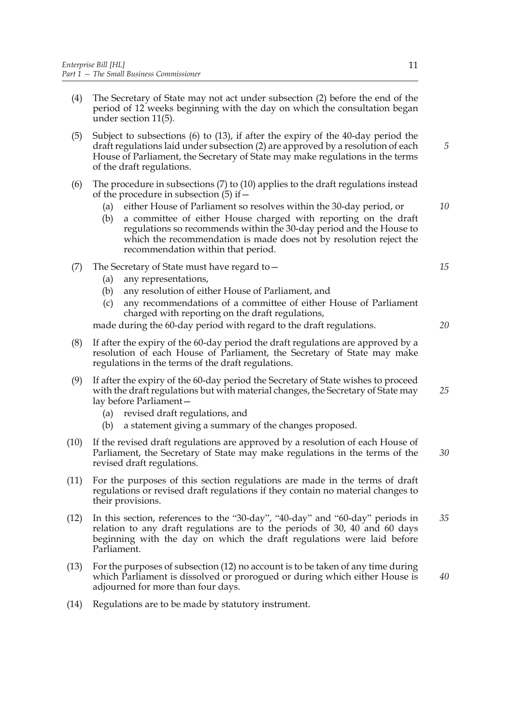- (4) The Secretary of State may not act under subsection (2) before the end of the period of 12 weeks beginning with the day on which the consultation began under section 11(5).
- (5) Subject to subsections (6) to (13), if after the expiry of the 40-day period the draft regulations laid under subsection (2) are approved by a resolution of each House of Parliament, the Secretary of State may make regulations in the terms of the draft regulations.
- (6) The procedure in subsections (7) to (10) applies to the draft regulations instead of the procedure in subsection  $(5)$  if  $-$ 
	- (a) either House of Parliament so resolves within the 30-day period, or
	- (b) a committee of either House charged with reporting on the draft regulations so recommends within the 30-day period and the House to which the recommendation is made does not by resolution reject the recommendation within that period.
- (7) The Secretary of State must have regard to—
	- (a) any representations,
	- (b) any resolution of either House of Parliament, and
	- (c) any recommendations of a committee of either House of Parliament charged with reporting on the draft regulations,

made during the 60-day period with regard to the draft regulations.

- (8) If after the expiry of the 60-day period the draft regulations are approved by a resolution of each House of Parliament, the Secretary of State may make regulations in the terms of the draft regulations.
- (9) If after the expiry of the 60-day period the Secretary of State wishes to proceed with the draft regulations but with material changes, the Secretary of State may lay before Parliament— *25*
	- (a) revised draft regulations, and
	- (b) a statement giving a summary of the changes proposed.
- (10) If the revised draft regulations are approved by a resolution of each House of Parliament, the Secretary of State may make regulations in the terms of the revised draft regulations. *30*
- (11) For the purposes of this section regulations are made in the terms of draft regulations or revised draft regulations if they contain no material changes to their provisions.
- (12) In this section, references to the "30-day", "40-day" and "60-day" periods in relation to any draft regulations are to the periods of 30, 40 and 60 days beginning with the day on which the draft regulations were laid before Parliament. *35*
- (13) For the purposes of subsection (12) no account is to be taken of any time during which Parliament is dissolved or prorogued or during which either House is adjourned for more than four days. *40*
- (14) Regulations are to be made by statutory instrument.

*15*

*10*

*5*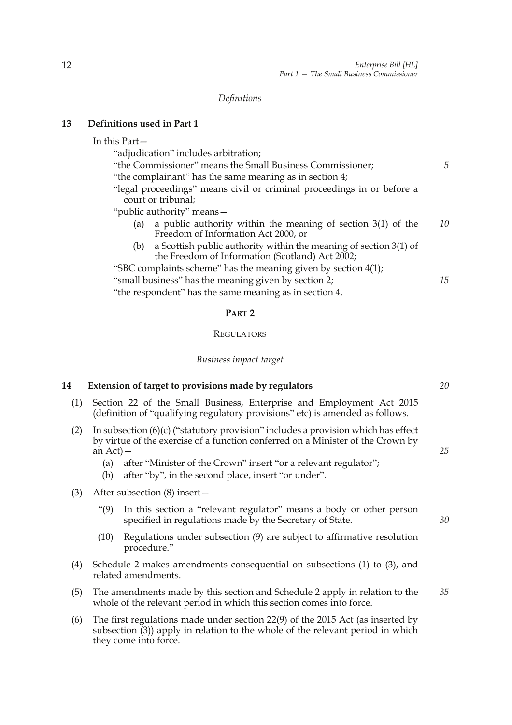*Definitions*

## **13 Definitions used in Part 1**

## In this Part—

"adjudication" includes arbitration;

- "the Commissioner" means the Small Business Commissioner; "the complainant" has the same meaning as in section 4;
- "legal proceedings" means civil or criminal proceedings in or before a court or tribunal;
- "public authority" means—
	- (a) a public authority within the meaning of section 3(1) of the Freedom of Information Act 2000, or *10*
	- (b) a Scottish public authority within the meaning of section 3(1) of the Freedom of Information (Scotland) Act 2002;

"SBC complaints scheme" has the meaning given by section 4(1); "small business" has the meaning given by section 2;

"the respondent" has the same meaning as in section 4.

#### **PART 2**

## **REGULATORS**

## *Business impact target*

## **14 Extension of target to provisions made by regulators**

- (1) Section 22 of the Small Business, Enterprise and Employment Act 2015 (definition of "qualifying regulatory provisions" etc) is amended as follows.
- (2) In subsection  $(6)(c)$  ("statutory provision" includes a provision which has effect by virtue of the exercise of a function conferred on a Minister of the Crown by  $an$  Act)  $-$ 
	- (a) after "Minister of the Crown" insert "or a relevant regulator";
	- (b) after "by", in the second place, insert "or under".
- (3) After subsection (8) insert—
	- "(9) In this section a "relevant regulator" means a body or other person specified in regulations made by the Secretary of State.
	- (10) Regulations under subsection (9) are subject to affirmative resolution procedure."
- (4) Schedule 2 makes amendments consequential on subsections (1) to (3), and related amendments.
- (5) The amendments made by this section and Schedule 2 apply in relation to the whole of the relevant period in which this section comes into force. *35*
- (6) The first regulations made under section 22(9) of the 2015 Act (as inserted by subsection (3)) apply in relation to the whole of the relevant period in which they come into force.

*20*

*15*

*5*

*25*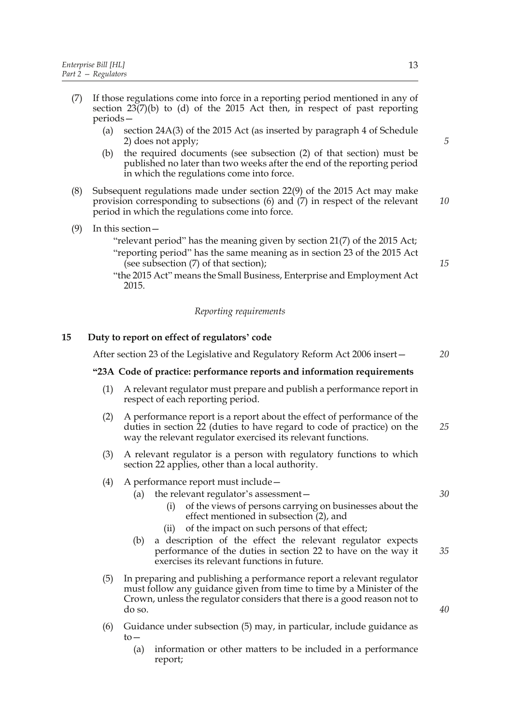- (7) If those regulations come into force in a reporting period mentioned in any of section  $23(7)(b)$  to (d) of the 2015 Act then, in respect of past reporting periods—
	- (a) section 24A(3) of the 2015 Act (as inserted by paragraph 4 of Schedule 2) does not apply;
	- (b) the required documents (see subsection (2) of that section) must be published no later than two weeks after the end of the reporting period in which the regulations come into force.
- (8) Subsequent regulations made under section 22(9) of the 2015 Act may make provision corresponding to subsections (6) and (7) in respect of the relevant period in which the regulations come into force. *10*
- (9) In this section—
	- "relevant period" has the meaning given by section 21(7) of the 2015 Act; "reporting period" has the same meaning as in section 23 of the 2015 Act (see subsection (7) of that section);
	- "the 2015 Act" means the Small Business, Enterprise and Employment Act 2015.

## *Reporting requirements*

## **15 Duty to report on effect of regulators' code**

After section 23 of the Legislative and Regulatory Reform Act 2006 insert—

#### **"23A Code of practice: performance reports and information requirements**

- (1) A relevant regulator must prepare and publish a performance report in respect of each reporting period.
- (2) A performance report is a report about the effect of performance of the duties in section 22 (duties to have regard to code of practice) on the way the relevant regulator exercised its relevant functions. *25*
- (3) A relevant regulator is a person with regulatory functions to which section 22 applies, other than a local authority.
- (4) A performance report must include—

## (a) the relevant regulator's assessment—

- (i) of the views of persons carrying on businesses about the effect mentioned in subsection (2), and
- (ii) of the impact on such persons of that effect;
- (b) a description of the effect the relevant regulator expects performance of the duties in section 22 to have on the way it exercises its relevant functions in future.
- (5) In preparing and publishing a performance report a relevant regulator must follow any guidance given from time to time by a Minister of the Crown, unless the regulator considers that there is a good reason not to do so.
- (6) Guidance under subsection (5) may, in particular, include guidance as  $t_0$ —
	- (a) information or other matters to be included in a performance report;

*30*

*35*

*40*

*15*

*20*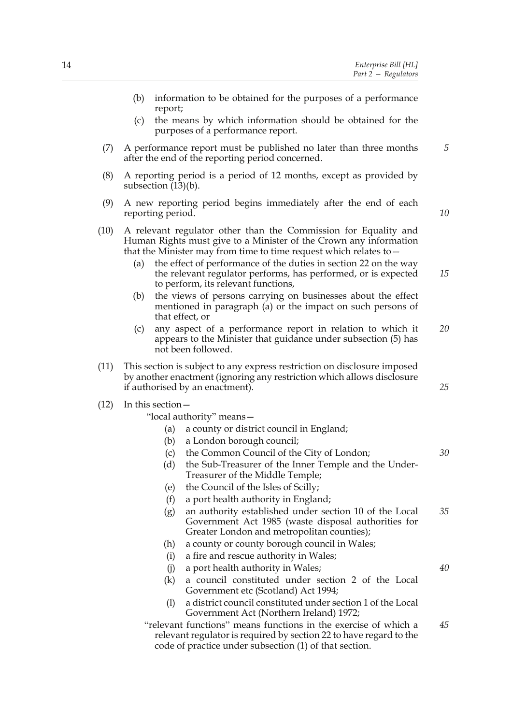|      | (b)                                                                                                                                                                                                                                                                                                                                                                                            | report;           | information to be obtained for the purposes of a performance                                                                                                |    |  |  |
|------|------------------------------------------------------------------------------------------------------------------------------------------------------------------------------------------------------------------------------------------------------------------------------------------------------------------------------------------------------------------------------------------------|-------------------|-------------------------------------------------------------------------------------------------------------------------------------------------------------|----|--|--|
|      | (c)                                                                                                                                                                                                                                                                                                                                                                                            |                   | the means by which information should be obtained for the<br>purposes of a performance report.                                                              |    |  |  |
| (7)  | A performance report must be published no later than three months<br>after the end of the reporting period concerned.                                                                                                                                                                                                                                                                          |                   |                                                                                                                                                             |    |  |  |
| (8)  | A reporting period is a period of 12 months, except as provided by<br>subsection $(13)(b)$ .                                                                                                                                                                                                                                                                                                   |                   |                                                                                                                                                             |    |  |  |
| (9)  | A new reporting period begins immediately after the end of each<br>reporting period.                                                                                                                                                                                                                                                                                                           |                   |                                                                                                                                                             |    |  |  |
| (10) | A relevant regulator other than the Commission for Equality and<br>Human Rights must give to a Minister of the Crown any information<br>that the Minister may from time to time request which relates to -<br>the effect of performance of the duties in section 22 on the way<br>(a)<br>the relevant regulator performs, has performed, or is expected<br>to perform, its relevant functions, |                   |                                                                                                                                                             |    |  |  |
|      | (b)                                                                                                                                                                                                                                                                                                                                                                                            |                   | the views of persons carrying on businesses about the effect<br>mentioned in paragraph (a) or the impact on such persons of<br>that effect, or              |    |  |  |
|      | (c)                                                                                                                                                                                                                                                                                                                                                                                            |                   | any aspect of a performance report in relation to which it<br>appears to the Minister that guidance under subsection (5) has<br>not been followed.          | 20 |  |  |
| (11) | This section is subject to any express restriction on disclosure imposed<br>by another enactment (ignoring any restriction which allows disclosure<br>25<br>if authorised by an enactment).                                                                                                                                                                                                    |                   |                                                                                                                                                             |    |  |  |
| (12) |                                                                                                                                                                                                                                                                                                                                                                                                | In this section - |                                                                                                                                                             |    |  |  |
|      | "local authority" means-                                                                                                                                                                                                                                                                                                                                                                       |                   |                                                                                                                                                             |    |  |  |
|      |                                                                                                                                                                                                                                                                                                                                                                                                | (a)               | a county or district council in England;                                                                                                                    |    |  |  |
|      |                                                                                                                                                                                                                                                                                                                                                                                                | (b)               | a London borough council;                                                                                                                                   |    |  |  |
|      |                                                                                                                                                                                                                                                                                                                                                                                                | (c)               | the Common Council of the City of London;                                                                                                                   | 30 |  |  |
|      |                                                                                                                                                                                                                                                                                                                                                                                                | (d)               | the Sub-Treasurer of the Inner Temple and the Under-<br>Treasurer of the Middle Temple;                                                                     |    |  |  |
|      |                                                                                                                                                                                                                                                                                                                                                                                                | (e)               | the Council of the Isles of Scilly;                                                                                                                         |    |  |  |
|      |                                                                                                                                                                                                                                                                                                                                                                                                | (f)               | a port health authority in England;                                                                                                                         |    |  |  |
|      |                                                                                                                                                                                                                                                                                                                                                                                                | (g)               | an authority established under section 10 of the Local<br>Government Act 1985 (waste disposal authorities for<br>Greater London and metropolitan counties); | 35 |  |  |
|      |                                                                                                                                                                                                                                                                                                                                                                                                | (h)               | a county or county borough council in Wales;                                                                                                                |    |  |  |
|      |                                                                                                                                                                                                                                                                                                                                                                                                | (i)               | a fire and rescue authority in Wales;                                                                                                                       |    |  |  |
|      |                                                                                                                                                                                                                                                                                                                                                                                                | (i)               | a port health authority in Wales;                                                                                                                           | 40 |  |  |
|      |                                                                                                                                                                                                                                                                                                                                                                                                | (k)               | a council constituted under section 2 of the Local<br>Government etc (Scotland) Act 1994;                                                                   |    |  |  |
|      |                                                                                                                                                                                                                                                                                                                                                                                                | (1)               | a district council constituted under section 1 of the Local<br>Government Act (Northern Ireland) 1972;                                                      |    |  |  |

"relevant functions" means functions in the exercise of which a relevant regulator is required by section 22 to have regard to the code of practice under subsection (1) of that section. *45*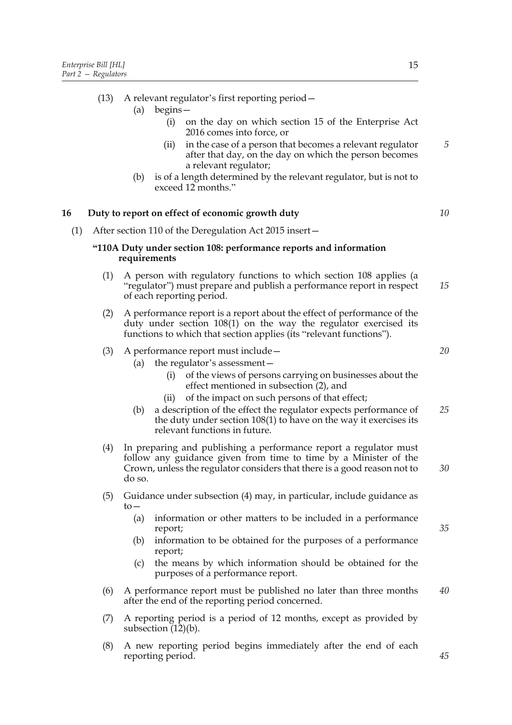- (a) begins—
	- (i) on the day on which section 15 of the Enterprise Act 2016 comes into force, or
	- (ii) in the case of a person that becomes a relevant regulator after that day, on the day on which the person becomes a relevant regulator;
- (b) is of a length determined by the relevant regulator, but is not to exceed 12 months."

## **16 Duty to report on effect of economic growth duty**

(1) After section 110 of the Deregulation Act 2015 insert—

## **"110A Duty under section 108: performance reports and information requirements**

- (1) A person with regulatory functions to which section 108 applies (a "regulator") must prepare and publish a performance report in respect of each reporting period. *15*
- (2) A performance report is a report about the effect of performance of the duty under section 108(1) on the way the regulator exercised its functions to which that section applies (its "relevant functions").

#### (3) A performance report must include—

- (a) the regulator's assessment—
	- (i) of the views of persons carrying on businesses about the effect mentioned in subsection (2), and
	- (ii) of the impact on such persons of that effect;
- (b) a description of the effect the regulator expects performance of the duty under section 108(1) to have on the way it exercises its relevant functions in future. *25*
- (4) In preparing and publishing a performance report a regulator must follow any guidance given from time to time by a Minister of the Crown, unless the regulator considers that there is a good reason not to do so. *30*
- (5) Guidance under subsection (4) may, in particular, include guidance as to—
	- (a) information or other matters to be included in a performance report;
	- (b) information to be obtained for the purposes of a performance report;
	- (c) the means by which information should be obtained for the purposes of a performance report.
- (6) A performance report must be published no later than three months after the end of the reporting period concerned. *40*
- (7) A reporting period is a period of 12 months, except as provided by subsection (12)(b).
- (8) A new reporting period begins immediately after the end of each reporting period.

*5*

*10*

*20*

*35*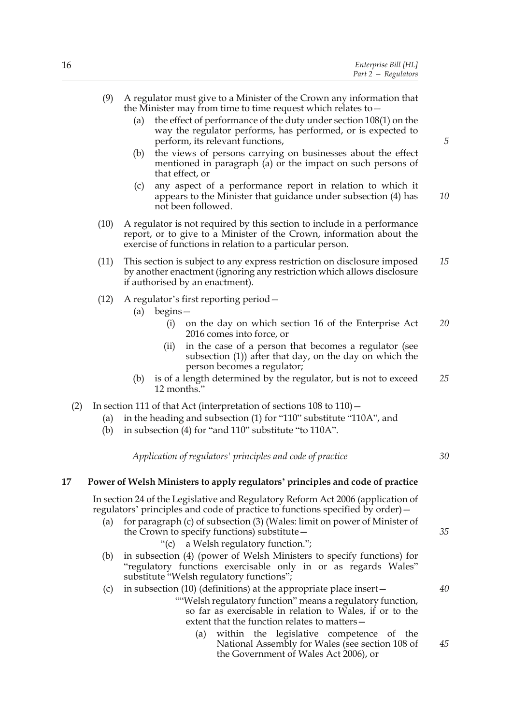- (a) the effect of performance of the duty under section 108(1) on the way the regulator performs, has performed, or is expected to perform, its relevant functions,
- (b) the views of persons carrying on businesses about the effect mentioned in paragraph (a) or the impact on such persons of that effect, or
- (c) any aspect of a performance report in relation to which it appears to the Minister that guidance under subsection (4) has not been followed. *10*
- (10) A regulator is not required by this section to include in a performance report, or to give to a Minister of the Crown, information about the exercise of functions in relation to a particular person.
- (11) This section is subject to any express restriction on disclosure imposed by another enactment (ignoring any restriction which allows disclosure if authorised by an enactment). *15*
- (12) A regulator's first reporting period—
	- (a) begins—
		- (i) on the day on which section 16 of the Enterprise Act 2016 comes into force, or *20*
		- (ii) in the case of a person that becomes a regulator (see subsection (1)) after that day, on the day on which the person becomes a regulator;
	- (b) is of a length determined by the regulator, but is not to exceed 12 months." *25*
- (2) In section 111 of that Act (interpretation of sections 108 to 110)—
	- (a) in the heading and subsection (1) for "110" substitute "110A", and
	- (b) in subsection (4) for "and 110" substitute "to 110A".

*Application of regulators' principles and code of practice*

**17 Power of Welsh Ministers to apply regulators' principles and code of practice**

 In section 24 of the Legislative and Regulatory Reform Act 2006 (application of regulators' principles and code of practice to functions specified by order)—

- (a) for paragraph (c) of subsection  $(3)$  (Wales: limit on power of Minister of the Crown to specify functions) substitute—
	- "(c) a Welsh regulatory function.";
- (b) in subsection (4) (power of Welsh Ministers to specify functions) for "regulatory functions exercisable only in or as regards Wales" substitute "Welsh regulatory functions";

## (c) in subsection (10) (definitions) at the appropriate place insert—

- ""Welsh regulatory function" means a regulatory function, so far as exercisable in relation to Wales, if or to the extent that the function relates to matters—
	- (a) within the legislative competence of the National Assembly for Wales (see section 108 of the Government of Wales Act 2006), or

*5*

*30*

*35*

*40*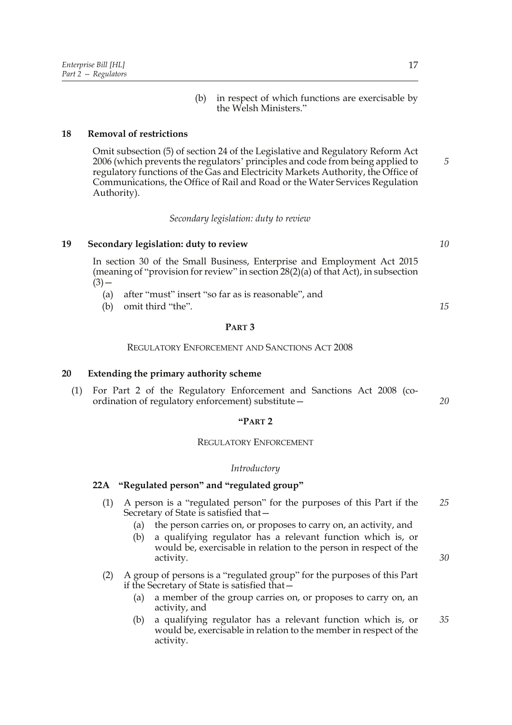(b) in respect of which functions are exercisable by the Welsh Ministers."

## **18 Removal of restrictions**

Omit subsection (5) of section 24 of the Legislative and Regulatory Reform Act 2006 (which prevents the regulators' principles and code from being applied to regulatory functions of the Gas and Electricity Markets Authority, the Office of Communications, the Office of Rail and Road or the Water Services Regulation Authority).

*Secondary legislation: duty to review*

#### **19 Secondary legislation: duty to review**

In section 30 of the Small Business, Enterprise and Employment Act 2015 (meaning of "provision for review" in section 28(2)(a) of that Act), in subsection  $(3)$  —

- (a) after "must" insert "so far as is reasonable", and
- (b) omit third "the".

## **PART 3**

#### REGULATORY ENFORCEMENT AND SANCTIONS ACT 2008

## **20 Extending the primary authority scheme**

(1) For Part 2 of the Regulatory Enforcement and Sanctions Act 2008 (coordination of regulatory enforcement) substitute—

## **"PART 2**

#### REGULATORY ENFORCEMENT

#### *Introductory*

## **22A "Regulated person" and "regulated group"**

- (1) A person is a "regulated person" for the purposes of this Part if the Secretary of State is satisfied that— *25*
	- (a) the person carries on, or proposes to carry on, an activity, and
	- (b) a qualifying regulator has a relevant function which is, or would be, exercisable in relation to the person in respect of the activity.
- (2) A group of persons is a "regulated group" for the purposes of this Part if the Secretary of State is satisfied that—
	- (a) a member of the group carries on, or proposes to carry on, an activity, and
	- (b) a qualifying regulator has a relevant function which is, or would be, exercisable in relation to the member in respect of the activity. *35*

*10*

*5*

*15*

*20*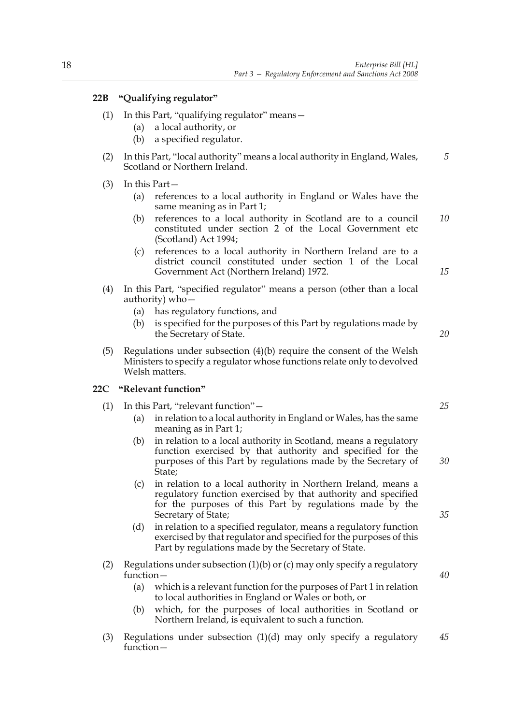## **22B "Qualifying regulator"**

- (1) In this Part, "qualifying regulator" means—
	- (a) a local authority, or
	- (b) a specified regulator.
- (2) In this Part, "local authority" means a local authority in England, Wales, Scotland or Northern Ireland. *5*
- (3) In this Part—
	- (a) references to a local authority in England or Wales have the same meaning as in Part 1;
	- (b) references to a local authority in Scotland are to a council constituted under section 2 of the Local Government etc (Scotland) Act 1994; *10*
	- (c) references to a local authority in Northern Ireland are to a district council constituted under section 1 of the Local Government Act (Northern Ireland) 1972.
- (4) In this Part, "specified regulator" means a person (other than a local authority) who—
	- (a) has regulatory functions, and
	- (b) is specified for the purposes of this Part by regulations made by the Secretary of State.
- (5) Regulations under subsection (4)(b) require the consent of the Welsh Ministers to specify a regulator whose functions relate only to devolved Welsh matters.

## **22C "Relevant function"**

- (1) In this Part, "relevant function"—
	- (a) in relation to a local authority in England or Wales, has the same meaning as in Part 1;
	- (b) in relation to a local authority in Scotland, means a regulatory function exercised by that authority and specified for the purposes of this Part by regulations made by the Secretary of State;
	- (c) in relation to a local authority in Northern Ireland, means a regulatory function exercised by that authority and specified for the purposes of this Part by regulations made by the Secretary of State;
	- (d) in relation to a specified regulator, means a regulatory function exercised by that regulator and specified for the purposes of this Part by regulations made by the Secretary of State.
- (2) Regulations under subsection (1)(b) or (c) may only specify a regulatory function—
	- (a) which is a relevant function for the purposes of Part 1 in relation to local authorities in England or Wales or both, or
	- (b) which, for the purposes of local authorities in Scotland or Northern Ireland, is equivalent to such a function.
- (3) Regulations under subsection (1)(d) may only specify a regulatory function— *45*

*25*

*30*

*15*

*20*

*35*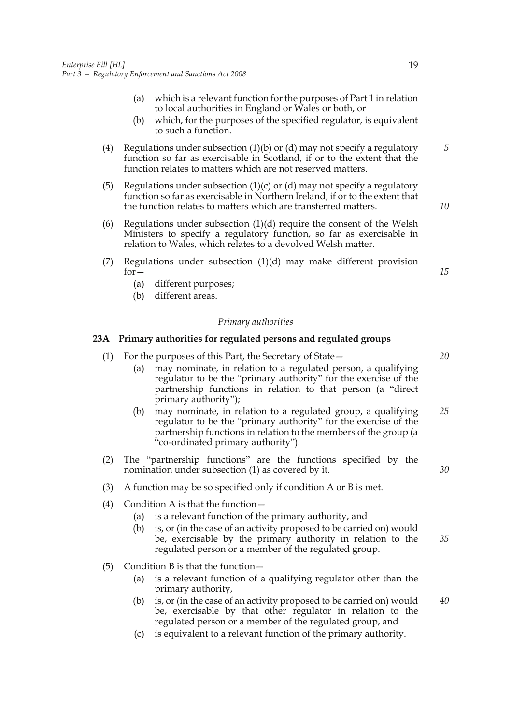- (a) which is a relevant function for the purposes of Part 1 in relation to local authorities in England or Wales or both, or
- (b) which, for the purposes of the specified regulator, is equivalent to such a function.
- (4) Regulations under subsection (1)(b) or (d) may not specify a regulatory function so far as exercisable in Scotland, if or to the extent that the function relates to matters which are not reserved matters.
- (5) Regulations under subsection  $(1)(c)$  or  $(d)$  may not specify a regulatory function so far as exercisable in Northern Ireland, if or to the extent that the function relates to matters which are transferred matters.
- (6) Regulations under subsection (1)(d) require the consent of the Welsh Ministers to specify a regulatory function, so far as exercisable in relation to Wales, which relates to a devolved Welsh matter.
- (7) Regulations under subsection (1)(d) may make different provision  $for-$ 
	- (a) different purposes;
	- (b) different areas.

#### *Primary authorities*

## **23A Primary authorities for regulated persons and regulated groups**

- (1) For the purposes of this Part, the Secretary of State— (a) may nominate, in relation to a regulated person, a qualifying regulator to be the "primary authority" for the exercise of the partnership functions in relation to that person (a "direct primary authority");
	- (b) may nominate, in relation to a regulated group, a qualifying regulator to be the "primary authority" for the exercise of the partnership functions in relation to the members of the group (a "co-ordinated primary authority"). *25*
- (2) The "partnership functions" are the functions specified by the nomination under subsection (1) as covered by it.
- (3) A function may be so specified only if condition A or B is met.
- (4) Condition A is that the function—
	- (a) is a relevant function of the primary authority, and
	- (b) is, or (in the case of an activity proposed to be carried on) would be, exercisable by the primary authority in relation to the regulated person or a member of the regulated group. *35*
- (5) Condition B is that the function—
	- (a) is a relevant function of a qualifying regulator other than the primary authority,
	- (b) is, or (in the case of an activity proposed to be carried on) would be, exercisable by that other regulator in relation to the regulated person or a member of the regulated group, and
	- (c) is equivalent to a relevant function of the primary authority.

*5*

*10*

*15*

*20*

*30*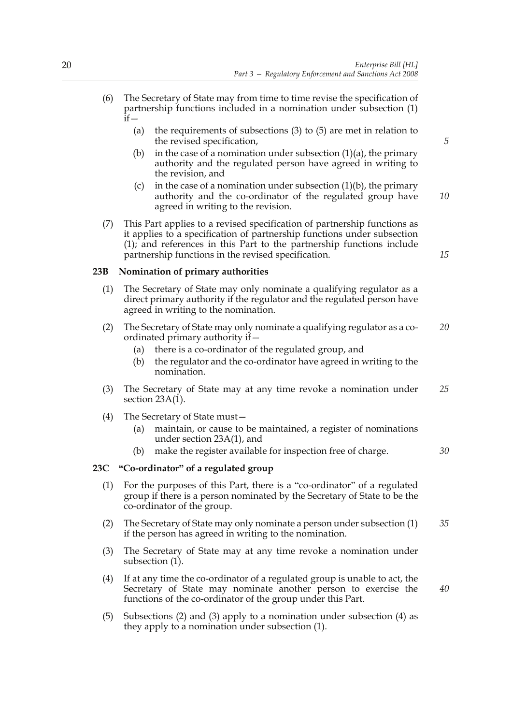- (6) The Secretary of State may from time to time revise the specification of partnership functions included in a nomination under subsection (1)  $\overline{\text{if}}$ 
	- (a) the requirements of subsections (3) to (5) are met in relation to the revised specification,
	- (b) in the case of a nomination under subsection  $(1)(a)$ , the primary authority and the regulated person have agreed in writing to the revision, and
	- (c) in the case of a nomination under subsection  $(1)(b)$ , the primary authority and the co-ordinator of the regulated group have agreed in writing to the revision. *10*
- (7) This Part applies to a revised specification of partnership functions as it applies to a specification of partnership functions under subsection (1); and references in this Part to the partnership functions include partnership functions in the revised specification.

## **23B Nomination of primary authorities**

- (1) The Secretary of State may only nominate a qualifying regulator as a direct primary authority if the regulator and the regulated person have agreed in writing to the nomination.
- (2) The Secretary of State may only nominate a qualifying regulator as a coordinated primary authority if— *20*
	- (a) there is a co-ordinator of the regulated group, and
	- (b) the regulator and the co-ordinator have agreed in writing to the nomination.
- (3) The Secretary of State may at any time revoke a nomination under section  $23A(1)$ . *25*
- (4) The Secretary of State must
	- maintain, or cause to be maintained, a register of nominations under section 23A(1), and
	- (b) make the register available for inspection free of charge.

## **23C "Co-ordinator" of a regulated group**

- (1) For the purposes of this Part, there is a "co-ordinator" of a regulated group if there is a person nominated by the Secretary of State to be the co-ordinator of the group.
- (2) The Secretary of State may only nominate a person under subsection (1) if the person has agreed in writing to the nomination. *35*
- (3) The Secretary of State may at any time revoke a nomination under subsection (1).
- (4) If at any time the co-ordinator of a regulated group is unable to act, the Secretary of State may nominate another person to exercise the functions of the co-ordinator of the group under this Part.
- (5) Subsections (2) and (3) apply to a nomination under subsection (4) as they apply to a nomination under subsection (1).

*40*

*30*

*5*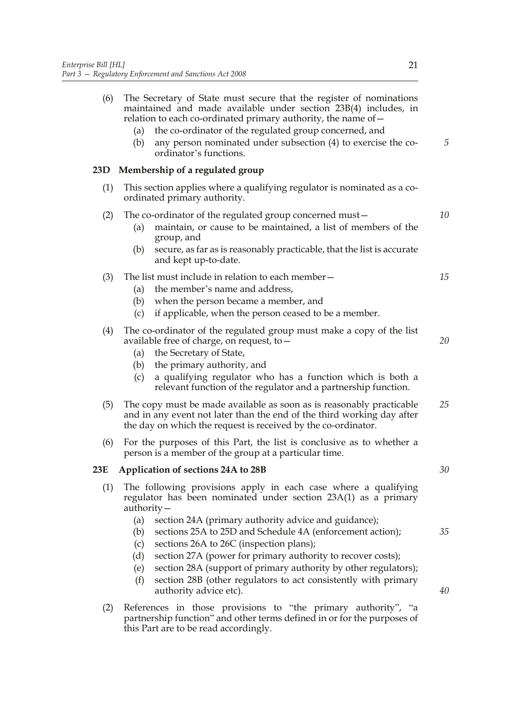**23D Membership of a regulated group**

**23E Application of sections 24A to 28B**

| (6) | The Secretary of State must secure that the register of nominations<br>maintained and made available under section 23B(4) includes, in<br>relation to each co-ordinated primary authority, the name of –<br>the co-ordinator of the regulated group concerned, and<br>(a)<br>any person nominated under subsection (4) to exercise the co-<br>(b)<br>ordinator's functions.                                                          | 5        |  |  |  |  |  |  |  |
|-----|--------------------------------------------------------------------------------------------------------------------------------------------------------------------------------------------------------------------------------------------------------------------------------------------------------------------------------------------------------------------------------------------------------------------------------------|----------|--|--|--|--|--|--|--|
| D   | Membership of a regulated group                                                                                                                                                                                                                                                                                                                                                                                                      |          |  |  |  |  |  |  |  |
| (1) | This section applies where a qualifying regulator is nominated as a co-<br>ordinated primary authority.                                                                                                                                                                                                                                                                                                                              |          |  |  |  |  |  |  |  |
| (2) | The co-ordinator of the regulated group concerned must –<br>maintain, or cause to be maintained, a list of members of the<br>(a)<br>group, and<br>secure, as far as is reasonably practicable, that the list is accurate<br>(b)                                                                                                                                                                                                      | 10       |  |  |  |  |  |  |  |
| (3) | and kept up-to-date.<br>The list must include in relation to each member –<br>the member's name and address,<br>(a)<br>when the person became a member, and<br>(b)<br>if applicable, when the person ceased to be a member.<br>(c)                                                                                                                                                                                                   | 15       |  |  |  |  |  |  |  |
| (4) | The co-ordinator of the regulated group must make a copy of the list<br>available free of charge, on request, to -<br>the Secretary of State,<br>(a)<br>the primary authority, and<br>(b)<br>a qualifying regulator who has a function which is both a<br>(c)<br>relevant function of the regulator and a partnership function.                                                                                                      | 20       |  |  |  |  |  |  |  |
| (5) | The copy must be made available as soon as is reasonably practicable<br>and in any event not later than the end of the third working day after<br>the day on which the request is received by the co-ordinator.                                                                                                                                                                                                                      | 25       |  |  |  |  |  |  |  |
| (6) | For the purposes of this Part, the list is conclusive as to whether a<br>person is a member of the group at a particular time.                                                                                                                                                                                                                                                                                                       |          |  |  |  |  |  |  |  |
| E   | Application of sections 24A to 28B                                                                                                                                                                                                                                                                                                                                                                                                   | 30       |  |  |  |  |  |  |  |
| (1) | The following provisions apply in each case where a qualifying<br>regulator has been nominated under section 23A(1) as a primary<br>$\alpha$ uthority –                                                                                                                                                                                                                                                                              |          |  |  |  |  |  |  |  |
|     | (a)<br>section 24A (primary authority advice and guidance);<br>sections 25A to 25D and Schedule 4A (enforcement action);<br>(b)<br>sections 26A to 26C (inspection plans);<br>(c)<br>section 27A (power for primary authority to recover costs);<br>(d)<br>section 28A (support of primary authority by other regulators);<br>(e)<br>section 28B (other regulators to act consistently with primary<br>(f)<br>authority advice etc). | 35<br>40 |  |  |  |  |  |  |  |
| (2) | References in those provisions to "the primary authority", "a<br>partnership function" and other terms defined in or for the purposes of<br>this Part are to be read accordingly.                                                                                                                                                                                                                                                    |          |  |  |  |  |  |  |  |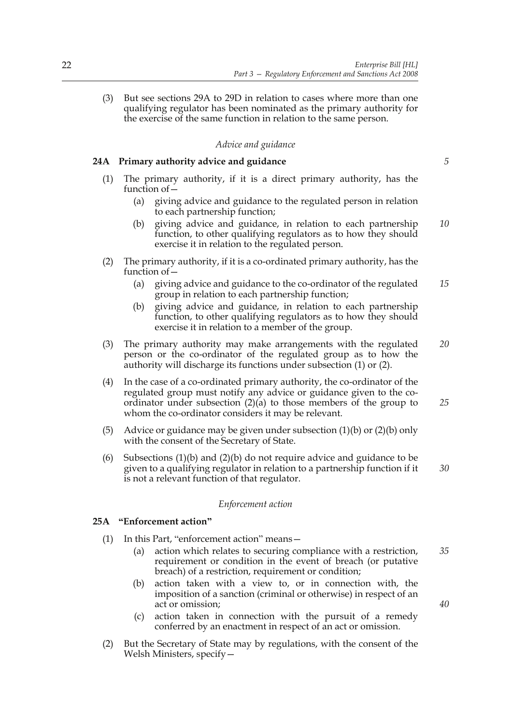(3) But see sections 29A to 29D in relation to cases where more than one qualifying regulator has been nominated as the primary authority for the exercise of the same function in relation to the same person.

## *Advice and guidance*

## **24A Primary authority advice and guidance**

- (1) The primary authority, if it is a direct primary authority, has the function of—
	- (a) giving advice and guidance to the regulated person in relation to each partnership function;
	- (b) giving advice and guidance, in relation to each partnership function, to other qualifying regulators as to how they should exercise it in relation to the regulated person. *10*
- (2) The primary authority, if it is a co-ordinated primary authority, has the function of—
	- (a) giving advice and guidance to the co-ordinator of the regulated group in relation to each partnership function; *15*
	- (b) giving advice and guidance, in relation to each partnership function, to other qualifying regulators as to how they should exercise it in relation to a member of the group.
- (3) The primary authority may make arrangements with the regulated person or the co-ordinator of the regulated group as to how the authority will discharge its functions under subsection (1) or (2). *20*
- (4) In the case of a co-ordinated primary authority, the co-ordinator of the regulated group must notify any advice or guidance given to the coordinator under subsection  $(2)(a)$  to those members of the group to whom the co-ordinator considers it may be relevant.
- (5) Advice or guidance may be given under subsection (1)(b) or (2)(b) only with the consent of the Secretary of State.
- (6) Subsections (1)(b) and (2)(b) do not require advice and guidance to be given to a qualifying regulator in relation to a partnership function if it is not a relevant function of that regulator. *30*

#### *Enforcement action*

#### **25A "Enforcement action"**

- (1) In this Part, "enforcement action" means—
	- (a) action which relates to securing compliance with a restriction, requirement or condition in the event of breach (or putative breach) of a restriction, requirement or condition; *35*
	- (b) action taken with a view to, or in connection with, the imposition of a sanction (criminal or otherwise) in respect of an act or omission;
	- (c) action taken in connection with the pursuit of a remedy conferred by an enactment in respect of an act or omission.
- (2) But the Secretary of State may by regulations, with the consent of the Welsh Ministers, specify—

*25*

*40*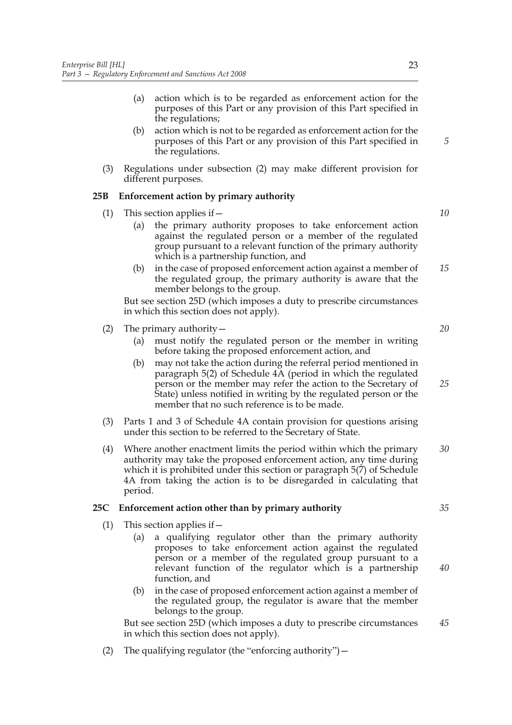- (a) action which is to be regarded as enforcement action for the purposes of this Part or any provision of this Part specified in the regulations;
- (b) action which is not to be regarded as enforcement action for the purposes of this Part or any provision of this Part specified in the regulations.
- (3) Regulations under subsection (2) may make different provision for different purposes.

## **25B Enforcement action by primary authority**

- (1) This section applies if  $-$ 
	- (a) the primary authority proposes to take enforcement action against the regulated person or a member of the regulated group pursuant to a relevant function of the primary authority which is a partnership function, and
	- (b) in the case of proposed enforcement action against a member of the regulated group, the primary authority is aware that the member belongs to the group. *15*

But see section 25D (which imposes a duty to prescribe circumstances in which this section does not apply).

- (2) The primary authority—
	- (a) must notify the regulated person or the member in writing before taking the proposed enforcement action, and
	- (b) may not take the action during the referral period mentioned in paragraph 5(2) of Schedule 4A (period in which the regulated person or the member may refer the action to the Secretary of State) unless notified in writing by the regulated person or the member that no such reference is to be made. *25*
- (3) Parts 1 and 3 of Schedule 4A contain provision for questions arising under this section to be referred to the Secretary of State.
- (4) Where another enactment limits the period within which the primary authority may take the proposed enforcement action, any time during which it is prohibited under this section or paragraph 5(7) of Schedule 4A from taking the action is to be disregarded in calculating that period. *30*

## **25C Enforcement action other than by primary authority**

- (1) This section applies if  $-$ 
	- (a) a qualifying regulator other than the primary authority proposes to take enforcement action against the regulated person or a member of the regulated group pursuant to a relevant function of the regulator which is a partnership function, and
	- (b) in the case of proposed enforcement action against a member of the regulated group, the regulator is aware that the member belongs to the group.

But see section 25D (which imposes a duty to prescribe circumstances in which this section does not apply). *45*

(2) The qualifying regulator (the "enforcing authority")  $-$ 

*5*

*10*

*20*

*35*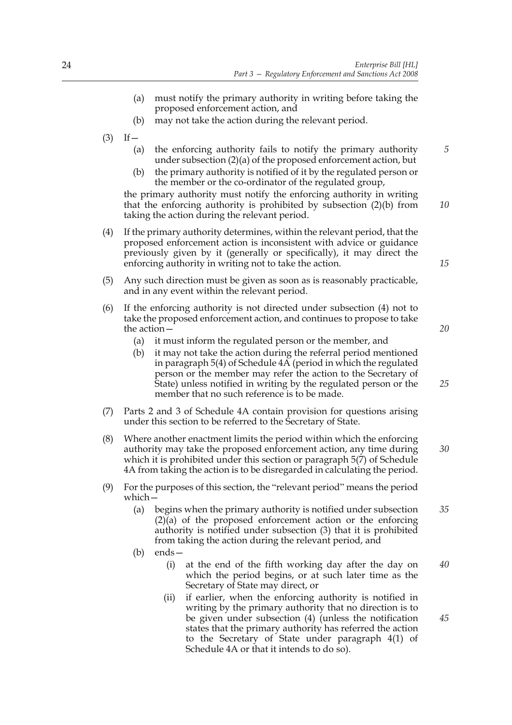- (a) must notify the primary authority in writing before taking the proposed enforcement action, and
- (b) may not take the action during the relevant period.
- $(3)$  If
	- (a) the enforcing authority fails to notify the primary authority under subsection (2)(a) of the proposed enforcement action, but
	- (b) the primary authority is notified of it by the regulated person or the member or the co-ordinator of the regulated group,

the primary authority must notify the enforcing authority in writing that the enforcing authority is prohibited by subsection (2)(b) from taking the action during the relevant period. *10*

- (4) If the primary authority determines, within the relevant period, that the proposed enforcement action is inconsistent with advice or guidance previously given by it (generally or specifically), it may direct the enforcing authority in writing not to take the action.
- (5) Any such direction must be given as soon as is reasonably practicable, and in any event within the relevant period.
- (6) If the enforcing authority is not directed under subsection (4) not to take the proposed enforcement action, and continues to propose to take the action—
	- (a) it must inform the regulated person or the member, and
	- (b) it may not take the action during the referral period mentioned in paragraph 5(4) of Schedule  $4\overrightarrow{A}$  (period in which the regulated person or the member may refer the action to the Secretary of State) unless notified in writing by the regulated person or the member that no such reference is to be made.
- (7) Parts 2 and 3 of Schedule 4A contain provision for questions arising under this section to be referred to the Secretary of State.
- (8) Where another enactment limits the period within which the enforcing authority may take the proposed enforcement action, any time during which it is prohibited under this section or paragraph 5(7) of Schedule 4A from taking the action is to be disregarded in calculating the period. *30*
- (9) For the purposes of this section, the "relevant period" means the period which—
	- (a) begins when the primary authority is notified under subsection (2)(a) of the proposed enforcement action or the enforcing authority is notified under subsection (3) that it is prohibited from taking the action during the relevant period, and *35*
	- (b) ends—
		- (i) at the end of the fifth working day after the day on which the period begins, or at such later time as the Secretary of State may direct, or *40*
		- (ii) if earlier, when the enforcing authority is notified in writing by the primary authority that no direction is to be given under subsection (4) (unless the notification states that the primary authority has referred the action to the Secretary of State under paragraph 4(1) of Schedule 4A or that it intends to do so).

*15*

*20*

*25*

*45*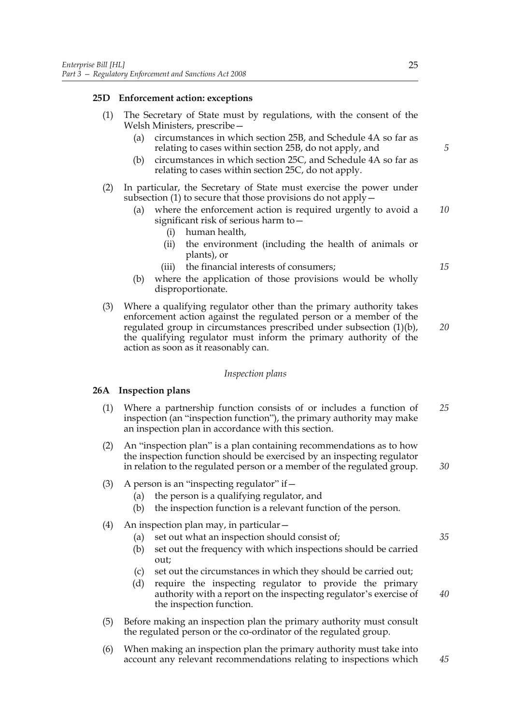## **25D Enforcement action: exceptions**

| (1) | The Secretary of State must by regulations, with the consent of the<br>Welsh Ministers, prescribe-<br>circumstances in which section 25B, and Schedule 4A so far as<br>(a)<br>relating to cases within section 25B, do not apply, and<br>circumstances in which section 25C, and Schedule 4A so far as<br>(b)<br>relating to cases within section 25C, do not apply. | 5  |  |  |  |
|-----|----------------------------------------------------------------------------------------------------------------------------------------------------------------------------------------------------------------------------------------------------------------------------------------------------------------------------------------------------------------------|----|--|--|--|
| (2) | In particular, the Secretary of State must exercise the power under<br>subsection $(1)$ to secure that those provisions do not apply $-$<br>where the enforcement action is required urgently to avoid a<br>(a)<br>significant risk of serious harm to -<br>human health,<br>(i)                                                                                     | 10 |  |  |  |
|     | the environment (including the health of animals or<br>(ii)<br>plants), or<br>the financial interests of consumers;<br>(iii)<br>where the application of those provisions would be wholly<br>(b)<br>disproportionate.                                                                                                                                                | 15 |  |  |  |
| (3) | Where a qualifying regulator other than the primary authority takes<br>enforcement action against the regulated person or a member of the<br>regulated group in circumstances prescribed under subsection (1)(b),<br>the qualifying regulator must inform the primary authority of the<br>action as soon as it reasonably can.                                       |    |  |  |  |
|     | Inspection plans                                                                                                                                                                                                                                                                                                                                                     |    |  |  |  |
|     | 26A Inspection plans                                                                                                                                                                                                                                                                                                                                                 |    |  |  |  |
| (1) | Where a partnership function consists of or includes a function of<br>inspection (an "inspection function"), the primary authority may make<br>an inspection plan in accordance with this section.                                                                                                                                                                   | 25 |  |  |  |

- (2) An "inspection plan" is a plan containing recommendations as to how the inspection function should be exercised by an inspecting regulator in relation to the regulated person or a member of the regulated group.
- (3) A person is an "inspecting regulator" if  $-$ 
	- (a) the person is a qualifying regulator, and
	- (b) the inspection function is a relevant function of the person.
- (4) An inspection plan may, in particular—
	- (a) set out what an inspection should consist of; *35*
	- (b) set out the frequency with which inspections should be carried out;
	- (c) set out the circumstances in which they should be carried out;
	- (d) require the inspecting regulator to provide the primary authority with a report on the inspecting regulator's exercise of the inspection function. *40*
- (5) Before making an inspection plan the primary authority must consult the regulated person or the co-ordinator of the regulated group.
- (6) When making an inspection plan the primary authority must take into account any relevant recommendations relating to inspections which *45*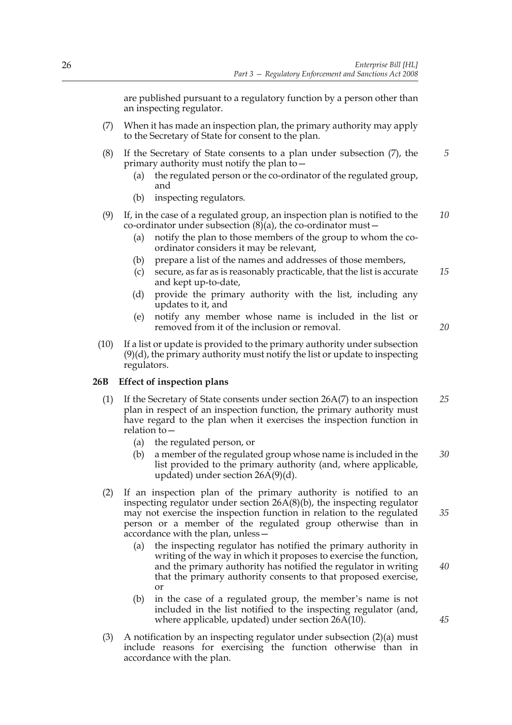are published pursuant to a regulatory function by a person other than an inspecting regulator.

- (7) When it has made an inspection plan, the primary authority may apply to the Secretary of State for consent to the plan.
- (8) If the Secretary of State consents to a plan under subsection (7), the primary authority must notify the plan to—
	- (a) the regulated person or the co-ordinator of the regulated group, and
	- (b) inspecting regulators.
- (9) If, in the case of a regulated group, an inspection plan is notified to the co-ordinator under subsection  $(8)(a)$ , the co-ordinator must – *10*
	- (a) notify the plan to those members of the group to whom the coordinator considers it may be relevant,
	- (b) prepare a list of the names and addresses of those members,
	- (c) secure, as far as is reasonably practicable, that the list is accurate and kept up-to-date, *15*
	- (d) provide the primary authority with the list, including any updates to it, and
	- (e) notify any member whose name is included in the list or removed from it of the inclusion or removal.

(10) If a list or update is provided to the primary authority under subsection (9)(d), the primary authority must notify the list or update to inspecting regulators.

#### **26B Effect of inspection plans**

- (1) If the Secretary of State consents under section 26A(7) to an inspection plan in respect of an inspection function, the primary authority must have regard to the plan when it exercises the inspection function in relation to $-$ *25*
	- (a) the regulated person, or
	- (b) a member of the regulated group whose name is included in the list provided to the primary authority (and, where applicable, updated) under section  $26A(9)(d)$ . *30*
- (2) If an inspection plan of the primary authority is notified to an inspecting regulator under section 26A(8)(b), the inspecting regulator may not exercise the inspection function in relation to the regulated person or a member of the regulated group otherwise than in accordance with the plan, unless—
	- (a) the inspecting regulator has notified the primary authority in writing of the way in which it proposes to exercise the function, and the primary authority has notified the regulator in writing that the primary authority consents to that proposed exercise, or
	- (b) in the case of a regulated group, the member's name is not included in the list notified to the inspecting regulator (and, where applicable, updated) under section 26A(10).
- (3) A notification by an inspecting regulator under subsection (2)(a) must include reasons for exercising the function otherwise than in accordance with the plan.

*45*

*40*

*35*

*20*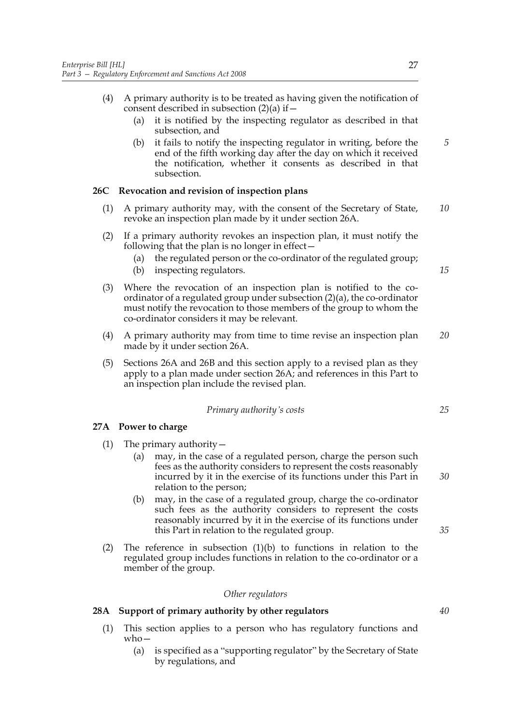- (4) A primary authority is to be treated as having given the notification of consent described in subsection  $(2)(a)$  if  $-$ 
	- (a) it is notified by the inspecting regulator as described in that subsection, and
	- (b) it fails to notify the inspecting regulator in writing, before the end of the fifth working day after the day on which it received the notification, whether it consents as described in that subsection.

## **26C Revocation and revision of inspection plans**

- (1) A primary authority may, with the consent of the Secretary of State, revoke an inspection plan made by it under section 26A. *10*
- (2) If a primary authority revokes an inspection plan, it must notify the following that the plan is no longer in effect—
	- (a) the regulated person or the co-ordinator of the regulated group;
	- (b) inspecting regulators.
- (3) Where the revocation of an inspection plan is notified to the coordinator of a regulated group under subsection (2)(a), the co-ordinator must notify the revocation to those members of the group to whom the co-ordinator considers it may be relevant.
- (4) A primary authority may from time to time revise an inspection plan made by it under section 26A. *20*
- (5) Sections 26A and 26B and this section apply to a revised plan as they apply to a plan made under section 26A; and references in this Part to an inspection plan include the revised plan.

*Primary authority's costs*

## **27A Power to charge**

- (1) The primary authority  $-$ 
	- (a) may, in the case of a regulated person, charge the person such fees as the authority considers to represent the costs reasonably incurred by it in the exercise of its functions under this Part in relation to the person;
	- (b) may, in the case of a regulated group, charge the co-ordinator such fees as the authority considers to represent the costs reasonably incurred by it in the exercise of its functions under this Part in relation to the regulated group.
- (2) The reference in subsection  $(1)(b)$  to functions in relation to the regulated group includes functions in relation to the co-ordinator or a member of the group.

#### *Other regulators*

## **28A Support of primary authority by other regulators**

- (1) This section applies to a person who has regulatory functions and who—
	- (a) is specified as a "supporting regulator" by the Secretary of State by regulations, and

*5*

*15*

*35*

*30*

*25*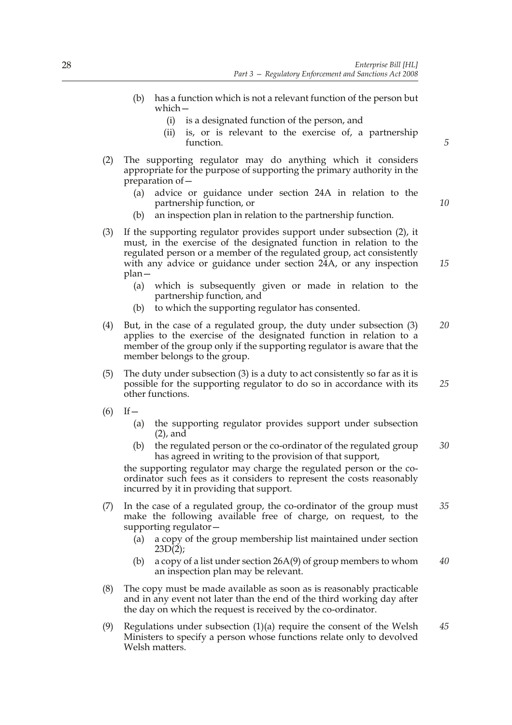- (b) has a function which is not a relevant function of the person but which—
	- (i) is a designated function of the person, and
	- (ii) is, or is relevant to the exercise of, a partnership function.
- (2) The supporting regulator may do anything which it considers appropriate for the purpose of supporting the primary authority in the preparation of—
	- (a) advice or guidance under section 24A in relation to the partnership function, or
	- (b) an inspection plan in relation to the partnership function.
- (3) If the supporting regulator provides support under subsection (2), it must, in the exercise of the designated function in relation to the regulated person or a member of the regulated group, act consistently with any advice or guidance under section 24A, or any inspection plan—
	- (a) which is subsequently given or made in relation to the partnership function, and
	- (b) to which the supporting regulator has consented.
- (4) But, in the case of a regulated group, the duty under subsection (3) applies to the exercise of the designated function in relation to a member of the group only if the supporting regulator is aware that the member belongs to the group. *20*
- (5) The duty under subsection (3) is a duty to act consistently so far as it is possible for the supporting regulator to do so in accordance with its other functions. *25*
- $(6)$  If
	- (a) the supporting regulator provides support under subsection (2), and
	- (b) the regulated person or the co-ordinator of the regulated group has agreed in writing to the provision of that support, *30*

the supporting regulator may charge the regulated person or the coordinator such fees as it considers to represent the costs reasonably incurred by it in providing that support.

- (7) In the case of a regulated group, the co-ordinator of the group must make the following available free of charge, on request, to the supporting regulator— *35*
	- (a) a copy of the group membership list maintained under section  $23D(2)$ ;
	- (b) a copy of a list under section 26A(9) of group members to whom an inspection plan may be relevant. *40*
- (8) The copy must be made available as soon as is reasonably practicable and in any event not later than the end of the third working day after the day on which the request is received by the co-ordinator.
- (9) Regulations under subsection (1)(a) require the consent of the Welsh Ministers to specify a person whose functions relate only to devolved Welsh matters. *45*

*10*

*15*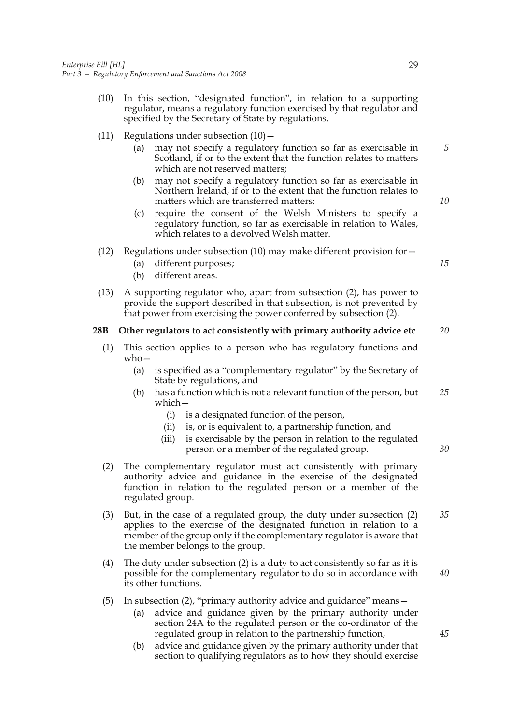- (10) In this section, "designated function", in relation to a supporting regulator, means a regulatory function exercised by that regulator and specified by the Secretary of State by regulations.
- (11) Regulations under subsection  $(10)$ 
	- (a) may not specify a regulatory function so far as exercisable in Scotland, if or to the extent that the function relates to matters which are not reserved matters;
	- (b) may not specify a regulatory function so far as exercisable in Northern Ireland, if or to the extent that the function relates to matters which are transferred matters;
	- (c) require the consent of the Welsh Ministers to specify a regulatory function, so far as exercisable in relation to Wales, which relates to a devolved Welsh matter.
- (12) Regulations under subsection (10) may make different provision for  $-$ 
	- (a) different purposes;
	- (b) different areas.
- (13) A supporting regulator who, apart from subsection (2), has power to provide the support described in that subsection, is not prevented by that power from exercising the power conferred by subsection (2).

#### **28B Other regulators to act consistently with primary authority advice etc** *20*

- (1) This section applies to a person who has regulatory functions and  $w$ ho $-$ 
	- (a) is specified as a "complementary regulator" by the Secretary of State by regulations, and
	- (b) has a function which is not a relevant function of the person, but which— *25*
		- (i) is a designated function of the person,
		- (ii) is, or is equivalent to, a partnership function, and
		- (iii) is exercisable by the person in relation to the regulated person or a member of the regulated group.
- (2) The complementary regulator must act consistently with primary authority advice and guidance in the exercise of the designated function in relation to the regulated person or a member of the regulated group.
- (3) But, in the case of a regulated group, the duty under subsection (2) applies to the exercise of the designated function in relation to a member of the group only if the complementary regulator is aware that the member belongs to the group. *35*
- (4) The duty under subsection (2) is a duty to act consistently so far as it is possible for the complementary regulator to do so in accordance with its other functions.
- (5) In subsection (2), "primary authority advice and guidance" means—
	- (a) advice and guidance given by the primary authority under section 24A to the regulated person or the co-ordinator of the regulated group in relation to the partnership function,
	- (b) advice and guidance given by the primary authority under that section to qualifying regulators as to how they should exercise

*10*

*15*

*5*

*30*

*45*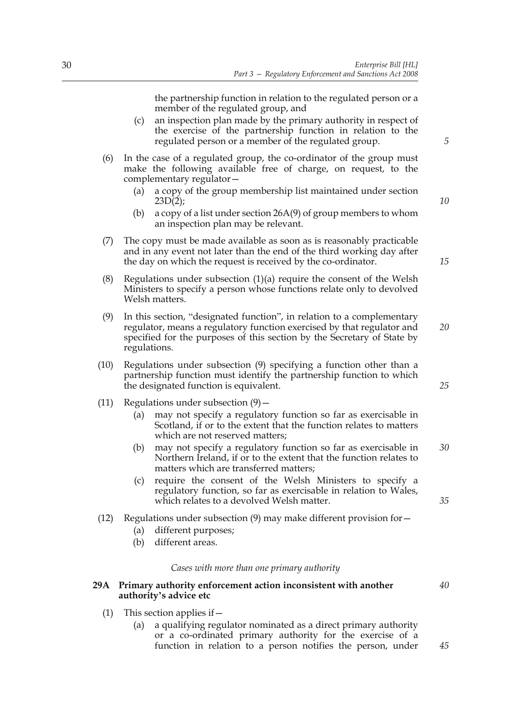the partnership function in relation to the regulated person or a member of the regulated group, and

- (c) an inspection plan made by the primary authority in respect of the exercise of the partnership function in relation to the regulated person or a member of the regulated group.
- (6) In the case of a regulated group, the co-ordinator of the group must make the following available free of charge, on request, to the complementary regulator—
	- (a) a copy of the group membership list maintained under section  $23D(2);$
	- (b) a copy of a list under section 26A(9) of group members to whom an inspection plan may be relevant.
- (7) The copy must be made available as soon as is reasonably practicable and in any event not later than the end of the third working day after the day on which the request is received by the co-ordinator.
- (8) Regulations under subsection (1)(a) require the consent of the Welsh Ministers to specify a person whose functions relate only to devolved Welsh matters.
- (9) In this section, "designated function", in relation to a complementary regulator, means a regulatory function exercised by that regulator and specified for the purposes of this section by the Secretary of State by regulations. *20*
- (10) Regulations under subsection (9) specifying a function other than a partnership function must identify the partnership function to which the designated function is equivalent.
- (11) Regulations under subsection  $(9)$ 
	- (a) may not specify a regulatory function so far as exercisable in Scotland, if or to the extent that the function relates to matters which are not reserved matters:
	- (b) may not specify a regulatory function so far as exercisable in Northern Ireland, if or to the extent that the function relates to matters which are transferred matters; *30*
	- (c) require the consent of the Welsh Ministers to specify a regulatory function, so far as exercisable in relation to Wales, which relates to a devolved Welsh matter.
- (12) Regulations under subsection  $(9)$  may make different provision for  $-$ 
	- (a) different purposes;
	- (b) different areas.

#### *Cases with more than one primary authority*

## **29A Primary authority enforcement action inconsistent with another authority's advice etc**

- (1) This section applies if  $-$ 
	- (a) a qualifying regulator nominated as a direct primary authority or a co-ordinated primary authority for the exercise of a function in relation to a person notifies the person, under

*15*

*10*

*5*

*25*

*35*

*40*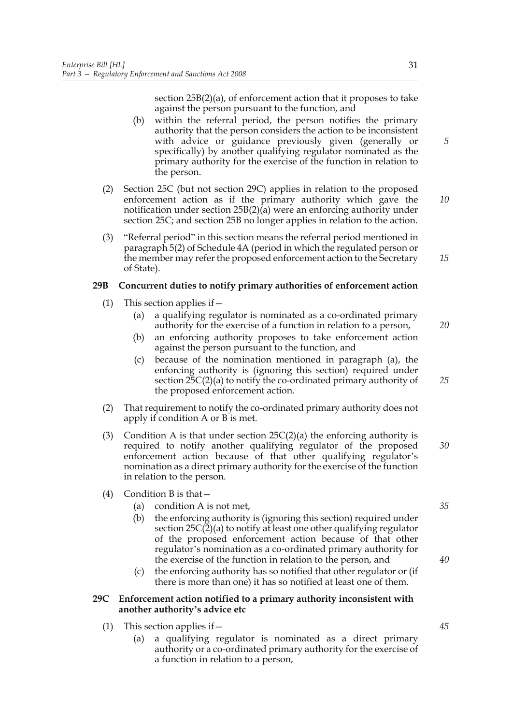section 25B(2)(a), of enforcement action that it proposes to take against the person pursuant to the function, and

- (b) within the referral period, the person notifies the primary authority that the person considers the action to be inconsistent with advice or guidance previously given (generally or specifically) by another qualifying regulator nominated as the primary authority for the exercise of the function in relation to the person.
- (2) Section 25C (but not section 29C) applies in relation to the proposed enforcement action as if the primary authority which gave the notification under section 25B(2)(a) were an enforcing authority under section 25C; and section 25B no longer applies in relation to the action. *10*
- (3) "Referral period" in this section means the referral period mentioned in paragraph 5(2) of Schedule 4A (period in which the regulated person or the member may refer the proposed enforcement action to the Secretary of State). *15*

## **29B Concurrent duties to notify primary authorities of enforcement action**

- (1) This section applies if  $-$ 
	- (a) a qualifying regulator is nominated as a co-ordinated primary authority for the exercise of a function in relation to a person,
	- (b) an enforcing authority proposes to take enforcement action against the person pursuant to the function, and
	- (c) because of the nomination mentioned in paragraph (a), the enforcing authority is (ignoring this section) required under section 25C(2)(a) to notify the co-ordinated primary authority of the proposed enforcement action.
- (2) That requirement to notify the co-ordinated primary authority does not apply if condition A or B is met.
- (3) Condition A is that under section  $25C(2)(a)$  the enforcing authority is required to notify another qualifying regulator of the proposed enforcement action because of that other qualifying regulator's nomination as a direct primary authority for the exercise of the function in relation to the person. *30*
- (4) Condition B is that—
	- (a) condition A is not met,
	- (b) the enforcing authority is (ignoring this section) required under section 25C(2)(a) to notify at least one other qualifying regulator of the proposed enforcement action because of that other regulator's nomination as a co-ordinated primary authority for the exercise of the function in relation to the person, and
	- (c) the enforcing authority has so notified that other regulator or (if there is more than one) it has so notified at least one of them.

## **29C Enforcement action notified to a primary authority inconsistent with another authority's advice etc**

- (1) This section applies if—
	- (a) a qualifying regulator is nominated as a direct primary authority or a co-ordinated primary authority for the exercise of a function in relation to a person,

*5*

*35*

*20*

*25*

*40*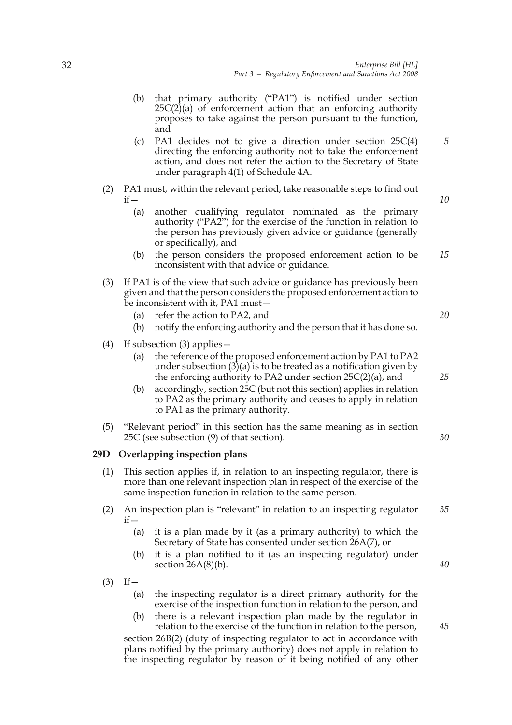- (b) that primary authority ("PA1") is notified under section  $25C(2)(a)$  of enforcement action that an enforcing authority proposes to take against the person pursuant to the function, and
- (c) PA1 decides not to give a direction under section 25C(4) directing the enforcing authority not to take the enforcement action, and does not refer the action to the Secretary of State under paragraph 4(1) of Schedule 4A.
- (2) PA1 must, within the relevant period, take reasonable steps to find out  $if -$ 
	- (a) another qualifying regulator nominated as the primary authority ("PA2") for the exercise of the function in relation to the person has previously given advice or guidance (generally or specifically), and
	- (b) the person considers the proposed enforcement action to be inconsistent with that advice or guidance. *15*
- (3) If PA1 is of the view that such advice or guidance has previously been given and that the person considers the proposed enforcement action to be inconsistent with it, PA1 must—
	- (a) refer the action to PA2, and
	- (b) notify the enforcing authority and the person that it has done so.
- (4) If subsection (3) applies—
	- (a) the reference of the proposed enforcement action by PA1 to PA2 under subsection  $(3)(a)$  is to be treated as a notification given by the enforcing authority to PA2 under section  $25C(2)(a)$ , and
	- (b) accordingly, section 25C (but not this section) applies in relation to PA2 as the primary authority and ceases to apply in relation to PA1 as the primary authority.
- (5) "Relevant period" in this section has the same meaning as in section 25C (see subsection (9) of that section).

## **29D Overlapping inspection plans**

- (1) This section applies if, in relation to an inspecting regulator, there is more than one relevant inspection plan in respect of the exercise of the same inspection function in relation to the same person.
- (2) An inspection plan is "relevant" in relation to an inspecting regulator  $if -$ *35*
	- (a) it is a plan made by it (as a primary authority) to which the Secretary of State has consented under section 26A(7), or
	- (b) it is a plan notified to it (as an inspecting regulator) under section  $26A(8)(b)$ .
- $(3)$  If
	- (a) the inspecting regulator is a direct primary authority for the exercise of the inspection function in relation to the person, and
	- (b) there is a relevant inspection plan made by the regulator in relation to the exercise of the function in relation to the person,

section 26B(2) (duty of inspecting regulator to act in accordance with plans notified by the primary authority) does not apply in relation to the inspecting regulator by reason of it being notified of any other *25*

*20*

*5*

*10*

*30*

*40*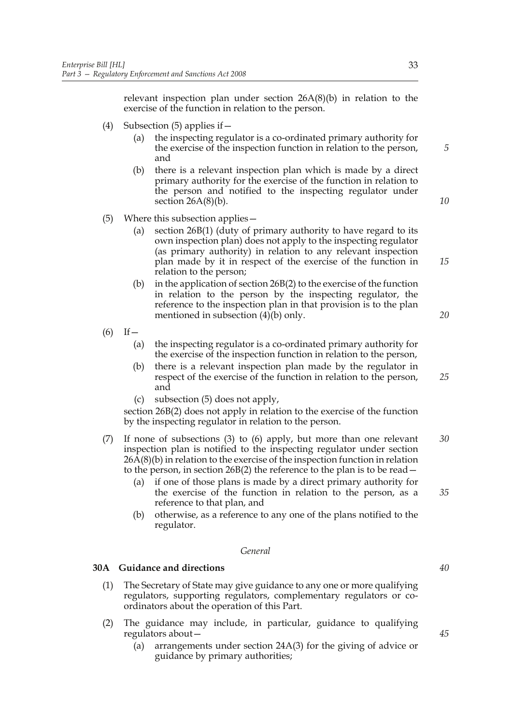relevant inspection plan under section 26A(8)(b) in relation to the exercise of the function in relation to the person.

- (4) Subsection  $(5)$  applies if  $-$ 
	- (a) the inspecting regulator is a co-ordinated primary authority for the exercise of the inspection function in relation to the person, and
	- (b) there is a relevant inspection plan which is made by a direct primary authority for the exercise of the function in relation to the person and notified to the inspecting regulator under section  $26A(8)(b)$ .
- (5) Where this subsection applies—
	- (a) section 26B(1) (duty of primary authority to have regard to its own inspection plan) does not apply to the inspecting regulator (as primary authority) in relation to any relevant inspection plan made by it in respect of the exercise of the function in relation to the person;
	- (b) in the application of section 26B(2) to the exercise of the function in relation to the person by the inspecting regulator, the reference to the inspection plan in that provision is to the plan mentioned in subsection (4)(b) only.
- $(6)$  If
	- (a) the inspecting regulator is a co-ordinated primary authority for the exercise of the inspection function in relation to the person,
	- (b) there is a relevant inspection plan made by the regulator in respect of the exercise of the function in relation to the person, and *25*
	- (c) subsection (5) does not apply,

section 26B(2) does not apply in relation to the exercise of the function by the inspecting regulator in relation to the person.

- (7) If none of subsections (3) to (6) apply, but more than one relevant inspection plan is notified to the inspecting regulator under section 26A(8)(b) in relation to the exercise of the inspection function in relation to the person, in section 26B(2) the reference to the plan is to be read— *30*
	- (a) if one of those plans is made by a direct primary authority for the exercise of the function in relation to the person, as a reference to that plan, and
	- (b) otherwise, as a reference to any one of the plans notified to the regulator.

#### *General*

#### **30A Guidance and directions**

- (1) The Secretary of State may give guidance to any one or more qualifying regulators, supporting regulators, complementary regulators or coordinators about the operation of this Part.
- (2) The guidance may include, in particular, guidance to qualifying regulators about—
	- (a) arrangements under section 24A(3) for the giving of advice or guidance by primary authorities;

*5*

*10*

*15*

*20*

*40*

*35*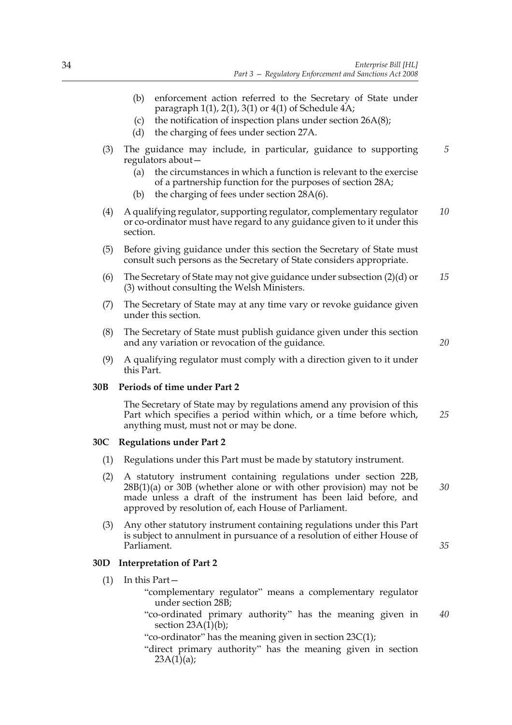- (b) enforcement action referred to the Secretary of State under paragraph  $1(1)$ ,  $2(1)$ ,  $3(1)$  or  $4(1)$  of Schedule  $4A$ ;
- (c) the notification of inspection plans under section 26A(8);
- (d) the charging of fees under section 27A.
- (3) The guidance may include, in particular, guidance to supporting regulators about—
	- (a) the circumstances in which a function is relevant to the exercise of a partnership function for the purposes of section 28A;
	- (b) the charging of fees under section 28A(6).
- (4) A qualifying regulator, supporting regulator, complementary regulator or co-ordinator must have regard to any guidance given to it under this section. *10*
- (5) Before giving guidance under this section the Secretary of State must consult such persons as the Secretary of State considers appropriate.
- (6) The Secretary of State may not give guidance under subsection (2)(d) or (3) without consulting the Welsh Ministers. *15*
- (7) The Secretary of State may at any time vary or revoke guidance given under this section.
- (8) The Secretary of State must publish guidance given under this section and any variation or revocation of the guidance.
- (9) A qualifying regulator must comply with a direction given to it under this Part.

## **30B Periods of time under Part 2**

The Secretary of State may by regulations amend any provision of this Part which specifies a period within which, or a time before which, anything must, must not or may be done. *25*

## **30C Regulations under Part 2**

- (1) Regulations under this Part must be made by statutory instrument.
- (2) A statutory instrument containing regulations under section 22B, 28B(1)(a) or 30B (whether alone or with other provision) may not be made unless a draft of the instrument has been laid before, and approved by resolution of, each House of Parliament.
- (3) Any other statutory instrument containing regulations under this Part is subject to annulment in pursuance of a resolution of either House of Parliament.

## **30D Interpretation of Part 2**

(1) In this Part—

"complementary regulator" means a complementary regulator under section 28B;

"co-ordinated primary authority" has the meaning given in section  $23A(1)(b)$ ; *40*

"co-ordinator" has the meaning given in section 23C(1);

"direct primary authority" has the meaning given in section  $23A(1)(a);$ 

*20*

*30*

*35*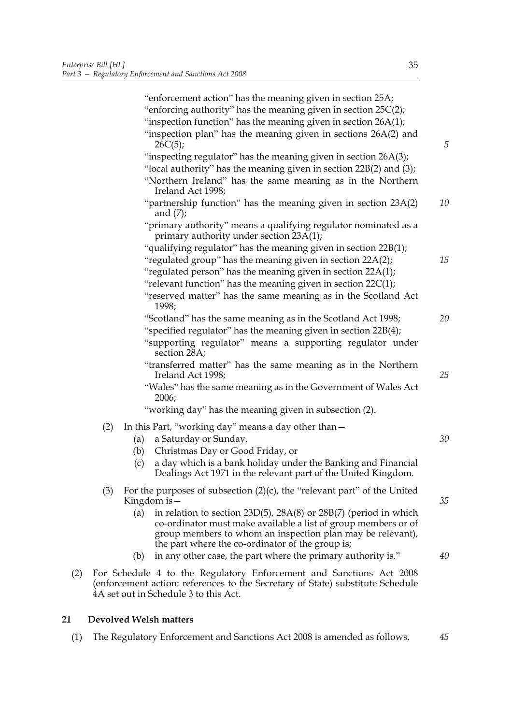|     |     | "enforcement action" has the meaning given in section 25A;<br>"enforcing authority" has the meaning given in section $25C(2)$ ;<br>"inspection function" has the meaning given in section 26A(1);<br>"inspection plan" has the meaning given in sections 26A(2) and |    |
|-----|-----|---------------------------------------------------------------------------------------------------------------------------------------------------------------------------------------------------------------------------------------------------------------------|----|
|     |     | 26C(5);                                                                                                                                                                                                                                                             | 5  |
|     |     | "inspecting regulator" has the meaning given in section 26A(3);<br>"local authority" has the meaning given in section 22B(2) and (3);<br>"Northern Ireland" has the same meaning as in the Northern                                                                 |    |
|     |     | Ireland Act 1998;                                                                                                                                                                                                                                                   |    |
|     |     | "partnership function" has the meaning given in section 23A(2)<br>and $(7)$ ;                                                                                                                                                                                       | 10 |
|     |     | "primary authority" means a qualifying regulator nominated as a<br>primary authority under section $23A(1)$ ;                                                                                                                                                       |    |
|     |     | "qualifying regulator" has the meaning given in section 22B(1);                                                                                                                                                                                                     |    |
|     |     | "regulated group" has the meaning given in section 22A(2);                                                                                                                                                                                                          | 15 |
|     |     | "regulated person" has the meaning given in section 22A(1);                                                                                                                                                                                                         |    |
|     |     | "relevant function" has the meaning given in section $22C(1)$ ;                                                                                                                                                                                                     |    |
|     |     | "reserved matter" has the same meaning as in the Scotland Act<br>1998;                                                                                                                                                                                              |    |
|     |     | "Scotland" has the same meaning as in the Scotland Act 1998;                                                                                                                                                                                                        | 20 |
|     |     | "specified regulator" has the meaning given in section 22B(4);                                                                                                                                                                                                      |    |
|     |     | "supporting regulator" means a supporting regulator under<br>section 28A;                                                                                                                                                                                           |    |
|     |     | "transferred matter" has the same meaning as in the Northern<br>Ireland Act 1998;                                                                                                                                                                                   | 25 |
|     |     | "Wales" has the same meaning as in the Government of Wales Act<br>2006;                                                                                                                                                                                             |    |
|     |     | "working day" has the meaning given in subsection (2).                                                                                                                                                                                                              |    |
|     | (2) | In this Part, "working day" means a day other than -                                                                                                                                                                                                                |    |
|     |     | a Saturday or Sunday,<br>(a)                                                                                                                                                                                                                                        | 30 |
|     |     | Christmas Day or Good Friday, or<br>(b)                                                                                                                                                                                                                             |    |
|     |     | a day which is a bank holiday under the Banking and Financial<br>(c)<br>Dealings Act 1971 in the relevant part of the United Kingdom.                                                                                                                               |    |
|     | (3) | For the purposes of subsection $(2)(c)$ , the "relevant part" of the United<br>Kingdom is $-$                                                                                                                                                                       | 35 |
|     |     | in relation to section 23D(5), 28A(8) or 28B(7) (period in which<br>(a)<br>co-ordinator must make available a list of group members or of<br>group members to whom an inspection plan may be relevant),<br>the part where the co-ordinator of the group is;         |    |
|     |     | in any other case, the part where the primary authority is."<br>(b)                                                                                                                                                                                                 | 40 |
| (2) |     | For Schedule 4 to the Regulatory Enforcement and Sanctions Act 2008<br>(enforcement action: references to the Secretary of State) substitute Schedule<br>4A set out in Schedule 3 to this Act.                                                                      |    |

# **21 Devolved Welsh matters**

(1) The Regulatory Enforcement and Sanctions Act 2008 is amended as follows. *45*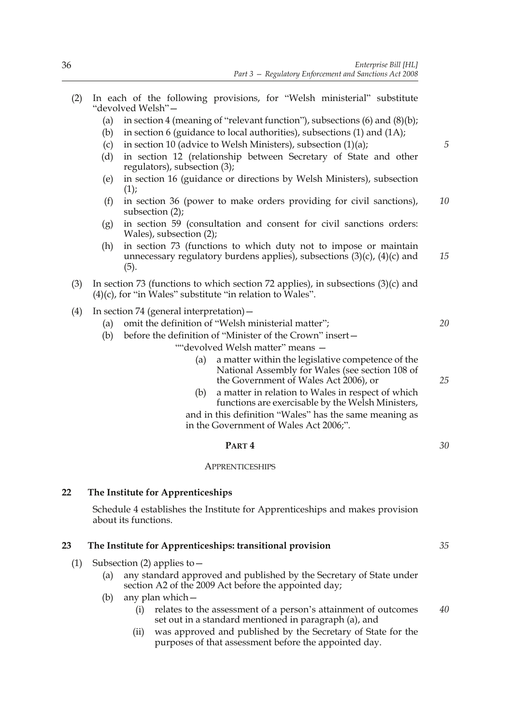- (2) In each of the following provisions, for "Welsh ministerial" substitute "devolved Welsh"—
	- (a) in section 4 (meaning of "relevant function"), subsections  $(6)$  and  $(8)(b)$ ;
	- (b) in section 6 (guidance to local authorities), subsections (1) and (1A);
	- (c) in section 10 (advice to Welsh Ministers), subsection  $(1)(a)$ ;
	- (d) in section 12 (relationship between Secretary of State and other regulators), subsection (3);
	- (e) in section 16 (guidance or directions by Welsh Ministers), subsection  $(1)$ ;
	- (f) in section 36 (power to make orders providing for civil sanctions), subsection (2); *10*
	- (g) in section 59 (consultation and consent for civil sanctions orders: Wales), subsection (2);
	- (h) in section 73 (functions to which duty not to impose or maintain unnecessary regulatory burdens applies), subsections  $(3)(c)$ ,  $(4)(c)$  and (5). *15*
- (3) In section 73 (functions to which section 72 applies), in subsections  $(3)(c)$  and  $(4)(c)$ , for "in Wales" substitute "in relation to Wales".
- (4) In section 74 (general interpretation)—
	- (a) omit the definition of "Welsh ministerial matter";
	- (b) before the definition of "Minister of the Crown" insert—
		- ""devolved Welsh matter" means
			- a matter within the legislative competence of the National Assembly for Wales (see section 108 of the Government of Wales Act 2006), or
			- (b) a matter in relation to Wales in respect of which functions are exercisable by the Welsh Ministers, and in this definition "Wales" has the same meaning as in the Government of Wales Act 2006;".
				- **PART 4** *30*

#### **APPRENTICESHIPS**

# **22 The Institute for Apprenticeships**

 Schedule 4 establishes the Institute for Apprenticeships and makes provision about its functions.

#### **23 The Institute for Apprenticeships: transitional provision**

- (1) Subsection (2) applies to  $-$ 
	- (a) any standard approved and published by the Secretary of State under section A2 of the 2009 Act before the appointed day;
	- (b) any plan which—
		- (i) relates to the assessment of a person's attainment of outcomes set out in a standard mentioned in paragraph (a), and *40*
		- (ii) was approved and published by the Secretary of State for the purposes of that assessment before the appointed day.

*35*

*5*

*20*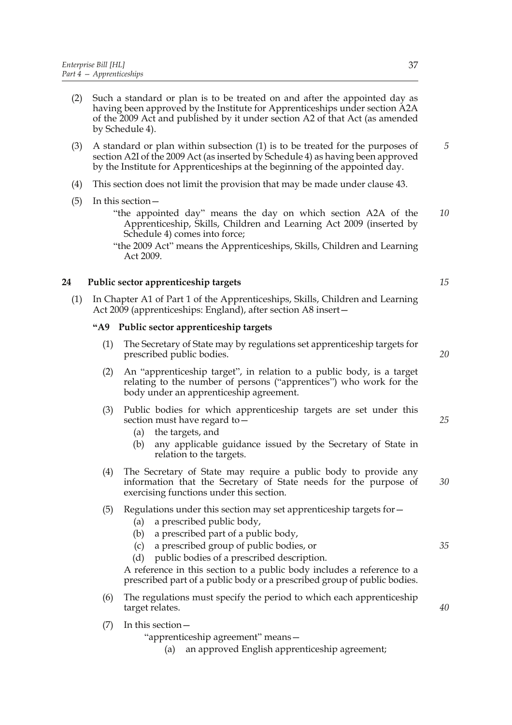- (2) Such a standard or plan is to be treated on and after the appointed day as having been approved by the Institute for Apprenticeships under section A2A of the 2009 Act and published by it under section A2 of that Act (as amended by Schedule 4).
- (3) A standard or plan within subsection (1) is to be treated for the purposes of section A2I of the 2009 Act (as inserted by Schedule 4) as having been approved by the Institute for Apprenticeships at the beginning of the appointed day. *5*
- (4) This section does not limit the provision that may be made under clause 43.
- (5) In this section—
	- "the appointed day" means the day on which section A2A of the Apprenticeship, Skills, Children and Learning Act 2009 (inserted by Schedule 4) comes into force; *10*

"the 2009 Act" means the Apprenticeships, Skills, Children and Learning Act 2009.

## **24 Public sector apprenticeship targets**

(1) In Chapter A1 of Part 1 of the Apprenticeships, Skills, Children and Learning Act 2009 (apprenticeships: England), after section A8 insert—

## **"A9 Public sector apprenticeship targets**

- (1) The Secretary of State may by regulations set apprenticeship targets for prescribed public bodies.
- (2) An "apprenticeship target", in relation to a public body, is a target relating to the number of persons ("apprentices") who work for the body under an apprenticeship agreement.
- (3) Public bodies for which apprenticeship targets are set under this section must have regard to—
	- (a) the targets, and
	- (b) any applicable guidance issued by the Secretary of State in relation to the targets.
- (4) The Secretary of State may require a public body to provide any information that the Secretary of State needs for the purpose of exercising functions under this section.

# (5) Regulations under this section may set apprenticeship targets for—

- (a) a prescribed public body,
- (b) a prescribed part of a public body,
- (c) a prescribed group of public bodies, or
- (d) public bodies of a prescribed description.

A reference in this section to a public body includes a reference to a prescribed part of a public body or a prescribed group of public bodies.

(6) The regulations must specify the period to which each apprenticeship target relates.

(7) In this section—

"apprenticeship agreement" means—

(a) an approved English apprenticeship agreement;

*20*

*15*

*25*

*35*

*40*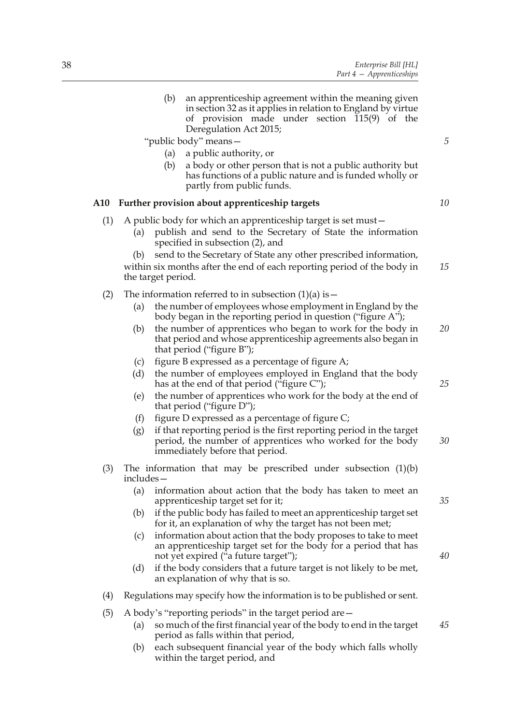|     |           | (b)<br>an apprenticeship agreement within the meaning given<br>in section 32 as it applies in relation to England by virtue<br>of provision made under section 115(9) of the<br>Deregulation Act 2015;<br>"public body" means-<br>a public authority, or<br>(a)<br>a body or other person that is not a public authority but<br>(b)<br>has functions of a public nature and is funded wholly or<br>partly from public funds. | 5  |
|-----|-----------|------------------------------------------------------------------------------------------------------------------------------------------------------------------------------------------------------------------------------------------------------------------------------------------------------------------------------------------------------------------------------------------------------------------------------|----|
| A10 |           | Further provision about apprenticeship targets                                                                                                                                                                                                                                                                                                                                                                               | 10 |
| (1) | (a)       | A public body for which an apprenticeship target is set must –<br>publish and send to the Secretary of State the information<br>specified in subsection (2), and                                                                                                                                                                                                                                                             |    |
|     | (b)       | send to the Secretary of State any other prescribed information,<br>within six months after the end of each reporting period of the body in<br>the target period.                                                                                                                                                                                                                                                            | 15 |
| (2) |           | The information referred to in subsection $(1)(a)$ is $-$                                                                                                                                                                                                                                                                                                                                                                    |    |
|     | (a)       | the number of employees whose employment in England by the<br>body began in the reporting period in question ("figure A");                                                                                                                                                                                                                                                                                                   |    |
|     | (b)       | the number of apprentices who began to work for the body in<br>that period and whose apprenticeship agreements also began in<br>that period ("figure B");                                                                                                                                                                                                                                                                    | 20 |
|     | (c)       | figure B expressed as a percentage of figure A;                                                                                                                                                                                                                                                                                                                                                                              |    |
|     | (d)       | the number of employees employed in England that the body<br>has at the end of that period ("figure C");                                                                                                                                                                                                                                                                                                                     | 25 |
|     | (e)       | the number of apprentices who work for the body at the end of<br>that period ("figure D");                                                                                                                                                                                                                                                                                                                                   |    |
|     | (f)       | figure D expressed as a percentage of figure C;                                                                                                                                                                                                                                                                                                                                                                              |    |
|     | (g)       | if that reporting period is the first reporting period in the target<br>period, the number of apprentices who worked for the body<br>immediately before that period.                                                                                                                                                                                                                                                         | 30 |
| (3) | includes- | The information that may be prescribed under subsection $(1)(b)$                                                                                                                                                                                                                                                                                                                                                             |    |
|     | (a)       | information about action that the body has taken to meet an<br>apprenticeship target set for it;                                                                                                                                                                                                                                                                                                                             | 35 |
|     | (b)       | if the public body has failed to meet an apprenticeship target set<br>for it, an explanation of why the target has not been met;                                                                                                                                                                                                                                                                                             |    |
|     | (c)       | information about action that the body proposes to take to meet<br>an apprenticeship target set for the body for a period that has<br>not yet expired ("a future target");                                                                                                                                                                                                                                                   | 40 |
|     | (d)       | if the body considers that a future target is not likely to be met,<br>an explanation of why that is so.                                                                                                                                                                                                                                                                                                                     |    |
| (4) |           | Regulations may specify how the information is to be published or sent.                                                                                                                                                                                                                                                                                                                                                      |    |
| (5) |           | A body's "reporting periods" in the target period are –                                                                                                                                                                                                                                                                                                                                                                      |    |
|     | (a)       | so much of the first financial year of the body to end in the target<br>period as falls within that period,                                                                                                                                                                                                                                                                                                                  | 45 |
|     | (b)       | each subsequent financial year of the body which falls wholly                                                                                                                                                                                                                                                                                                                                                                |    |

within the target period, and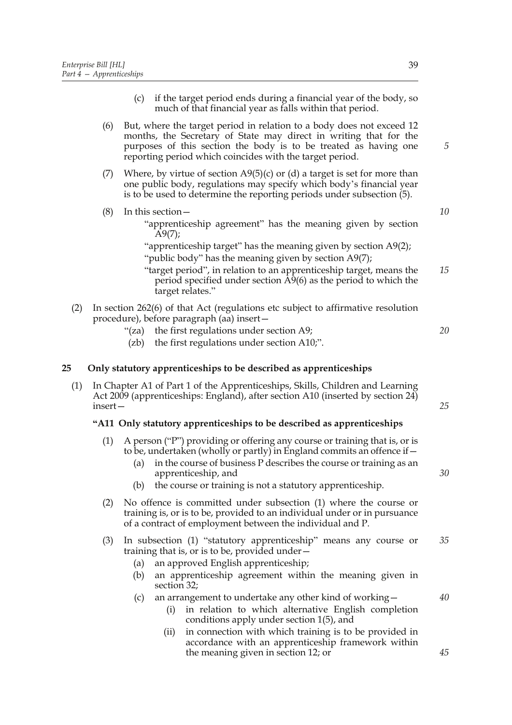- (c) if the target period ends during a financial year of the body, so much of that financial year as falls within that period.
- (6) But, where the target period in relation to a body does not exceed 12 months, the Secretary of State may direct in writing that for the purposes of this section the body is to be treated as having one reporting period which coincides with the target period.
- (7) Where, by virtue of section  $A9(5)(c)$  or (d) a target is set for more than one public body, regulations may specify which body's financial year is to be used to determine the reporting periods under subsection (5).
- (8) In this section—
	- "apprenticeship agreement" has the meaning given by section A9(7);

"apprenticeship target" has the meaning given by section A9(2); "public body" has the meaning given by section A9(7);

- "target period", in relation to an apprenticeship target, means the period specified under section  $\hat{A}9(6)$  as the period to which the target relates." *15*
- (2) In section 262(6) of that Act (regulations etc subject to affirmative resolution procedure), before paragraph (aa) insert—
	- "(za) the first regulations under section A9;
	- (zb) the first regulations under section A10;".

## **25 Only statutory apprenticeships to be described as apprenticeships**

(1) In Chapter A1 of Part 1 of the Apprenticeships, Skills, Children and Learning Act 2009 (apprenticeships: England), after section A10 (inserted by section 24) insert—

## **"A11 Only statutory apprenticeships to be described as apprenticeships**

- (1) A person ("P") providing or offering any course or training that is, or is to be, undertaken (wholly or partly) in England commits an offence if  $-$ 
	- (a) in the course of business P describes the course or training as an apprenticeship, and
	- (b) the course or training is not a statutory apprenticeship.
- (2) No offence is committed under subsection (1) where the course or training is, or is to be, provided to an individual under or in pursuance of a contract of employment between the individual and P.
- (3) In subsection (1) "statutory apprenticeship" means any course or training that is, or is to be, provided under— *35*
	- (a) an approved English apprenticeship;
	- (b) an apprenticeship agreement within the meaning given in section 32:
	- (c) an arrangement to undertake any other kind of working—
		- (i) in relation to which alternative English completion conditions apply under section 1(5), and
		- (ii) in connection with which training is to be provided in accordance with an apprenticeship framework within the meaning given in section 12; or

*40*

*45*

*25*

*30*

*20*

*5*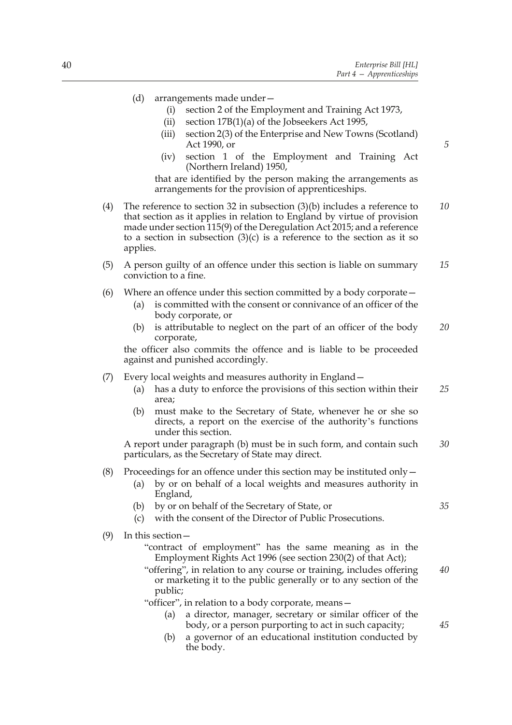- (d) arrangements made under—
	- (i) section 2 of the Employment and Training Act 1973,
	- (ii) section 17B(1)(a) of the Jobseekers Act 1995,
	- (iii) section 2(3) of the Enterprise and New Towns (Scotland) Act 1990, or
	- (iv) section 1 of the Employment and Training Act (Northern Ireland) 1950,

that are identified by the person making the arrangements as arrangements for the provision of apprenticeships.

- (4) The reference to section 32 in subsection (3)(b) includes a reference to that section as it applies in relation to England by virtue of provision made under section 115(9) of the Deregulation Act 2015; and a reference to a section in subsection  $(3)(c)$  is a reference to the section as it so applies. *10*
- (5) A person guilty of an offence under this section is liable on summary conviction to a fine. *15*
- (6) Where an offence under this section committed by a body corporate—
	- (a) is committed with the consent or connivance of an officer of the body corporate, or
	- (b) is attributable to neglect on the part of an officer of the body corporate, *20*

the officer also commits the offence and is liable to be proceeded against and punished accordingly.

- (7) Every local weights and measures authority in England—
	- (a) has a duty to enforce the provisions of this section within their area; *25*
	- (b) must make to the Secretary of State, whenever he or she so directs, a report on the exercise of the authority's functions under this section.

A report under paragraph (b) must be in such form, and contain such particulars, as the Secretary of State may direct. *30*

#### (8) Proceedings for an offence under this section may be instituted only  $-$

- (a) by or on behalf of a local weights and measures authority in England,
- (b) by or on behalf of the Secretary of State, or
- (c) with the consent of the Director of Public Prosecutions.
- (9) In this section—
	- "contract of employment" has the same meaning as in the Employment Rights Act 1996 (see section 230(2) of that Act);
	- "offering", in relation to any course or training, includes offering or marketing it to the public generally or to any section of the public;

"officer", in relation to a body corporate, means—

- (a) a director, manager, secretary or similar officer of the body, or a person purporting to act in such capacity;
- (b) a governor of an educational institution conducted by the body.

*5*

*40*

*45*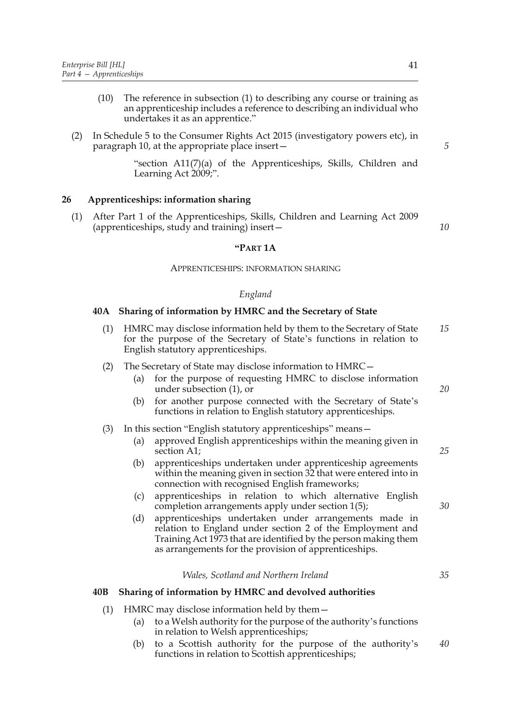- (10) The reference in subsection (1) to describing any course or training as an apprenticeship includes a reference to describing an individual who undertakes it as an apprentice."
- (2) In Schedule 5 to the Consumer Rights Act 2015 (investigatory powers etc), in paragraph 10, at the appropriate place insert—

"section A11(7)(a) of the Apprenticeships, Skills, Children and Learning Act 2009;".

## **26 Apprenticeships: information sharing**

(1) After Part 1 of the Apprenticeships, Skills, Children and Learning Act 2009 (apprenticeships, study and training) insert—

#### **"PART 1A**

#### APPRENTICESHIPS: INFORMATION SHARING

#### *England*

#### **40A Sharing of information by HMRC and the Secretary of State**

(1) HMRC may disclose information held by them to the Secretary of State for the purpose of the Secretary of State's functions in relation to English statutory apprenticeships. *15*

#### (2) The Secretary of State may disclose information to HMRC—

- (a) for the purpose of requesting HMRC to disclose information under subsection (1), or
- (b) for another purpose connected with the Secretary of State's functions in relation to English statutory apprenticeships.

#### (3) In this section "English statutory apprenticeships" means—

- (a) approved English apprenticeships within the meaning given in section A1:
- (b) apprenticeships undertaken under apprenticeship agreements within the meaning given in section 32 that were entered into in connection with recognised English frameworks;
- (c) apprenticeships in relation to which alternative English completion arrangements apply under section 1(5);
- (d) apprenticeships undertaken under arrangements made in relation to England under section 2 of the Employment and Training Act 1973 that are identified by the person making them as arrangements for the provision of apprenticeships.

#### *Wales, Scotland and Northern Ireland*

#### **40B Sharing of information by HMRC and devolved authorities**

- (1) HMRC may disclose information held by them—
	- (a) to a Welsh authority for the purpose of the authority's functions in relation to Welsh apprenticeships;
	- (b) to a Scottish authority for the purpose of the authority's functions in relation to Scottish apprenticeships; *40*

*5*

*10*

*25*

*20*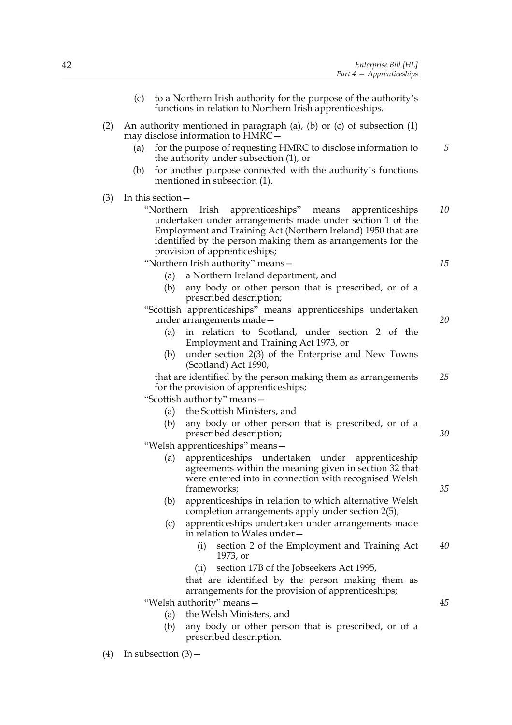|     | (c) |                       | to a Northern Irish authority for the purpose of the authority's<br>functions in relation to Northern Irish apprenticeships.                                                                                                                                                        |    |
|-----|-----|-----------------------|-------------------------------------------------------------------------------------------------------------------------------------------------------------------------------------------------------------------------------------------------------------------------------------|----|
| (2) |     |                       | An authority mentioned in paragraph (a), (b) or (c) of subsection $(1)$<br>may disclose information to HMRC-                                                                                                                                                                        |    |
|     | (a) |                       | for the purpose of requesting HMRC to disclose information to<br>the authority under subsection $(1)$ , or                                                                                                                                                                          | 5  |
|     | (b) |                       | for another purpose connected with the authority's functions<br>mentioned in subsection (1).                                                                                                                                                                                        |    |
| (3) |     | In this section –     |                                                                                                                                                                                                                                                                                     |    |
|     |     | "Northern             | Irish<br>apprenticeships"<br>means<br>apprenticeships<br>undertaken under arrangements made under section 1 of the<br>Employment and Training Act (Northern Ireland) 1950 that are<br>identified by the person making them as arrangements for the<br>provision of apprenticeships; | 10 |
|     |     |                       | "Northern Irish authority" means-                                                                                                                                                                                                                                                   | 15 |
|     |     | (a)                   | a Northern Ireland department, and                                                                                                                                                                                                                                                  |    |
|     |     | (b)                   | any body or other person that is prescribed, or of a<br>prescribed description;                                                                                                                                                                                                     |    |
|     |     |                       | "Scottish apprenticeships" means apprenticeships undertaken<br>under arrangements made-                                                                                                                                                                                             | 20 |
|     |     | (a)                   | in relation to Scotland, under section 2 of the<br>Employment and Training Act 1973, or                                                                                                                                                                                             |    |
|     |     | (b)                   | under section 2(3) of the Enterprise and New Towns<br>(Scotland) Act 1990,                                                                                                                                                                                                          |    |
|     |     |                       | that are identified by the person making them as arrangements<br>for the provision of apprenticeships;                                                                                                                                                                              | 25 |
|     |     |                       | "Scottish authority" means-                                                                                                                                                                                                                                                         |    |
|     |     | (a)                   | the Scottish Ministers, and                                                                                                                                                                                                                                                         |    |
|     |     | (b)                   | any body or other person that is prescribed, or of a<br>prescribed description;                                                                                                                                                                                                     | 30 |
|     |     |                       | "Welsh apprenticeships" means-                                                                                                                                                                                                                                                      |    |
|     |     | (a)                   | apprenticeships undertaken under apprenticeship<br>agreements within the meaning given in section 32 that<br>were entered into in connection with recognised Welsh                                                                                                                  |    |
|     |     |                       | frameworks;                                                                                                                                                                                                                                                                         | 35 |
|     |     | (b)                   | apprenticeships in relation to which alternative Welsh<br>completion arrangements apply under section 2(5);                                                                                                                                                                         |    |
|     |     | (c)                   | apprenticeships undertaken under arrangements made<br>in relation to Wales under-                                                                                                                                                                                                   |    |
|     |     |                       | section 2 of the Employment and Training Act<br>(i)<br>1973, or                                                                                                                                                                                                                     | 40 |
|     |     |                       | section 17B of the Jobseekers Act 1995,<br>(ii)                                                                                                                                                                                                                                     |    |
|     |     |                       | that are identified by the person making them as<br>arrangements for the provision of apprenticeships;                                                                                                                                                                              |    |
|     |     |                       | "Welsh authority" means-                                                                                                                                                                                                                                                            | 45 |
|     |     | (a)                   | the Welsh Ministers, and                                                                                                                                                                                                                                                            |    |
|     |     | (b)                   | any body or other person that is prescribed, or of a<br>prescribed description.                                                                                                                                                                                                     |    |
| (4) |     | In subsection $(3)$ – |                                                                                                                                                                                                                                                                                     |    |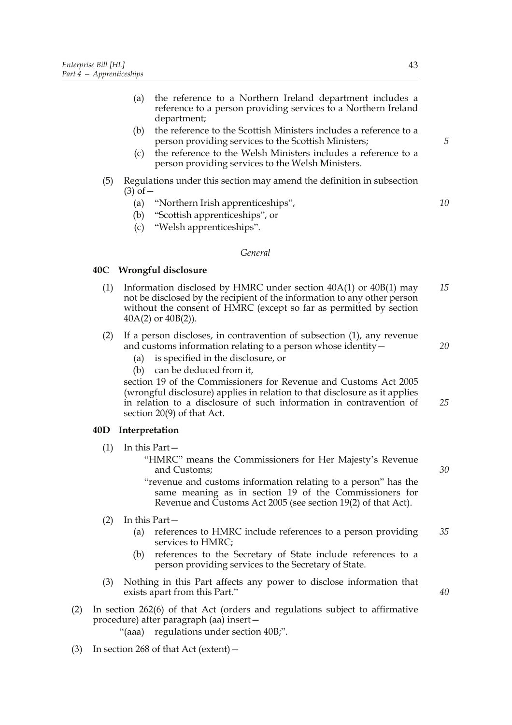- (a) the reference to a Northern Ireland department includes a reference to a person providing services to a Northern Ireland department;
- (b) the reference to the Scottish Ministers includes a reference to a person providing services to the Scottish Ministers;
- (c) the reference to the Welsh Ministers includes a reference to a person providing services to the Welsh Ministers.
- (5) Regulations under this section may amend the definition in subsection  $(3)$  of  $-$ 
	- (a) "Northern Irish apprenticeships",
	- (b) "Scottish apprenticeships", or
	- (c) "Welsh apprenticeships".

#### *General*

## **40C Wrongful disclosure**

- (1) Information disclosed by HMRC under section  $40A(1)$  or  $40B(1)$  may not be disclosed by the recipient of the information to any other person without the consent of HMRC (except so far as permitted by section 40A(2) or 40B(2)). *15*
- (2) If a person discloses, in contravention of subsection (1), any revenue and customs information relating to a person whose identity—
	- (a) is specified in the disclosure, or
	- (b) can be deduced from it,

section 19 of the Commissioners for Revenue and Customs Act 2005 (wrongful disclosure) applies in relation to that disclosure as it applies in relation to a disclosure of such information in contravention of section 20(9) of that Act.

## **40D Interpretation**

- (1) In this Part—
	- "HMRC" means the Commissioners for Her Majesty's Revenue and Customs;
	- "revenue and customs information relating to a person" has the same meaning as in section 19 of the Commissioners for Revenue and Customs Act 2005 (see section 19(2) of that Act).
- (2) In this Part—
	- (a) references to HMRC include references to a person providing services to HMRC; *35*
	- (b) references to the Secretary of State include references to a person providing services to the Secretary of State.
- (3) Nothing in this Part affects any power to disclose information that exists apart from this Part."
- (2) In section 262(6) of that Act (orders and regulations subject to affirmative procedure) after paragraph (aa) insert—
	- "(aaa) regulations under section 40B;".
- (3) In section 268 of that Act (extent)  $-$

*5*

*10*

*20*

*25*

*30*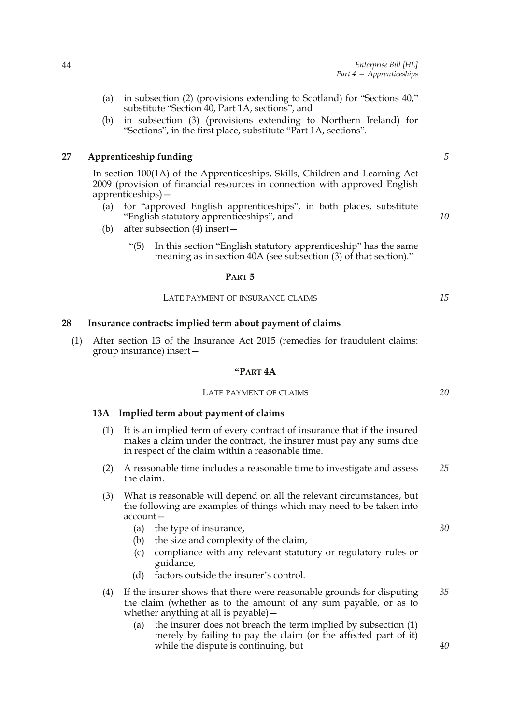- (a) in subsection (2) (provisions extending to Scotland) for "Sections 40," substitute "Section 40, Part 1A, sections", and
- (b) in subsection (3) (provisions extending to Northern Ireland) for "Sections", in the first place, substitute "Part 1A, sections".

## **27 Apprenticeship funding**

*5*

*10*

*15*

In section 100(1A) of the Apprenticeships, Skills, Children and Learning Act 2009 (provision of financial resources in connection with approved English apprenticeships)—

- (a) for "approved English apprenticeships", in both places, substitute "English statutory apprenticeships", and
- (b) after subsection (4) insert—
	- "(5) In this section "English statutory apprenticeship" has the same meaning as in section 40A (see subsection (3) of that section)."

## **PART 5**

## LATE PAYMENT OF INSURANCE CLAIMS

## **28 Insurance contracts: implied term about payment of claims**

(1) After section 13 of the Insurance Act 2015 (remedies for fraudulent claims: group insurance) insert—

#### **"PART 4A**

## LATE PAYMENT OF CLAIMS

## **13A Implied term about payment of claims**

- (1) It is an implied term of every contract of insurance that if the insured makes a claim under the contract, the insurer must pay any sums due in respect of the claim within a reasonable time.
- (2) A reasonable time includes a reasonable time to investigate and assess the claim. *25*
- (3) What is reasonable will depend on all the relevant circumstances, but the following are examples of things which may need to be taken into account—
	- (a) the type of insurance,
	- (b) the size and complexity of the claim,
	- (c) compliance with any relevant statutory or regulatory rules or guidance,
	- (d) factors outside the insurer's control.
- (4) If the insurer shows that there were reasonable grounds for disputing the claim (whether as to the amount of any sum payable, or as to whether anything at all is payable)— *35*
	- (a) the insurer does not breach the term implied by subsection (1) merely by failing to pay the claim (or the affected part of it) while the dispute is continuing, but

*20*

*30*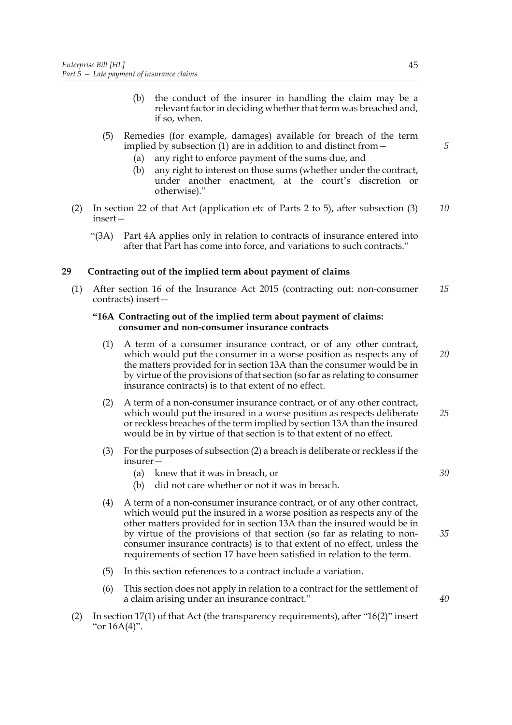- (b) the conduct of the insurer in handling the claim may be a relevant factor in deciding whether that term was breached and, if so, when.
- (5) Remedies (for example, damages) available for breach of the term implied by subsection (1) are in addition to and distinct from—
	- (a) any right to enforce payment of the sums due, and
	- (b) any right to interest on those sums (whether under the contract, under another enactment, at the court's discretion or otherwise)."
- (2) In section 22 of that Act (application etc of Parts 2 to 5), after subsection (3) insert— *10*
	- "(3A) Part 4A applies only in relation to contracts of insurance entered into after that Part has come into force, and variations to such contracts."

## **29 Contracting out of the implied term about payment of claims**

(1) After section 16 of the Insurance Act 2015 (contracting out: non-consumer contracts) insert— *15*

## **"16A Contracting out of the implied term about payment of claims: consumer and non-consumer insurance contracts**

- (1) A term of a consumer insurance contract, or of any other contract, which would put the consumer in a worse position as respects any of the matters provided for in section 13A than the consumer would be in by virtue of the provisions of that section (so far as relating to consumer insurance contracts) is to that extent of no effect. *20*
- (2) A term of a non-consumer insurance contract, or of any other contract, which would put the insured in a worse position as respects deliberate or reckless breaches of the term implied by section 13A than the insured would be in by virtue of that section is to that extent of no effect. *25*
- (3) For the purposes of subsection (2) a breach is deliberate or reckless if the insurer—
	- (a) knew that it was in breach, or
	- (b) did not care whether or not it was in breach.
- (4) A term of a non-consumer insurance contract, or of any other contract, which would put the insured in a worse position as respects any of the other matters provided for in section 13A than the insured would be in by virtue of the provisions of that section (so far as relating to nonconsumer insurance contracts) is to that extent of no effect, unless the requirements of section 17 have been satisfied in relation to the term. *35*
- (5) In this section references to a contract include a variation.
- (6) This section does not apply in relation to a contract for the settlement of a claim arising under an insurance contract."
- (2) In section 17(1) of that Act (the transparency requirements), after "16(2)" insert "or 16A(4)".

*5*

*30*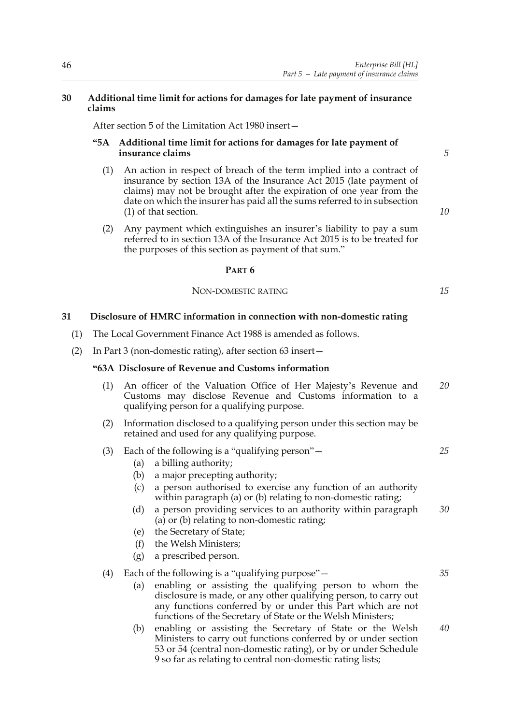## **30 Additional time limit for actions for damages for late payment of insurance claims**

After section 5 of the Limitation Act 1980 insert—

## **"5A Additional time limit for actions for damages for late payment of insurance claims**

*5*

*10*

- (1) An action in respect of breach of the term implied into a contract of insurance by section 13A of the Insurance Act 2015 (late payment of claims) may not be brought after the expiration of one year from the date on which the insurer has paid all the sums referred to in subsection (1) of that section.
- (2) Any payment which extinguishes an insurer's liability to pay a sum referred to in section 13A of the Insurance Act 2015 is to be treated for the purposes of this section as payment of that sum."

## **PART 6**

## NON-DOMESTIC RATING

# **31 Disclosure of HMRC information in connection with non-domestic rating**

- (1) The Local Government Finance Act 1988 is amended as follows.
- (2) In Part 3 (non-domestic rating), after section 63 insert—

## **"63A Disclosure of Revenue and Customs information**

- (1) An officer of the Valuation Office of Her Majesty's Revenue and Customs may disclose Revenue and Customs information to a qualifying person for a qualifying purpose. *20*
- (2) Information disclosed to a qualifying person under this section may be retained and used for any qualifying purpose.
- (3) Each of the following is a "qualifying person"—
	- (a) a billing authority;
	- (b) a major precepting authority;
	- (c) a person authorised to exercise any function of an authority within paragraph (a) or (b) relating to non-domestic rating;
	- (d) a person providing services to an authority within paragraph (a) or (b) relating to non-domestic rating; *30*
	- (e) the Secretary of State;
	- (f) the Welsh Ministers;
	- (g) a prescribed person.
- (4) Each of the following is a "qualifying purpose"—
	- (a) enabling or assisting the qualifying person to whom the disclosure is made, or any other qualifying person, to carry out any functions conferred by or under this Part which are not functions of the Secretary of State or the Welsh Ministers;
	- (b) enabling or assisting the Secretary of State or the Welsh Ministers to carry out functions conferred by or under section 53 or 54 (central non-domestic rating), or by or under Schedule 9 so far as relating to central non-domestic rating lists; *40*

*15*

*25*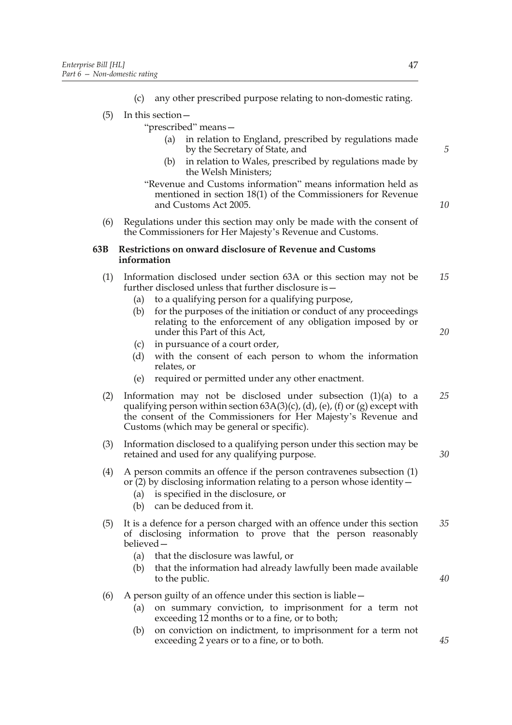- (5) In this section—
	- "prescribed" means
		- in relation to England, prescribed by regulations made by the Secretary of State, and
		- (b) in relation to Wales, prescribed by regulations made by the Welsh Ministers;
	- "Revenue and Customs information" means information held as mentioned in section 18(1) of the Commissioners for Revenue and Customs Act 2005.
- (6) Regulations under this section may only be made with the consent of the Commissioners for Her Majesty's Revenue and Customs.

## **63B Restrictions on onward disclosure of Revenue and Customs information**

- (1) Information disclosed under section 63A or this section may not be further disclosed unless that further disclosure is— *15*
	- (a) to a qualifying person for a qualifying purpose,
	- (b) for the purposes of the initiation or conduct of any proceedings relating to the enforcement of any obligation imposed by or under this Part of this Act,
	- (c) in pursuance of a court order,
	- (d) with the consent of each person to whom the information relates, or
	- (e) required or permitted under any other enactment.
- (2) Information may not be disclosed under subsection (1)(a) to a qualifying person within section  $63A(3)(c)$ ,  $(d)$ ,  $(e)$ ,  $(f)$  or  $(g)$  except with the consent of the Commissioners for Her Majesty's Revenue and Customs (which may be general or specific). *25*
- (3) Information disclosed to a qualifying person under this section may be retained and used for any qualifying purpose.
- (4) A person commits an offence if the person contravenes subsection (1) or  $(2)$  by disclosing information relating to a person whose identity  $-$ 
	- (a) is specified in the disclosure, or
	- (b) can be deduced from it.
- (5) It is a defence for a person charged with an offence under this section of disclosing information to prove that the person reasonably believed— *35*
	- (a) that the disclosure was lawful, or
	- (b) that the information had already lawfully been made available to the public.
- (6) A person guilty of an offence under this section is liable—
	- (a) on summary conviction, to imprisonment for a term not exceeding 12 months or to a fine, or to both;
	- (b) on conviction on indictment, to imprisonment for a term not exceeding 2 years or to a fine, or to both.

*40*

*10*

*20*

*30*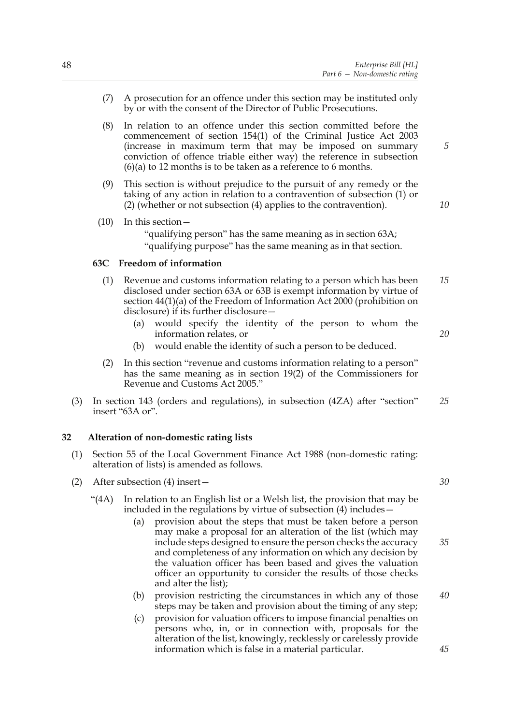- (7) A prosecution for an offence under this section may be instituted only by or with the consent of the Director of Public Prosecutions.
- (8) In relation to an offence under this section committed before the commencement of section 154(1) of the Criminal Justice Act 2003 (increase in maximum term that may be imposed on summary conviction of offence triable either way) the reference in subsection (6)(a) to 12 months is to be taken as a reference to 6 months.
- (9) This section is without prejudice to the pursuit of any remedy or the taking of any action in relation to a contravention of subsection (1) or (2) (whether or not subsection (4) applies to the contravention).
- (10) In this section— "qualifying person" has the same meaning as in section 63A; "qualifying purpose" has the same meaning as in that section.

## **63C Freedom of information**

- (1) Revenue and customs information relating to a person which has been disclosed under section 63A or 63B is exempt information by virtue of section 44(1)(a) of the Freedom of Information Act 2000 (prohibition on disclosure) if its further disclosure— *15*
	- (a) would specify the identity of the person to whom the information relates, or
	- (b) would enable the identity of such a person to be deduced.
- (2) In this section "revenue and customs information relating to a person" has the same meaning as in section 19(2) of the Commissioners for Revenue and Customs Act 2005."
- (3) In section 143 (orders and regulations), in subsection (4ZA) after "section" insert "63A or". *25*

## **32 Alteration of non-domestic rating lists**

- (1) Section 55 of the Local Government Finance Act 1988 (non-domestic rating: alteration of lists) is amended as follows.
- (2) After subsection (4) insert—
	- "(4A) In relation to an English list or a Welsh list, the provision that may be included in the regulations by virtue of subsection (4) includes—
		- (a) provision about the steps that must be taken before a person may make a proposal for an alteration of the list (which may include steps designed to ensure the person checks the accuracy and completeness of any information on which any decision by the valuation officer has been based and gives the valuation officer an opportunity to consider the results of those checks and alter the list);
		- (b) provision restricting the circumstances in which any of those steps may be taken and provision about the timing of any step; *40*
		- (c) provision for valuation officers to impose financial penalties on persons who, in, or in connection with, proposals for the alteration of the list, knowingly, recklessly or carelessly provide information which is false in a material particular.

*5*

*10*

*20*

*30*

*35*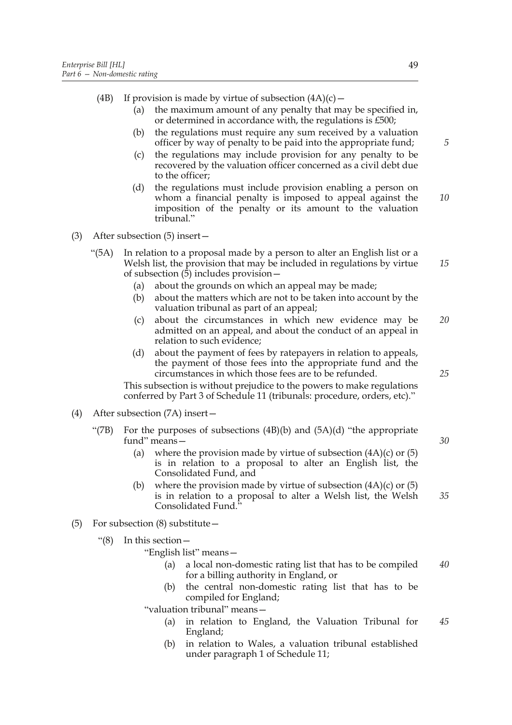(4B) If provision is made by virtue of subsection  $(4A)(c)$  –

- (a) the maximum amount of any penalty that may be specified in, or determined in accordance with, the regulations is £500;
- (b) the regulations must require any sum received by a valuation officer by way of penalty to be paid into the appropriate fund;
- (c) the regulations may include provision for any penalty to be recovered by the valuation officer concerned as a civil debt due to the officer;
- (d) the regulations must include provision enabling a person on whom a financial penalty is imposed to appeal against the imposition of the penalty or its amount to the valuation tribunal." *10*
- (3) After subsection (5) insert—
	- "(5A) In relation to a proposal made by a person to alter an English list or a Welsh list, the provision that may be included in regulations by virtue of subsection (5) includes provision— *15*
		- (a) about the grounds on which an appeal may be made;
		- (b) about the matters which are not to be taken into account by the valuation tribunal as part of an appeal;
		- (c) about the circumstances in which new evidence may be admitted on an appeal, and about the conduct of an appeal in relation to such evidence; *20*
		- (d) about the payment of fees by ratepayers in relation to appeals, the payment of those fees into the appropriate fund and the circumstances in which those fees are to be refunded.

This subsection is without prejudice to the powers to make regulations conferred by Part 3 of Schedule 11 (tribunals: procedure, orders, etc)."

- (4) After subsection (7A) insert—
	- "(7B) For the purposes of subsections  $(4B)(b)$  and  $(5A)(d)$  "the appropriate" fund" means—
		- (a) where the provision made by virtue of subsection  $(4A)(c)$  or  $(5)$ is in relation to a proposal to alter an English list, the Consolidated Fund, and
		- (b) where the provision made by virtue of subsection  $(4A)(c)$  or  $(5)$ is in relation to a proposal to alter a Welsh list, the Welsh Consolidated Fund." *35*
- (5) For subsection (8) substitute—
	- "(8) In this section—
		- "English list" means
			- a local non-domestic rating list that has to be compiled for a billing authority in England, or *40*
			- (b) the central non-domestic rating list that has to be compiled for England;

"valuation tribunal" means—

- (a) in relation to England, the Valuation Tribunal for England; *45*
- (b) in relation to Wales, a valuation tribunal established under paragraph 1 of Schedule 11;

*5*

*30*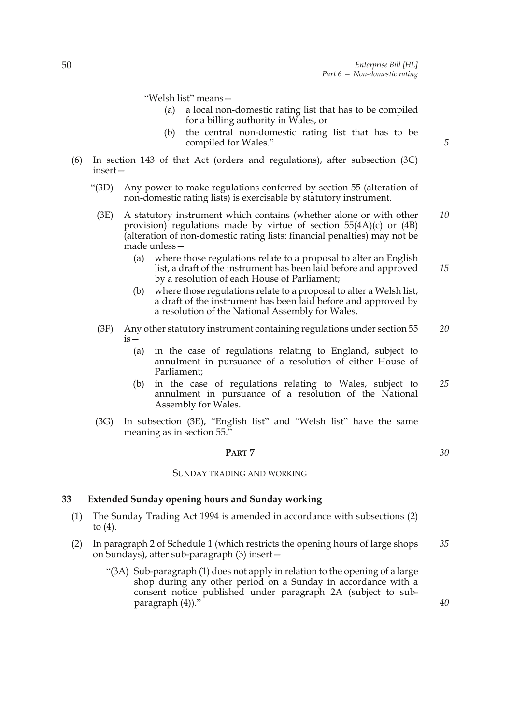"Welsh list" means—

- (a) a local non-domestic rating list that has to be compiled for a billing authority in Wales, or
- (b) the central non-domestic rating list that has to be compiled for Wales."
- (6) In section 143 of that Act (orders and regulations), after subsection (3C) insert—
	- "(3D) Any power to make regulations conferred by section 55 (alteration of non-domestic rating lists) is exercisable by statutory instrument.
	- (3E) A statutory instrument which contains (whether alone or with other provision) regulations made by virtue of section 55(4A)(c) or (4B) (alteration of non-domestic rating lists: financial penalties) may not be made unless— *10*
		- (a) where those regulations relate to a proposal to alter an English list, a draft of the instrument has been laid before and approved by a resolution of each House of Parliament; *15*
		- (b) where those regulations relate to a proposal to alter a Welsh list, a draft of the instrument has been laid before and approved by a resolution of the National Assembly for Wales.
	- (3F) Any other statutory instrument containing regulations under section 55 is— *20*
		- (a) in the case of regulations relating to England, subject to annulment in pursuance of a resolution of either House of Parliament;
		- (b) in the case of regulations relating to Wales, subject to annulment in pursuance of a resolution of the National Assembly for Wales. *25*
	- (3G) In subsection (3E), "English list" and "Welsh list" have the same meaning as in section 55.

## **PART 7**

#### SUNDAY TRADING AND WORKING

#### **33 Extended Sunday opening hours and Sunday working**

- (1) The Sunday Trading Act 1994 is amended in accordance with subsections (2) to  $(4)$ .
- (2) In paragraph 2 of Schedule 1 (which restricts the opening hours of large shops on Sundays), after sub-paragraph (3) insert— *35*
	- "(3A) Sub-paragraph (1) does not apply in relation to the opening of a large shop during any other period on a Sunday in accordance with a consent notice published under paragraph 2A (subject to subparagraph (4))."

*5*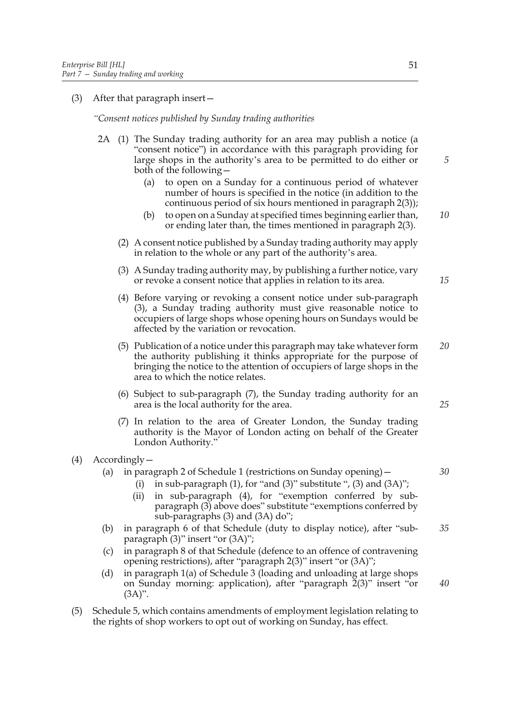## (3) After that paragraph insert—

*"Consent notices published by Sunday trading authorities*

- 2A (1) The Sunday trading authority for an area may publish a notice (a "consent notice") in accordance with this paragraph providing for large shops in the authority's area to be permitted to do either or both of the following—
	- (a) to open on a Sunday for a continuous period of whatever number of hours is specified in the notice (in addition to the continuous period of six hours mentioned in paragraph 2(3));
	- (b) to open on a Sunday at specified times beginning earlier than, or ending later than, the times mentioned in paragraph 2(3). *10*
	- (2) A consent notice published by a Sunday trading authority may apply in relation to the whole or any part of the authority's area.
	- (3) A Sunday trading authority may, by publishing a further notice, vary or revoke a consent notice that applies in relation to its area.
	- (4) Before varying or revoking a consent notice under sub-paragraph (3), a Sunday trading authority must give reasonable notice to occupiers of large shops whose opening hours on Sundays would be affected by the variation or revocation.
	- (5) Publication of a notice under this paragraph may take whatever form the authority publishing it thinks appropriate for the purpose of bringing the notice to the attention of occupiers of large shops in the area to which the notice relates. *20*
	- (6) Subject to sub-paragraph (7), the Sunday trading authority for an area is the local authority for the area.
	- (7) In relation to the area of Greater London, the Sunday trading authority is the Mayor of London acting on behalf of the Greater London Authority."
- (4) Accordingly—

## (a) in paragraph 2 of Schedule 1 (restrictions on Sunday opening)—

- (i) in sub-paragraph  $(1)$ , for "and  $(3)$ " substitute ",  $(3)$  and  $(3A)$ ";
- (ii) in sub-paragraph (4), for "exemption conferred by subparagraph (3) above does" substitute "exemptions conferred by sub-paragraphs (3) and (3A) do";
- (b) in paragraph 6 of that Schedule (duty to display notice), after "subparagraph (3)" insert "or (3A)"; *35*
- (c) in paragraph 8 of that Schedule (defence to an offence of contravening opening restrictions), after "paragraph 2(3)" insert "or (3A)";
- (d) in paragraph 1(a) of Schedule 3 (loading and unloading at large shops on Sunday morning: application), after "paragraph 2(3)" insert "or (3A)".
- (5) Schedule 5, which contains amendments of employment legislation relating to the rights of shop workers to opt out of working on Sunday, has effect.

*5*

*15*

*30*

*25*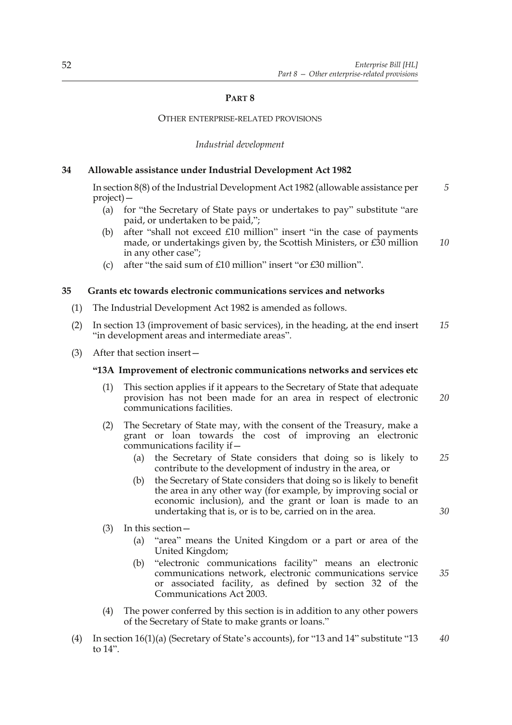## **PART 8**

#### OTHER ENTERPRISE-RELATED PROVISIONS

*Industrial development*

## **34 Allowable assistance under Industrial Development Act 1982**

In section 8(8) of the Industrial Development Act 1982 (allowable assistance per project)— *5*

- (a) for "the Secretary of State pays or undertakes to pay" substitute "are paid, or undertaken to be paid,";
- (b) after "shall not exceed £10 million" insert "in the case of payments made, or undertakings given by, the Scottish Ministers, or £30 million in any other case"; *10*
- (c) after "the said sum of £10 million" insert "or £30 million".

## **35 Grants etc towards electronic communications services and networks**

- (1) The Industrial Development Act 1982 is amended as follows.
- (2) In section 13 (improvement of basic services), in the heading, at the end insert "in development areas and intermediate areas". *15*
- (3) After that section insert—

#### **"13A Improvement of electronic communications networks and services etc**

- (1) This section applies if it appears to the Secretary of State that adequate provision has not been made for an area in respect of electronic communications facilities. *20*
- (2) The Secretary of State may, with the consent of the Treasury, make a grant or loan towards the cost of improving an electronic communications facility if—
	- (a) the Secretary of State considers that doing so is likely to contribute to the development of industry in the area, or *25*
	- (b) the Secretary of State considers that doing so is likely to benefit the area in any other way (for example, by improving social or economic inclusion), and the grant or loan is made to an undertaking that is, or is to be, carried on in the area.
- (3) In this section—
	- (a) "area" means the United Kingdom or a part or area of the United Kingdom;
	- (b) "electronic communications facility" means an electronic communications network, electronic communications service or associated facility, as defined by section 32 of the Communications Act 2003.
- (4) The power conferred by this section is in addition to any other powers of the Secretary of State to make grants or loans."
- (4) In section 16(1)(a) (Secretary of State's accounts), for "13 and 14" substitute "13 to 14". *40*

*30*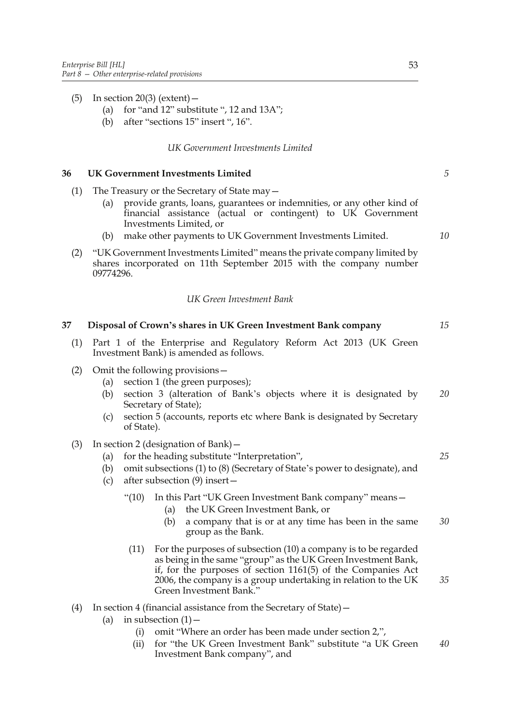- (5) In section 20(3) (extent)  $-$ 
	- (a) for "and 12" substitute ", 12 and 13A";
	- (b) after "sections 15" insert ", 16".

## *UK Government Investments Limited*

## **36 UK Government Investments Limited**

- (1) The Treasury or the Secretary of State may—
	- (a) provide grants, loans, guarantees or indemnities, or any other kind of financial assistance (actual or contingent) to UK Government Investments Limited, or
	- (b) make other payments to UK Government Investments Limited.
- (2) "UK Government Investments Limited" means the private company limited by shares incorporated on 11th September 2015 with the company number 09774296.

## *UK Green Investment Bank*

| 37  | Disposal of Crown's shares in UK Green Investment Bank company                                                                                                                                                                                                                                          | 15 |
|-----|---------------------------------------------------------------------------------------------------------------------------------------------------------------------------------------------------------------------------------------------------------------------------------------------------------|----|
| (1) | Part 1 of the Enterprise and Regulatory Reform Act 2013 (UK Green<br>Investment Bank) is amended as follows.                                                                                                                                                                                            |    |
| (2) | Omit the following provisions-<br>section 1 (the green purposes);<br>(a)<br>section 3 (alteration of Bank's objects where it is designated by<br>(b)<br>Secretary of State);<br>section 5 (accounts, reports etc where Bank is designated by Secretary<br>(c)<br>of State).                             | 20 |
| (3) | In section 2 (designation of Bank) $-$<br>for the heading substitute "Interpretation",<br>(a)<br>omit subsections (1) to (8) (Secretary of State's power to designate), and<br>(b)<br>after subsection (9) insert-<br>(c)                                                                               | 25 |
|     | $\cdot (10)$<br>In this Part "UK Green Investment Bank company" means -<br>the UK Green Investment Bank, or<br>(a)<br>a company that is or at any time has been in the same<br>(b)<br>group as the Bank.                                                                                                | 30 |
|     | For the purposes of subsection (10) a company is to be regarded<br>(11)<br>as being in the same "group" as the UK Green Investment Bank,<br>if, for the purposes of section $1161(5)$ of the Companies Act<br>2006, the company is a group undertaking in relation to the UK<br>Green Investment Bank." | 35 |
| (4) | In section 4 (financial assistance from the Secretary of State) –<br>in subsection $(1)$ –<br>(a)<br>omit "Where an order has been made under section 2,",<br>(i)<br>for "the UK Green Investment Bank" substitute "a UK Green<br>(ii)<br>Investment Bank company", and                                 | 40 |

*5*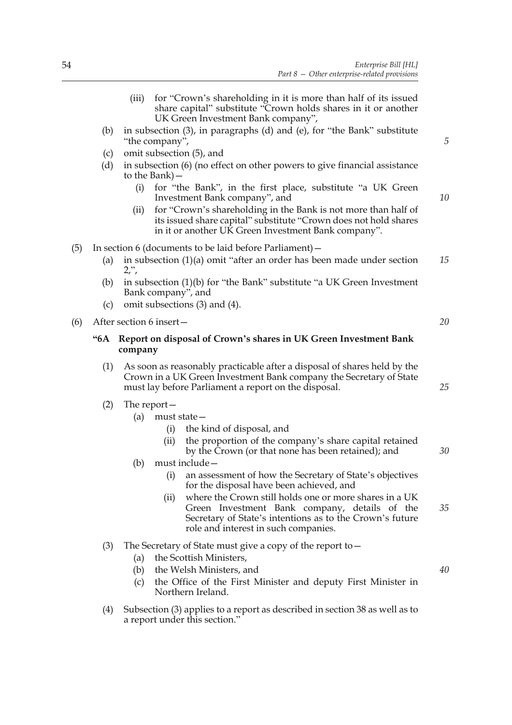- (iii) for "Crown's shareholding in it is more than half of its issued share capital" substitute "Crown holds shares in it or another UK Green Investment Bank company", (b) in subsection (3), in paragraphs (d) and (e), for "the Bank" substitute "the company",
- (c) omit subsection (5), and
- (d) in subsection (6) (no effect on other powers to give financial assistance to the Bank)—
	- (i) for "the Bank", in the first place, substitute "a UK Green Investment Bank company", and
	- (ii) for "Crown's shareholding in the Bank is not more than half of its issued share capital" substitute "Crown does not hold shares in it or another UK Green Investment Bank company".
- (5) In section 6 (documents to be laid before Parliament)—
	- (a) in subsection (1)(a) omit "after an order has been made under section 2,", *15*
	- (b) in subsection (1)(b) for "the Bank" substitute "a UK Green Investment Bank company", and
	- (c) omit subsections (3) and (4).
- (6) After section 6 insert—

## **"6A Report on disposal of Crown's shares in UK Green Investment Bank company**

- (1) As soon as reasonably practicable after a disposal of shares held by the Crown in a UK Green Investment Bank company the Secretary of State must lay before Parliament a report on the disposal.
- (2) The report—
	- (a) must state—
		- (i) the kind of disposal, and
		- (ii) the proportion of the company's share capital retained by the Crown (or that none has been retained); and
	- (b) must include—
		- (i) an assessment of how the Secretary of State's objectives for the disposal have been achieved, and
		- (ii) where the Crown still holds one or more shares in a UK Green Investment Bank company, details of the Secretary of State's intentions as to the Crown's future role and interest in such companies. *35*
- (3) The Secretary of State must give a copy of the report to—
	- (a) the Scottish Ministers,
	- (b) the Welsh Ministers, and
	- (c) the Office of the First Minister and deputy First Minister in Northern Ireland.
- (4) Subsection (3) applies to a report as described in section 38 as well as to a report under this section."

*20*

*5*

*10*

*25*

*30*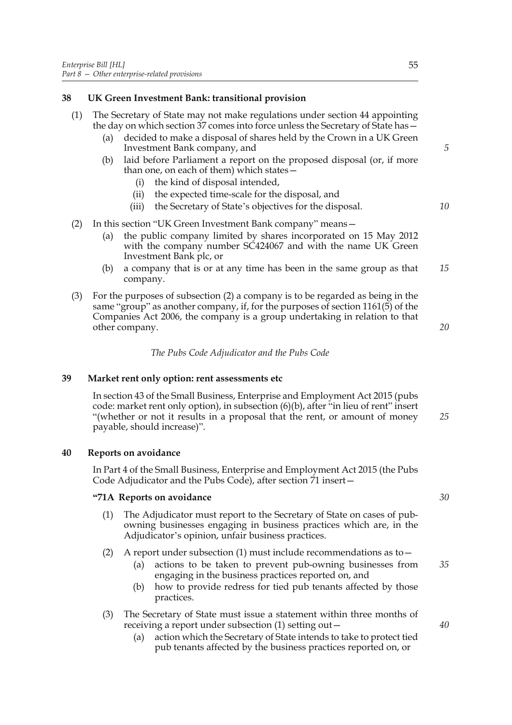## **38 UK Green Investment Bank: transitional provision**

- (1) The Secretary of State may not make regulations under section 44 appointing the day on which section 37 comes into force unless the Secretary of State has—
	- (a) decided to make a disposal of shares held by the Crown in a UK Green Investment Bank company, and
	- (b) laid before Parliament a report on the proposed disposal (or, if more than one, on each of them) which states—
		- (i) the kind of disposal intended,
		- (ii) the expected time-scale for the disposal, and
		- (iii) the Secretary of State's objectives for the disposal.
- (2) In this section "UK Green Investment Bank company" means—
	- (a) the public company limited by shares incorporated on 15 May 2012 with the company number SC424067 and with the name UK Green Investment Bank plc, or
	- (b) a company that is or at any time has been in the same group as that company. *15*
- (3) For the purposes of subsection (2) a company is to be regarded as being in the same "group" as another company, if, for the purposes of section 1161(5) of the Companies Act 2006, the company is a group undertaking in relation to that other company.

*The Pubs Code Adjudicator and the Pubs Code*

## **39 Market rent only option: rent assessments etc**

In section 43 of the Small Business, Enterprise and Employment Act 2015 (pubs code: market rent only option), in subsection (6)(b), after "in lieu of rent" insert "(whether or not it results in a proposal that the rent, or amount of money payable, should increase)".

## **40 Reports on avoidance**

In Part 4 of the Small Business, Enterprise and Employment Act 2015 (the Pubs Code Adjudicator and the Pubs Code), after section 71 insert—

## **"71A Reports on avoidance**

- (1) The Adjudicator must report to the Secretary of State on cases of pubowning businesses engaging in business practices which are, in the Adjudicator's opinion, unfair business practices.
- (2) A report under subsection (1) must include recommendations as to  $-$ 
	- (a) actions to be taken to prevent pub-owning businesses from engaging in the business practices reported on, and
	- (b) how to provide redress for tied pub tenants affected by those practices.
- (3) The Secretary of State must issue a statement within three months of receiving a report under subsection (1) setting out—
	- (a) action which the Secretary of State intends to take to protect tied pub tenants affected by the business practices reported on, or

*5*

*10*

*20*

*30*

*25*

*40*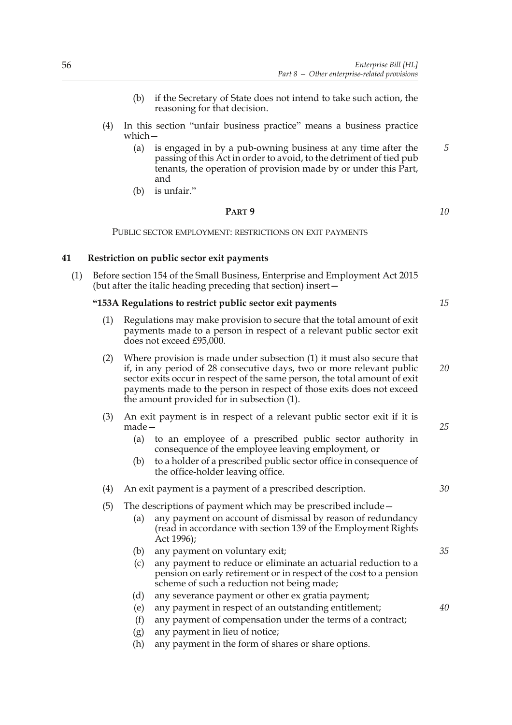- (b) if the Secretary of State does not intend to take such action, the reasoning for that decision.
- (4) In this section "unfair business practice" means a business practice which—
	- (a) is engaged in by a pub-owning business at any time after the passing of this Act in order to avoid, to the detriment of tied pub tenants, the operation of provision made by or under this Part, and
	- (b) is unfair."

## **PART 9**

PUBLIC SECTOR EMPLOYMENT: RESTRICTIONS ON EXIT PAYMENTS

## **41 Restriction on public sector exit payments**

(1) Before section 154 of the Small Business, Enterprise and Employment Act 2015 (but after the italic heading preceding that section) insert—

## **"153A Regulations to restrict public sector exit payments**

- (1) Regulations may make provision to secure that the total amount of exit payments made to a person in respect of a relevant public sector exit does not exceed £95,000.
- (2) Where provision is made under subsection (1) it must also secure that if, in any period of 28 consecutive days, two or more relevant public sector exits occur in respect of the same person, the total amount of exit payments made to the person in respect of those exits does not exceed the amount provided for in subsection (1). *20*
- (3) An exit payment is in respect of a relevant public sector exit if it is made—
	- (a) to an employee of a prescribed public sector authority in consequence of the employee leaving employment, or
	- (b) to a holder of a prescribed public sector office in consequence of the office-holder leaving office.

## (4) An exit payment is a payment of a prescribed description.

## (5) The descriptions of payment which may be prescribed include—

- (a) any payment on account of dismissal by reason of redundancy (read in accordance with section 139 of the Employment Rights Act 1996);
- (b) any payment on voluntary exit; (c) any payment to reduce or eliminate an actuarial reduction to a pension on early retirement or in respect of the cost to a pension *35*
- scheme of such a reduction not being made;
- (d) any severance payment or other ex gratia payment;
- (e) any payment in respect of an outstanding entitlement;
- (f) any payment of compensation under the terms of a contract;
- (g) any payment in lieu of notice;
- (h) any payment in the form of shares or share options.

*10*

*5*

*15*

*30*

*25*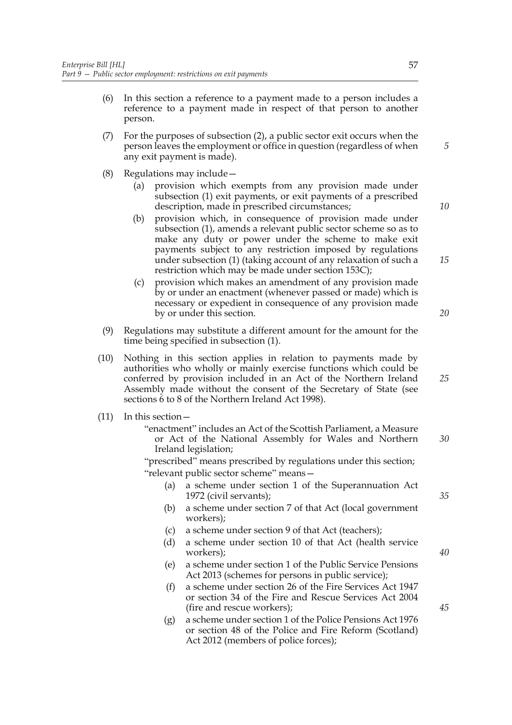- (6) In this section a reference to a payment made to a person includes a reference to a payment made in respect of that person to another person.
- (7) For the purposes of subsection (2), a public sector exit occurs when the person leaves the employment or office in question (regardless of when any exit payment is made).
- (8) Regulations may include—
	- (a) provision which exempts from any provision made under subsection (1) exit payments, or exit payments of a prescribed description, made in prescribed circumstances;
	- (b) provision which, in consequence of provision made under subsection (1), amends a relevant public sector scheme so as to make any duty or power under the scheme to make exit payments subject to any restriction imposed by regulations under subsection (1) (taking account of any relaxation of such a restriction which may be made under section 153C);
	- (c) provision which makes an amendment of any provision made by or under an enactment (whenever passed or made) which is necessary or expedient in consequence of any provision made by or under this section.
- (9) Regulations may substitute a different amount for the amount for the time being specified in subsection (1).
- (10) Nothing in this section applies in relation to payments made by authorities who wholly or mainly exercise functions which could be conferred by provision included in an Act of the Northern Ireland Assembly made without the consent of the Secretary of State (see sections 6 to 8 of the Northern Ireland Act 1998).
- (11) In this section—
	- "enactment" includes an Act of the Scottish Parliament, a Measure or Act of the National Assembly for Wales and Northern Ireland legislation; *30*

"prescribed" means prescribed by regulations under this section; "relevant public sector scheme" means—

- (a) a scheme under section 1 of the Superannuation Act 1972 (civil servants);
- (b) a scheme under section 7 of that Act (local government workers);
- (c) a scheme under section 9 of that Act (teachers);
- (d) a scheme under section 10 of that Act (health service workers);
- (e) a scheme under section 1 of the Public Service Pensions Act 2013 (schemes for persons in public service);
- (f) a scheme under section 26 of the Fire Services Act 1947 or section 34 of the Fire and Rescue Services Act 2004 (fire and rescue workers);
- (g) a scheme under section 1 of the Police Pensions Act 1976 or section 48 of the Police and Fire Reform (Scotland) Act 2012 (members of police forces);

*10*

*5*

*15*

*20*

*25*

*35*

*40*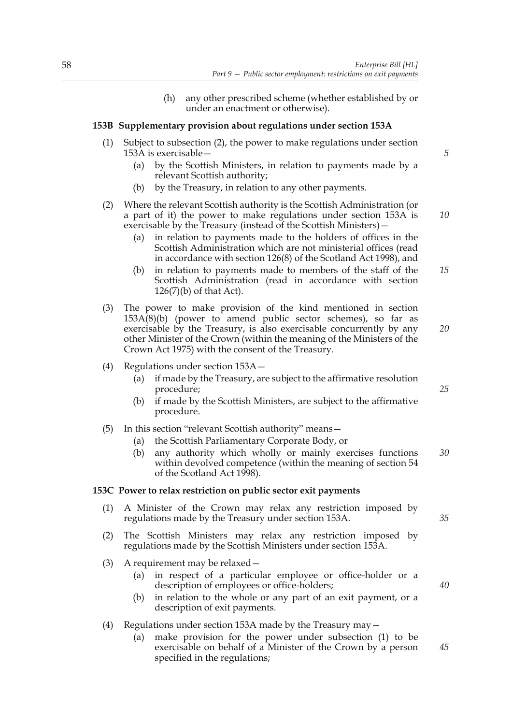(h) any other prescribed scheme (whether established by or under an enactment or otherwise).

## **153B Supplementary provision about regulations under section 153A**

- (1) Subject to subsection (2), the power to make regulations under section 153A is exercisable—
	- (a) by the Scottish Ministers, in relation to payments made by a relevant Scottish authority;
	- (b) by the Treasury, in relation to any other payments.

## (2) Where the relevant Scottish authority is the Scottish Administration (or a part of it) the power to make regulations under section 153A is exercisable by the Treasury (instead of the Scottish Ministers)—

- (a) in relation to payments made to the holders of offices in the Scottish Administration which are not ministerial offices (read in accordance with section 126(8) of the Scotland Act 1998), and
- (b) in relation to payments made to members of the staff of the Scottish Administration (read in accordance with section 126(7)(b) of that Act). *15*
- (3) The power to make provision of the kind mentioned in section 153A(8)(b) (power to amend public sector schemes), so far as exercisable by the Treasury, is also exercisable concurrently by any other Minister of the Crown (within the meaning of the Ministers of the Crown Act 1975) with the consent of the Treasury.
- (4) Regulations under section 153A—
	- (a) if made by the Treasury, are subject to the affirmative resolution procedure;
	- (b) if made by the Scottish Ministers, are subject to the affirmative procedure.
- (5) In this section "relevant Scottish authority" means—
	- (a) the Scottish Parliamentary Corporate Body, or
	- (b) any authority which wholly or mainly exercises functions within devolved competence (within the meaning of section 54 of the Scotland Act 1998). *30*

## **153C Power to relax restriction on public sector exit payments**

- (1) A Minister of the Crown may relax any restriction imposed by regulations made by the Treasury under section 153A.
- (2) The Scottish Ministers may relax any restriction imposed by regulations made by the Scottish Ministers under section 153A.
- (3) A requirement may be relaxed—
	- (a) in respect of a particular employee or office-holder or a description of employees or office-holders;
	- (b) in relation to the whole or any part of an exit payment, or a description of exit payments.

## (4) Regulations under section 153A made by the Treasury may—

(a) make provision for the power under subsection (1) to be exercisable on behalf of a Minister of the Crown by a person specified in the regulations;

*5*

*10*

*20*

*25*

*35*

*40*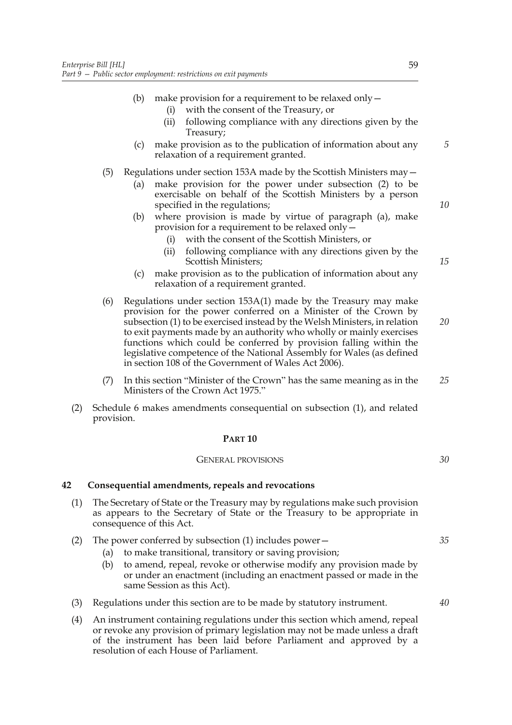- (b) make provision for a requirement to be relaxed only—
	- (i) with the consent of the Treasury, or
	- (ii) following compliance with any directions given by the Treasury;
- (c) make provision as to the publication of information about any relaxation of a requirement granted.
- (5) Regulations under section 153A made by the Scottish Ministers may—
	- (a) make provision for the power under subsection (2) to be exercisable on behalf of the Scottish Ministers by a person specified in the regulations;
	- (b) where provision is made by virtue of paragraph (a), make provision for a requirement to be relaxed only—
		- (i) with the consent of the Scottish Ministers, or
		- (ii) following compliance with any directions given by the Scottish Ministers;
	- (c) make provision as to the publication of information about any relaxation of a requirement granted.
- (6) Regulations under section 153A(1) made by the Treasury may make provision for the power conferred on a Minister of the Crown by subsection (1) to be exercised instead by the Welsh Ministers, in relation to exit payments made by an authority who wholly or mainly exercises functions which could be conferred by provision falling within the legislative competence of the National Assembly for Wales (as defined in section 108 of the Government of Wales Act 2006).
- (7) In this section "Minister of the Crown" has the same meaning as in the Ministers of the Crown Act 1975." *25*
- (2) Schedule 6 makes amendments consequential on subsection (1), and related provision.

#### **PART 10**

#### GENERAL PROVISIONS

## **42 Consequential amendments, repeals and revocations**

- (1) The Secretary of State or the Treasury may by regulations make such provision as appears to the Secretary of State or the Treasury to be appropriate in consequence of this Act.
- (2) The power conferred by subsection (1) includes power— *35*
	- (a) to make transitional, transitory or saving provision;
	- (b) to amend, repeal, revoke or otherwise modify any provision made by or under an enactment (including an enactment passed or made in the same Session as this Act).
- (3) Regulations under this section are to be made by statutory instrument.
- (4) An instrument containing regulations under this section which amend, repeal or revoke any provision of primary legislation may not be made unless a draft of the instrument has been laid before Parliament and approved by a resolution of each House of Parliament.

*15*

*10*

*5*

*20*

*30*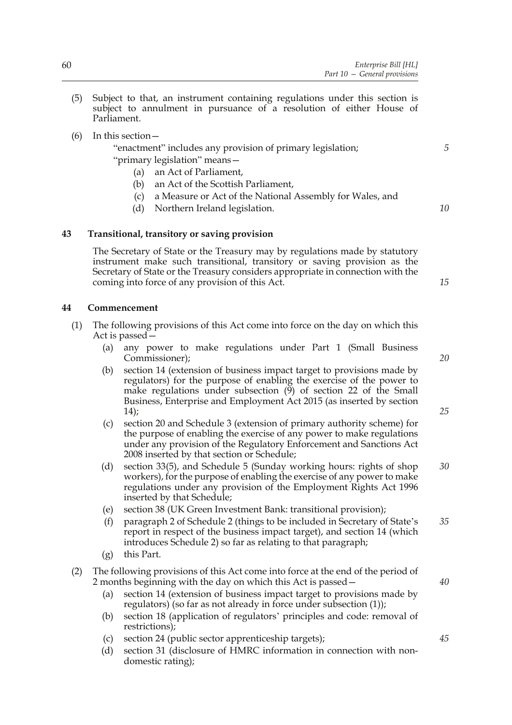- (5) Subject to that, an instrument containing regulations under this section is subject to annulment in pursuance of a resolution of either House of Parliament.
- (6) In this section—

"enactment" includes any provision of primary legislation; "primary legislation" means—

- (a) an Act of Parliament,
- (b) an Act of the Scottish Parliament,
- (c) a Measure or Act of the National Assembly for Wales, and
- (d) Northern Ireland legislation.

## **43 Transitional, transitory or saving provision**

The Secretary of State or the Treasury may by regulations made by statutory instrument make such transitional, transitory or saving provision as the Secretary of State or the Treasury considers appropriate in connection with the coming into force of any provision of this Act.

## **44 Commencement**

- (1) The following provisions of this Act come into force on the day on which this Act is passed—
	- (a) any power to make regulations under Part 1 (Small Business Commissioner);
	- (b) section 14 (extension of business impact target to provisions made by regulators) for the purpose of enabling the exercise of the power to make regulations under subsection  $(\overline{9})$  of section 22 of the Small Business, Enterprise and Employment Act 2015 (as inserted by section 14);
	- (c) section 20 and Schedule 3 (extension of primary authority scheme) for the purpose of enabling the exercise of any power to make regulations under any provision of the Regulatory Enforcement and Sanctions Act 2008 inserted by that section or Schedule;
	- (d) section 33(5), and Schedule 5 (Sunday working hours: rights of shop workers), for the purpose of enabling the exercise of any power to make regulations under any provision of the Employment Rights Act 1996 inserted by that Schedule; *30*
	- (e) section 38 (UK Green Investment Bank: transitional provision);
	- (f) paragraph 2 of Schedule 2 (things to be included in Secretary of State's report in respect of the business impact target), and section 14 (which introduces Schedule 2) so far as relating to that paragraph; *35*
	- (g) this Part.

## (2) The following provisions of this Act come into force at the end of the period of 2 months beginning with the day on which this Act is passed—

- (a) section 14 (extension of business impact target to provisions made by regulators) (so far as not already in force under subsection (1));
- (b) section 18 (application of regulators' principles and code: removal of restrictions);
- (c) section 24 (public sector apprenticeship targets);
- (d) section 31 (disclosure of HMRC information in connection with nondomestic rating);

*15*

*5*

*10*

*20*

*25*

*40*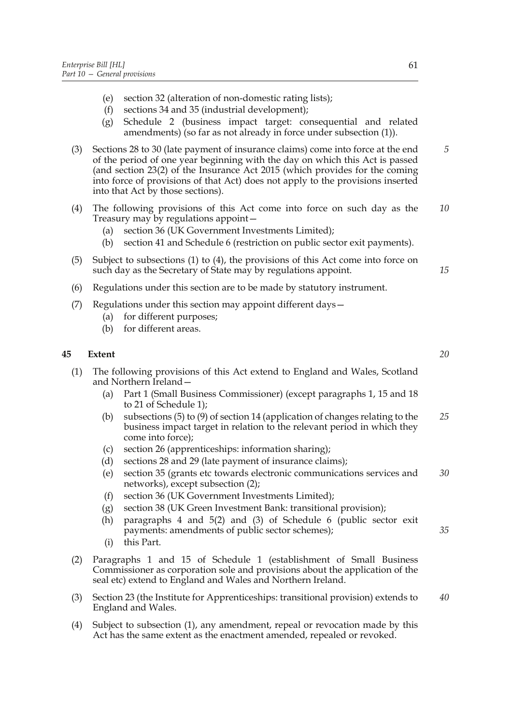- (e) section 32 (alteration of non-domestic rating lists);
- (f) sections 34 and 35 (industrial development);
- (g) Schedule 2 (business impact target: consequential and related amendments) (so far as not already in force under subsection (1)).
- (3) Sections 28 to 30 (late payment of insurance claims) come into force at the end of the period of one year beginning with the day on which this Act is passed (and section 23(2) of the Insurance Act 2015 (which provides for the coming into force of provisions of that Act) does not apply to the provisions inserted into that Act by those sections). *5*
- (4) The following provisions of this Act come into force on such day as the Treasury may by regulations appoint— *10*
	- (a) section 36 (UK Government Investments Limited);
	- (b) section 41 and Schedule 6 (restriction on public sector exit payments).
- (5) Subject to subsections (1) to (4), the provisions of this Act come into force on such day as the Secretary of State may by regulations appoint.
- (6) Regulations under this section are to be made by statutory instrument.
- (7) Regulations under this section may appoint different days—
	- (a) for different purposes;
	- (b) for different areas.

# **45 Extent**

(1) The following provisions of this Act extend to England and Wales, Scotland and Northern Ireland—

- (a) Part 1 (Small Business Commissioner) (except paragraphs 1, 15 and 18 to 21 of Schedule 1);
- (b) subsections (5) to (9) of section 14 (application of changes relating to the business impact target in relation to the relevant period in which they come into force); *25*
- (c) section 26 (apprenticeships: information sharing);
- (d) sections 28 and 29 (late payment of insurance claims);
- (e) section 35 (grants etc towards electronic communications services and networks), except subsection (2); *30*
- (f) section 36 (UK Government Investments Limited);
- (g) section 38 (UK Green Investment Bank: transitional provision);
- (h) paragraphs 4 and 5(2) and (3) of Schedule 6 (public sector exit payments: amendments of public sector schemes);
- (i) this Part.
- (2) Paragraphs 1 and 15 of Schedule 1 (establishment of Small Business Commissioner as corporation sole and provisions about the application of the seal etc) extend to England and Wales and Northern Ireland.
- (3) Section 23 (the Institute for Apprenticeships: transitional provision) extends to England and Wales. *40*
- (4) Subject to subsection (1), any amendment, repeal or revocation made by this Act has the same extent as the enactment amended, repealed or revoked.

*20*

*15*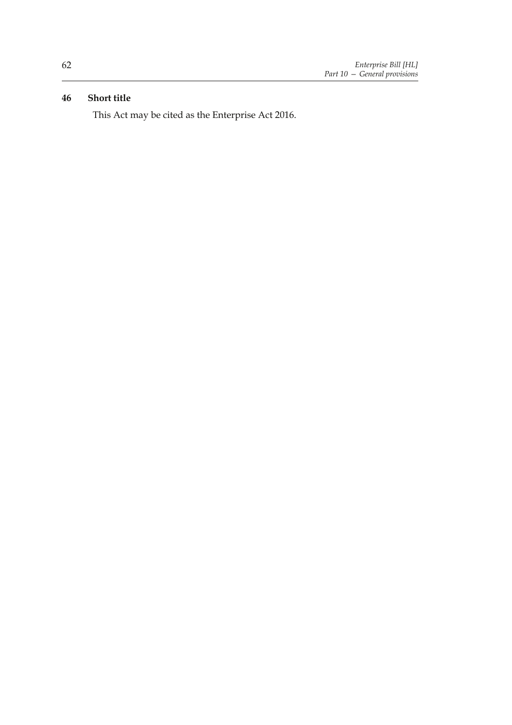# **46 Short title**

This Act may be cited as the Enterprise Act 2016.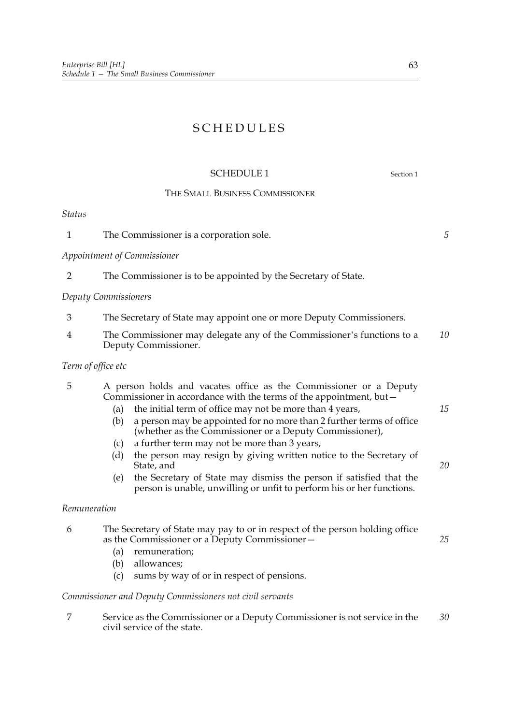# SCHEDULES

# SCHEDULE 1 Section 1

# THE SMALL BUSINESS COMMISSIONER

*Status*

1 The Commissioner is a corporation sole.

*Appointment of Commissioner*

2 The Commissioner is to be appointed by the Secretary of State.

# *Deputy Commissioners*

- 3 The Secretary of State may appoint one or more Deputy Commissioners.
- 4 The Commissioner may delegate any of the Commissioner's functions to a Deputy Commissioner. *10*

# *Term of office etc*

| 5 |     | A person holds and vacates office as the Commissioner or a Deputy<br>Commissioner in accordance with the terms of the appointment, but - |    |
|---|-----|------------------------------------------------------------------------------------------------------------------------------------------|----|
|   | (a) | the initial term of office may not be more than 4 years,                                                                                 | 15 |
|   | (b) | a person may be appointed for no more than 2 further terms of office<br>(whether as the Commissioner or a Deputy Commissioner),          |    |
|   |     | (c) a further term may not be more than $3$ years,                                                                                       |    |
|   |     | $(d)$ the person may resign by giving written notice to the Secretary of                                                                 |    |

- (d) the person may resign by giving written notice to the Secretary of State, and
- (e) the Secretary of State may dismiss the person if satisfied that the person is unable, unwilling or unfit to perform his or her functions.

# *Remuneration*

| 6 | The Secretary of State may pay to or in respect of the person holding office<br>as the Commissioner or a Deputy Commissioner- | 25 |
|---|-------------------------------------------------------------------------------------------------------------------------------|----|
|   | remuneration;<br>(a)                                                                                                          |    |
|   | allowances;<br>(b)                                                                                                            |    |
|   | sums by way of or in respect of pensions.<br>(c)                                                                              |    |
|   | Commissioner and Deputy Commissioners not civil servants                                                                      |    |
|   | Service as the Commissioner or a Deputy Commissioner is not service in the<br>civil service of the state.                     | 30 |

*5*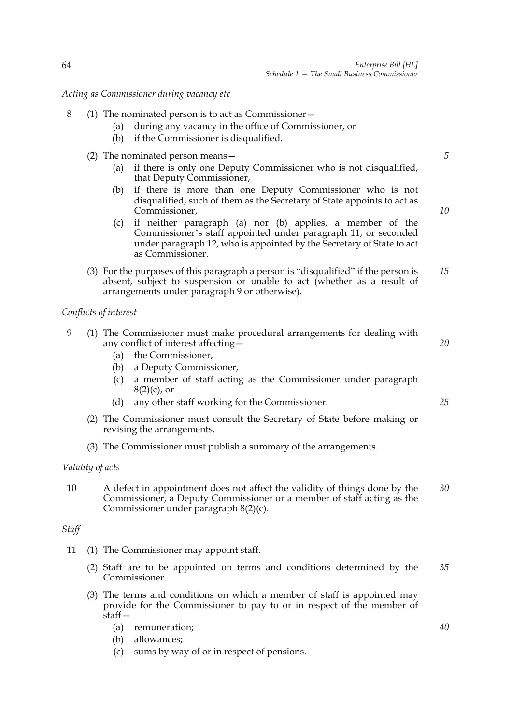*Acting as Commissioner during vacancy etc*

- 8 (1) The nominated person is to act as Commissioner—
	- (a) during any vacancy in the office of Commissioner, or
	- (b) if the Commissioner is disqualified.
	- (2) The nominated person means—
		- (a) if there is only one Deputy Commissioner who is not disqualified, that Deputy Commissioner,
		- (b) if there is more than one Deputy Commissioner who is not disqualified, such of them as the Secretary of State appoints to act as Commissioner,
		- (c) if neither paragraph (a) nor (b) applies, a member of the Commissioner's staff appointed under paragraph 11, or seconded under paragraph 12, who is appointed by the Secretary of State to act as Commissioner.
	- (3) For the purposes of this paragraph a person is "disqualified" if the person is absent, subject to suspension or unable to act (whether as a result of arrangements under paragraph 9 or otherwise). *15*

## *Conflicts of interest*

- 9 (1) The Commissioner must make procedural arrangements for dealing with any conflict of interest affecting—
	- (a) the Commissioner,
	- (b) a Deputy Commissioner,
	- (c) a member of staff acting as the Commissioner under paragraph  $8(2)(c)$ , or
	- (d) any other staff working for the Commissioner.
	- (2) The Commissioner must consult the Secretary of State before making or revising the arrangements.
	- (3) The Commissioner must publish a summary of the arrangements.

# *Validity of acts*

10 A defect in appointment does not affect the validity of things done by the Commissioner, a Deputy Commissioner or a member of staff acting as the Commissioner under paragraph 8(2)(c). *30*

#### *Staff*

- 11 (1) The Commissioner may appoint staff.
	- (2) Staff are to be appointed on terms and conditions determined by the Commissioner. *35*
	- (3) The terms and conditions on which a member of staff is appointed may provide for the Commissioner to pay to or in respect of the member of staff—
		- (a) remuneration;
		- (b) allowances;
		- (c) sums by way of or in respect of pensions.

*5*

*10*

*20*

*25*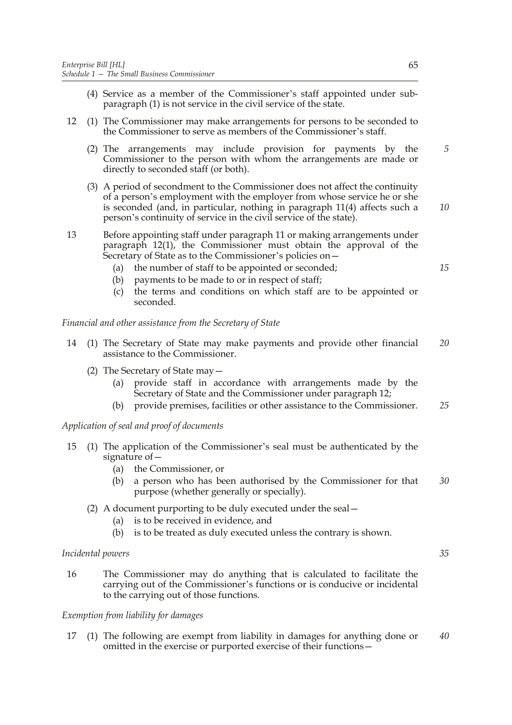- (4) Service as a member of the Commissioner's staff appointed under subparagraph (1) is not service in the civil service of the state.
- 12 (1) The Commissioner may make arrangements for persons to be seconded to the Commissioner to serve as members of the Commissioner's staff.
	- (2) The arrangements may include provision for payments by the Commissioner to the person with whom the arrangements are made or directly to seconded staff (or both).
	- (3) A period of secondment to the Commissioner does not affect the continuity of a person's employment with the employer from whose service he or she is seconded (and, in particular, nothing in paragraph 11(4) affects such a person's continuity of service in the civil service of the state).
- 13 Before appointing staff under paragraph 11 or making arrangements under paragraph 12(1), the Commissioner must obtain the approval of the Secretary of State as to the Commissioner's policies on—
	- (a) the number of staff to be appointed or seconded;
	- (b) payments to be made to or in respect of staff;
	- (c) the terms and conditions on which staff are to be appointed or seconded.

*Financial and other assistance from the Secretary of State*

- 14 (1) The Secretary of State may make payments and provide other financial assistance to the Commissioner. *20*
	- (2) The Secretary of State may—
		- (a) provide staff in accordance with arrangements made by the Secretary of State and the Commissioner under paragraph 12;
		- (b) provide premises, facilities or other assistance to the Commissioner. *25*

*Application of seal and proof of documents*

- 15 (1) The application of the Commissioner's seal must be authenticated by the signature of—
	- (a) the Commissioner, or
	- (b) a person who has been authorised by the Commissioner for that purpose (whether generally or specially). *30*
	- (2) A document purporting to be duly executed under the seal—
		- (a) is to be received in evidence, and
		- (b) is to be treated as duly executed unless the contrary is shown.

#### *Incidental powers*

16 The Commissioner may do anything that is calculated to facilitate the carrying out of the Commissioner's functions or is conducive or incidental to the carrying out of those functions.

## *Exemption from liability for damages*

17 (1) The following are exempt from liability in damages for anything done or omitted in the exercise or purported exercise of their functions— *40*

*5*

*10*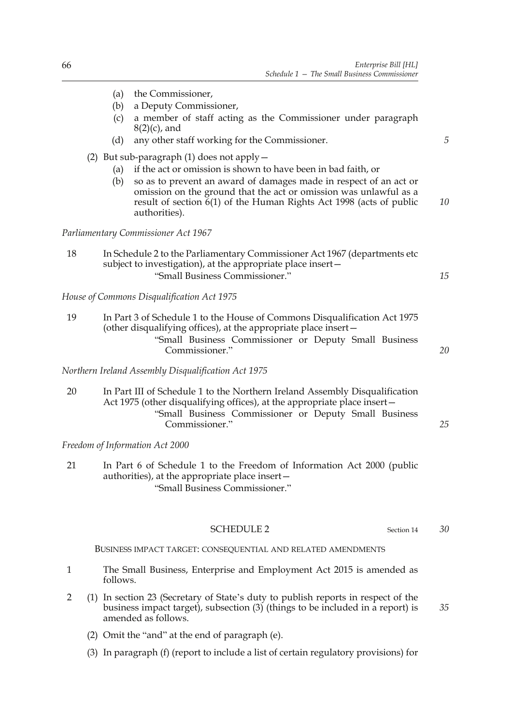*5*

*15*

*25*

*30*

*35*

- (a) the Commissioner,
- (b) a Deputy Commissioner,
- (c) a member of staff acting as the Commissioner under paragraph  $8(2)(c)$ , and
- (d) any other staff working for the Commissioner.
- (2) But sub-paragraph (1) does not apply—
	- (a) if the act or omission is shown to have been in bad faith, or
	- (b) so as to prevent an award of damages made in respect of an act or omission on the ground that the act or omission was unlawful as a result of section 6(1) of the Human Rights Act 1998 (acts of public authorities). *10*

*Parliamentary Commissioner Act 1967*

| 18 | In Schedule 2 to the Parliamentary Commissioner Act 1967 (departments etc.) |
|----|-----------------------------------------------------------------------------|
|    | subject to investigation), at the appropriate place insert-                 |
|    | "Small Business Commissioner."                                              |

*House of Commons Disqualification Act 1975*

| 19 | In Part 3 of Schedule 1 to the House of Commons Disqualification Act 1975 |    |
|----|---------------------------------------------------------------------------|----|
|    | (other disqualifying offices), at the appropriate place insert –          |    |
|    | "Small Business Commissioner or Deputy Small Business                     |    |
|    | Commissioner."                                                            | 20 |

*Northern Ireland Assembly Disqualification Act 1975*

20 In Part III of Schedule 1 to the Northern Ireland Assembly Disqualification Act 1975 (other disqualifying offices), at the appropriate place insert— "Small Business Commissioner or Deputy Small Business Commissioner."

*Freedom of Information Act 2000*

21 In Part 6 of Schedule 1 to the Freedom of Information Act 2000 (public authorities), at the appropriate place insert— "Small Business Commissioner."

## SCHEDULE 2 Section 14

BUSINESS IMPACT TARGET: CONSEQUENTIAL AND RELATED AMENDMENTS

- 1 The Small Business, Enterprise and Employment Act 2015 is amended as follows.
- 2 (1) In section 23 (Secretary of State's duty to publish reports in respect of the business impact target), subsection (3) (things to be included in a report) is amended as follows.
	- (2) Omit the "and" at the end of paragraph (e).
	- (3) In paragraph (f) (report to include a list of certain regulatory provisions) for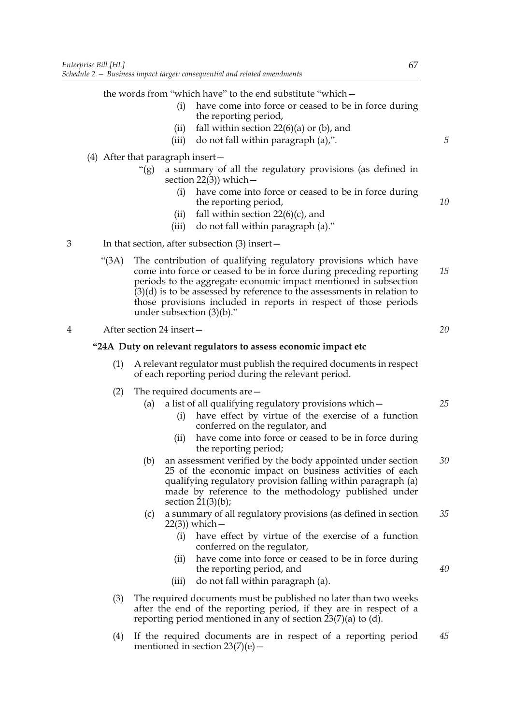the words from "which have" to the end substitute "which—

- (i) have come into force or ceased to be in force during the reporting period,
- (ii) fall within section  $22(6)(a)$  or (b), and
- (iii) do not fall within paragraph (a),".
- (4) After that paragraph insert—
	- "(g) a summary of all the regulatory provisions (as defined in section  $22(3)$ ) which –
		- (i) have come into force or ceased to be in force during the reporting period,
		- (ii) fall within section  $22(6)(c)$ , and
		- (iii) do not fall within paragraph (a)."
- 3 In that section, after subsection (3) insert—
	- "(3A) The contribution of qualifying regulatory provisions which have come into force or ceased to be in force during preceding reporting periods to the aggregate economic impact mentioned in subsection  $(3)(d)$  is to be assessed by reference to the assessments in relation to those provisions included in reports in respect of those periods under subsection (3)(b)." *15*
- 4 After section 24 insert—

## **"24A Duty on relevant regulators to assess economic impact etc**

- (1) A relevant regulator must publish the required documents in respect of each reporting period during the relevant period.
- (2) The required documents are—
	- (a) a list of all qualifying regulatory provisions which—
		- (i) have effect by virtue of the exercise of a function conferred on the regulator, and
		- (ii) have come into force or ceased to be in force during the reporting period;
	- (b) an assessment verified by the body appointed under section 25 of the economic impact on business activities of each qualifying regulatory provision falling within paragraph (a) made by reference to the methodology published under section  $21(3)(b)$ ; *30*
	- (c) a summary of all regulatory provisions (as defined in section 22(3)) which— *35*
		- (i) have effect by virtue of the exercise of a function conferred on the regulator,
		- (ii) have come into force or ceased to be in force during the reporting period, and
		- (iii) do not fall within paragraph (a).
- (3) The required documents must be published no later than two weeks after the end of the reporting period, if they are in respect of a reporting period mentioned in any of section  $23(7)(a)$  to (d).
- (4) If the required documents are in respect of a reporting period mentioned in section  $23(7)(e)$  – *45*

*5*

*10*

*20*

*25*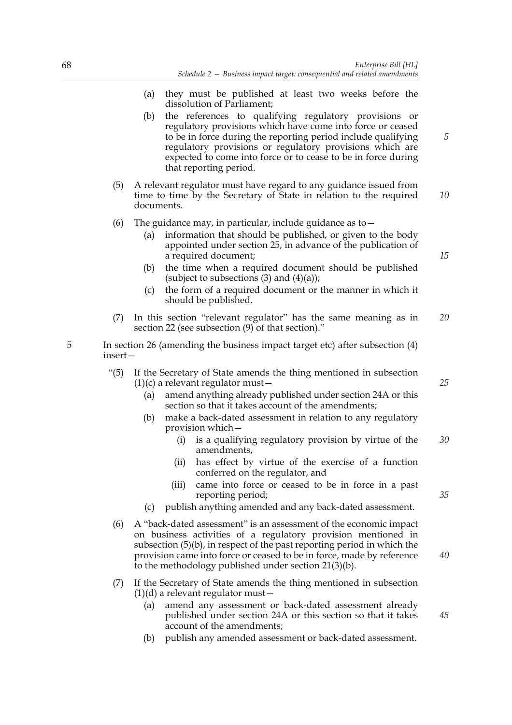- (a) they must be published at least two weeks before the dissolution of Parliament;
- (b) the references to qualifying regulatory provisions or regulatory provisions which have come into force or ceased to be in force during the reporting period include qualifying regulatory provisions or regulatory provisions which are expected to come into force or to cease to be in force during that reporting period.
- (5) A relevant regulator must have regard to any guidance issued from time to time by the Secretary of State in relation to the required documents. *10*
- (6) The guidance may, in particular, include guidance as to  $-$ 
	- (a) information that should be published, or given to the body appointed under section 25, in advance of the publication of a required document;
	- (b) the time when a required document should be published (subject to subsections  $(3)$  and  $(4)(a)$ );
	- (c) the form of a required document or the manner in which it should be published.
- (7) In this section "relevant regulator" has the same meaning as in section 22 (see subsection (9) of that section)." *20*
- 5 In section 26 (amending the business impact target etc) after subsection (4) insert—
	- "(5) If the Secretary of State amends the thing mentioned in subsection  $(1)(c)$  a relevant regulator must –
		- (a) amend anything already published under section 24A or this section so that it takes account of the amendments;
		- (b) make a back-dated assessment in relation to any regulatory provision which—
			- (i) is a qualifying regulatory provision by virtue of the amendments, *30*
			- (ii) has effect by virtue of the exercise of a function conferred on the regulator, and
			- (iii) came into force or ceased to be in force in a past reporting period;
		- (c) publish anything amended and any back-dated assessment.
	- (6) A "back-dated assessment" is an assessment of the economic impact on business activities of a regulatory provision mentioned in subsection (5)(b), in respect of the past reporting period in which the provision came into force or ceased to be in force, made by reference to the methodology published under section 21(3)(b).
	- (7) If the Secretary of State amends the thing mentioned in subsection  $(1)(d)$  a relevant regulator must  $-$ 
		- (a) amend any assessment or back-dated assessment already published under section 24A or this section so that it takes account of the amendments;
		- (b) publish any amended assessment or back-dated assessment.

*25*

*5*

*15*

*40*

*45*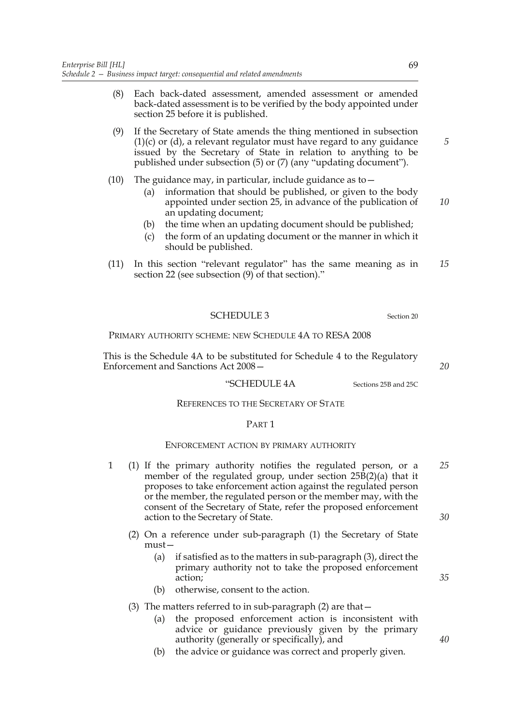- (8) Each back-dated assessment, amended assessment or amended back-dated assessment is to be verified by the body appointed under section 25 before it is published.
- (9) If the Secretary of State amends the thing mentioned in subsection  $(1)(c)$  or  $(d)$ , a relevant regulator must have regard to any guidance issued by the Secretary of State in relation to anything to be published under subsection (5) or (7) (any "updating document").
- (10) The guidance may, in particular, include guidance as to  $-$ 
	- (a) information that should be published, or given to the body appointed under section 25, in advance of the publication of an updating document; *10*
	- (b) the time when an updating document should be published;
	- (c) the form of an updating document or the manner in which it should be published.
- (11) In this section "relevant regulator" has the same meaning as in section 22 (see subsection (9) of that section)." *15*

#### SCHEDULE 3 Section 20

## PRIMARY AUTHORITY SCHEME: NEW SCHEDULE 4A TO RESA 2008

This is the Schedule 4A to be substituted for Schedule 4 to the Regulatory Enforcement and Sanctions Act 2008—

# "SCHEDULE 4A Sections 25B and 25C

#### REFERENCES TO THE SECRETARY OF STATE

# PART 1

#### ENFORCEMENT ACTION BY PRIMARY AUTHORITY

- 1 (1) If the primary authority notifies the regulated person, or a member of the regulated group, under section 25B(2)(a) that it proposes to take enforcement action against the regulated person or the member, the regulated person or the member may, with the consent of the Secretary of State, refer the proposed enforcement action to the Secretary of State. *25 30*
	- (2) On a reference under sub-paragraph (1) the Secretary of State must—
		- (a) if satisfied as to the matters in sub-paragraph (3), direct the primary authority not to take the proposed enforcement action;
		- (b) otherwise, consent to the action.

## (3) The matters referred to in sub-paragraph (2) are that—

- (a) the proposed enforcement action is inconsistent with advice or guidance previously given by the primary authority (generally or specifically), and
- (b) the advice or guidance was correct and properly given.

*35*

*5*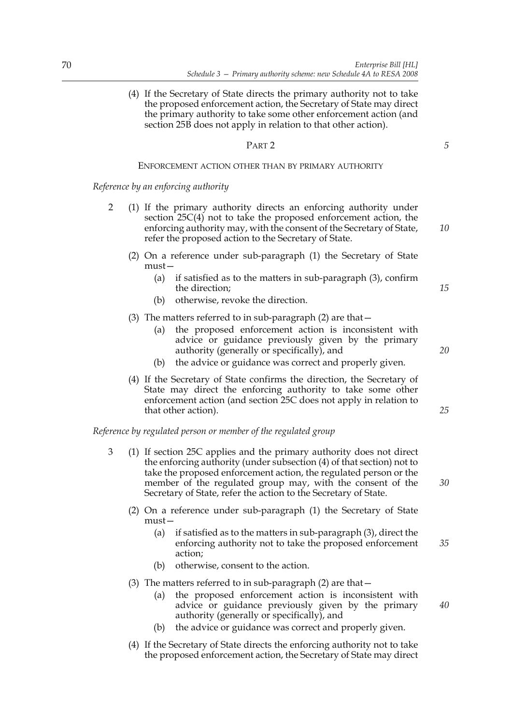(4) If the Secretary of State directs the primary authority not to take the proposed enforcement action, the Secretary of State may direct the primary authority to take some other enforcement action (and section 25B does not apply in relation to that other action).

#### PART 2

#### ENFORCEMENT ACTION OTHER THAN BY PRIMARY AUTHORITY

*Reference by an enforcing authority*

- 2 (1) If the primary authority directs an enforcing authority under section 25C(4) not to take the proposed enforcement action, the enforcing authority may, with the consent of the Secretary of State, refer the proposed action to the Secretary of State.
	- (2) On a reference under sub-paragraph (1) the Secretary of State must—
		- (a) if satisfied as to the matters in sub-paragraph (3), confirm the direction;
		- (b) otherwise, revoke the direction.
	- (3) The matters referred to in sub-paragraph (2) are that—
		- (a) the proposed enforcement action is inconsistent with advice or guidance previously given by the primary authority (generally or specifically), and
		- (b) the advice or guidance was correct and properly given.
	- (4) If the Secretary of State confirms the direction, the Secretary of State may direct the enforcing authority to take some other enforcement action (and section 25C does not apply in relation to that other action).

*Reference by regulated person or member of the regulated group*

- 3 (1) If section 25C applies and the primary authority does not direct the enforcing authority (under subsection (4) of that section) not to take the proposed enforcement action, the regulated person or the member of the regulated group may, with the consent of the Secretary of State, refer the action to the Secretary of State.
	- (2) On a reference under sub-paragraph (1) the Secretary of State must—
		- (a) if satisfied as to the matters in sub-paragraph (3), direct the enforcing authority not to take the proposed enforcement action; *35*
		- (b) otherwise, consent to the action.
	- (3) The matters referred to in sub-paragraph (2) are that—
		- (a) the proposed enforcement action is inconsistent with advice or guidance previously given by the primary authority (generally or specifically), and *40*
		- (b) the advice or guidance was correct and properly given.
	- (4) If the Secretary of State directs the enforcing authority not to take the proposed enforcement action, the Secretary of State may direct

*5*

*10*

*15*

*20*

*25*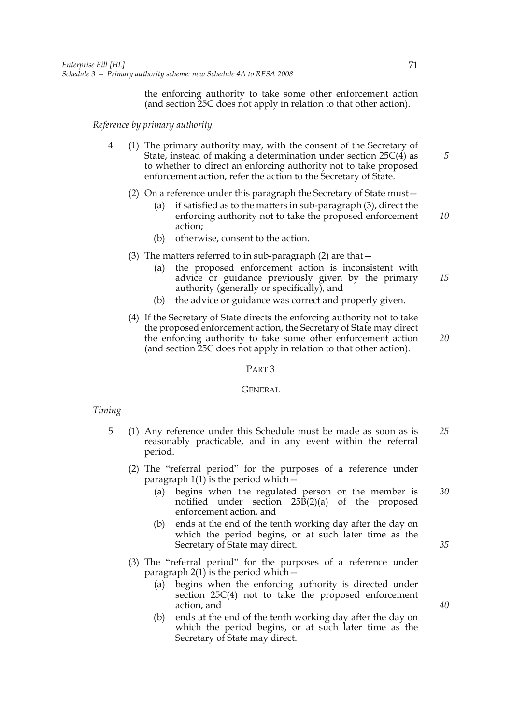the enforcing authority to take some other enforcement action (and section 25C does not apply in relation to that other action).

*Reference by primary authority*

- 4 (1) The primary authority may, with the consent of the Secretary of State, instead of making a determination under section 25C(4) as to whether to direct an enforcing authority not to take proposed enforcement action, refer the action to the Secretary of State.
	- (2) On a reference under this paragraph the Secretary of State must—
		- (a) if satisfied as to the matters in sub-paragraph (3), direct the enforcing authority not to take the proposed enforcement action; *10*
		- (b) otherwise, consent to the action.
	- (3) The matters referred to in sub-paragraph (2) are that—
		- (a) the proposed enforcement action is inconsistent with advice or guidance previously given by the primary authority (generally or specifically), and *15*
		- (b) the advice or guidance was correct and properly given.
	- (4) If the Secretary of State directs the enforcing authority not to take the proposed enforcement action, the Secretary of State may direct the enforcing authority to take some other enforcement action (and section 25C does not apply in relation to that other action).

PART 3

#### **GENERAL**

#### *Timing*

- 5 (1) Any reference under this Schedule must be made as soon as is reasonably practicable, and in any event within the referral period. *25*
	- (2) The "referral period" for the purposes of a reference under paragraph  $1(1)$  is the period which  $-$ 
		- (a) begins when the regulated person or the member is notified under section 25B(2)(a) of the proposed enforcement action, and *30*
		- (b) ends at the end of the tenth working day after the day on which the period begins, or at such later time as the Secretary of State may direct.
	- (3) The "referral period" for the purposes of a reference under paragraph  $2(1)$  is the period which  $-$ 
		- (a) begins when the enforcing authority is directed under section 25C(4) not to take the proposed enforcement action, and
		- (b) ends at the end of the tenth working day after the day on which the period begins, or at such later time as the Secretary of State may direct.

*5*

*20*

*35*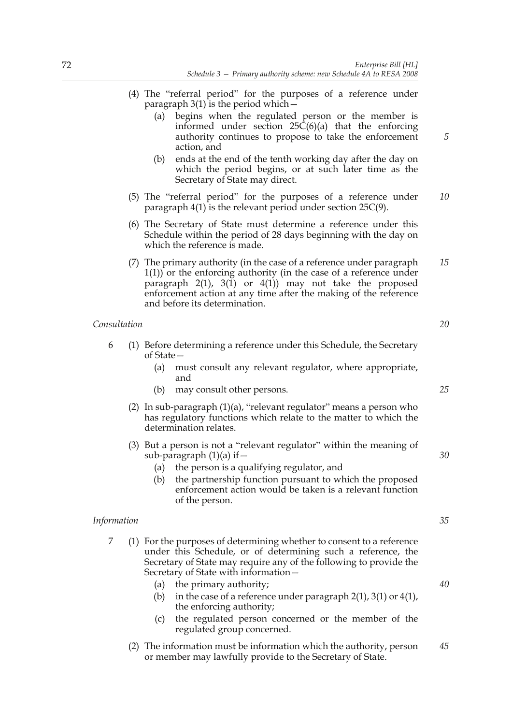- (4) The "referral period" for the purposes of a reference under paragraph  $3(1)$  is the period which  $-$ 
	- (a) begins when the regulated person or the member is informed under section  $25\tilde{C}(6)(a)$  that the enforcing authority continues to propose to take the enforcement action, and
	- (b) ends at the end of the tenth working day after the day on which the period begins, or at such later time as the Secretary of State may direct.
- (5) The "referral period" for the purposes of a reference under paragraph 4(1) is the relevant period under section 25C(9). *10*
- (6) The Secretary of State must determine a reference under this Schedule within the period of 28 days beginning with the day on which the reference is made.
- (7) The primary authority (in the case of a reference under paragraph 1(1)) or the enforcing authority (in the case of a reference under paragraph  $2(1)$ ,  $3(1)$  or  $4(1)$  may not take the proposed enforcement action at any time after the making of the reference and before its determination. *15*

# *Consultation*

- 6 (1) Before determining a reference under this Schedule, the Secretary of State—
	- (a) must consult any relevant regulator, where appropriate, and
	- (b) may consult other persons.
	- (2) In sub-paragraph (1)(a), "relevant regulator" means a person who has regulatory functions which relate to the matter to which the determination relates.
	- (3) But a person is not a "relevant regulator" within the meaning of sub-paragraph  $(1)(a)$  if  $-$ 
		- (a) the person is a qualifying regulator, and
		- (b) the partnership function pursuant to which the proposed enforcement action would be taken is a relevant function of the person.

#### *Information*

- 7 (1) For the purposes of determining whether to consent to a reference under this Schedule, or of determining such a reference, the Secretary of State may require any of the following to provide the Secretary of State with information—
	- (a) the primary authority;
	- (b) in the case of a reference under paragraph  $2(1)$ ,  $3(1)$  or  $4(1)$ , the enforcing authority;
	- (c) the regulated person concerned or the member of the regulated group concerned.
	- (2) The information must be information which the authority, person or member may lawfully provide to the Secretary of State. *45*

*20*

*5*

*25*

*30*

*35*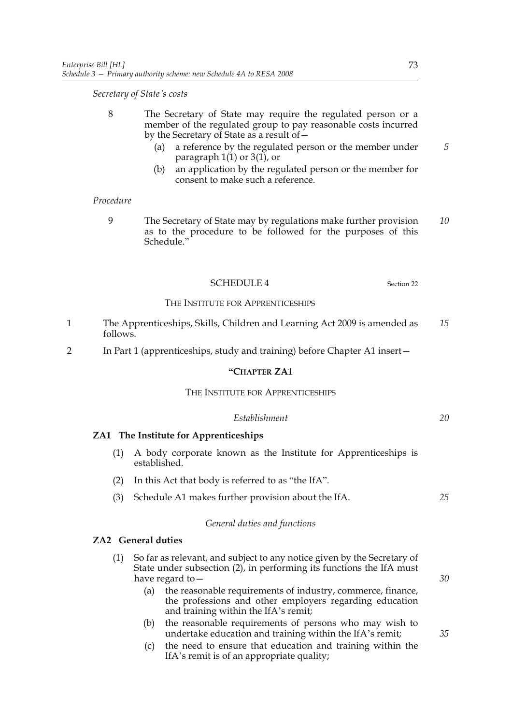*Secretary of State's costs*

- 8 The Secretary of State may require the regulated person or a member of the regulated group to pay reasonable costs incurred by the Secretary of State as a result of—
	- (a) a reference by the regulated person or the member under paragraph  $1(1)$  or  $3(1)$ , or
	- (b) an application by the regulated person or the member for consent to make such a reference.

#### *Procedure*

9 The Secretary of State may by regulations make further provision as to the procedure to be followed for the purposes of this Schedule." *10*

# SCHEDULE 4 Section 22

#### THE INSTITUTE FOR APPRENTICESHIPS

- 1 The Apprenticeships, Skills, Children and Learning Act 2009 is amended as follows. *15*
- 2 In Part 1 (apprenticeships, study and training) before Chapter A1 insert—

# **"CHAPTER ZA1**

#### THE INSTITUTE FOR APPRENTICESHIPS

#### *Establishment*

# **ZA1 The Institute for Apprenticeships**

- (1) A body corporate known as the Institute for Apprenticeships is established.
- (2) In this Act that body is referred to as "the IfA".
- (3) Schedule A1 makes further provision about the IfA.

#### *General duties and functions*

## **ZA2 General duties**

- (1) So far as relevant, and subject to any notice given by the Secretary of State under subsection (2), in performing its functions the IfA must have regard to—
	- (a) the reasonable requirements of industry, commerce, finance, the professions and other employers regarding education and training within the IfA's remit;
	- (b) the reasonable requirements of persons who may wish to undertake education and training within the IfA's remit;
	- (c) the need to ensure that education and training within the IfA's remit is of an appropriate quality;

*5*

*25*

*30*

*35*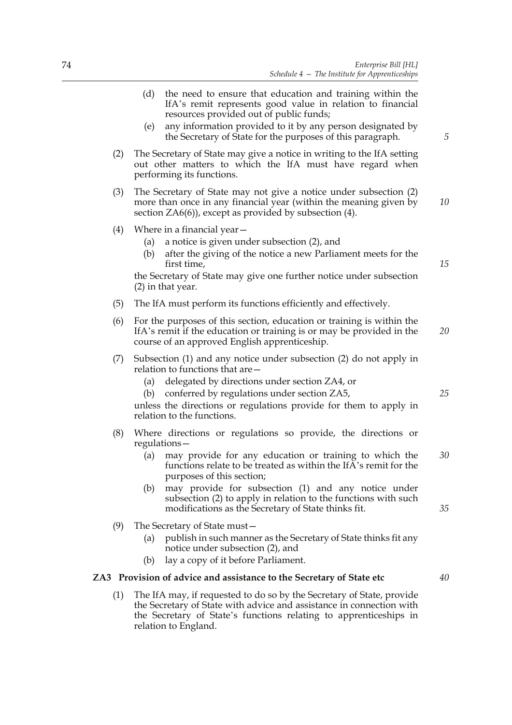- (d) the need to ensure that education and training within the IfA's remit represents good value in relation to financial resources provided out of public funds;
- (e) any information provided to it by any person designated by the Secretary of State for the purposes of this paragraph.
- (2) The Secretary of State may give a notice in writing to the IfA setting out other matters to which the IfA must have regard when performing its functions.
- (3) The Secretary of State may not give a notice under subsection (2) more than once in any financial year (within the meaning given by section ZA6(6)), except as provided by subsection (4). *10*
- (4) Where in a financial year—
	- (a) a notice is given under subsection (2), and
	- (b) after the giving of the notice a new Parliament meets for the first time,

the Secretary of State may give one further notice under subsection (2) in that year.

- (5) The IfA must perform its functions efficiently and effectively.
- (6) For the purposes of this section, education or training is within the IfA's remit if the education or training is or may be provided in the course of an approved English apprenticeship. *20*
- (7) Subsection (1) and any notice under subsection (2) do not apply in relation to functions that are—
	- (a) delegated by directions under section ZA4, or
	- (b) conferred by regulations under section ZA5,

unless the directions or regulations provide for them to apply in relation to the functions.

- (8) Where directions or regulations so provide, the directions or regulations—
	- (a) may provide for any education or training to which the functions relate to be treated as within the IfA's remit for the purposes of this section; *30*
	- (b) may provide for subsection (1) and any notice under subsection (2) to apply in relation to the functions with such modifications as the Secretary of State thinks fit.
- (9) The Secretary of State must—
	- (a) publish in such manner as the Secretary of State thinks fit any notice under subsection (2), and
	- (b) lay a copy of it before Parliament.

## **ZA3 Provision of advice and assistance to the Secretary of State etc**

(1) The IfA may, if requested to do so by the Secretary of State, provide the Secretary of State with advice and assistance in connection with the Secretary of State's functions relating to apprenticeships in relation to England.

*25*

*15*

*5*

*35*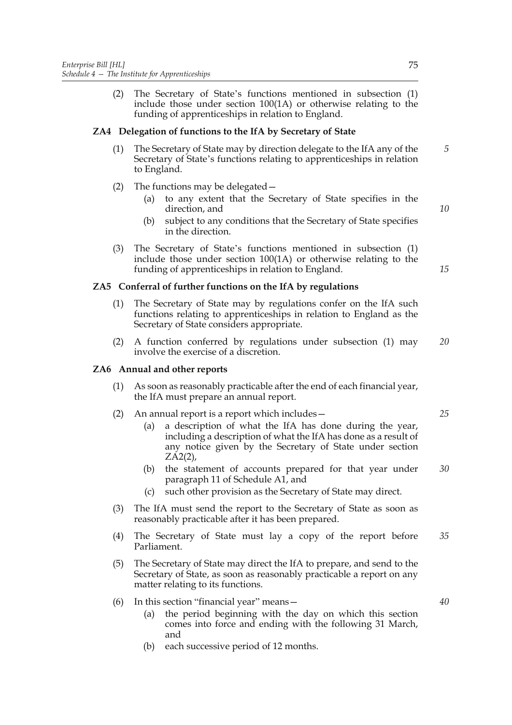(2) The Secretary of State's functions mentioned in subsection (1) include those under section 100(1A) or otherwise relating to the funding of apprenticeships in relation to England.

# **ZA4 Delegation of functions to the IfA by Secretary of State**

- (1) The Secretary of State may by direction delegate to the IfA any of the Secretary of State's functions relating to apprenticeships in relation to England.
- (2) The functions may be delegated—
	- (a) to any extent that the Secretary of State specifies in the direction, and
	- (b) subject to any conditions that the Secretary of State specifies in the direction.
- (3) The Secretary of State's functions mentioned in subsection (1) include those under section 100(1A) or otherwise relating to the funding of apprenticeships in relation to England.

# **ZA5 Conferral of further functions on the IfA by regulations**

- (1) The Secretary of State may by regulations confer on the IfA such functions relating to apprenticeships in relation to England as the Secretary of State considers appropriate.
- (2) A function conferred by regulations under subsection (1) may involve the exercise of a discretion. *20*

# **ZA6 Annual and other reports**

- (1) As soon as reasonably practicable after the end of each financial year, the IfA must prepare an annual report.
- (2) An annual report is a report which includes—
	- (a) a description of what the IfA has done during the year, including a description of what the IfA has done as a result of any notice given by the Secretary of State under section ZA2(2),
	- (b) the statement of accounts prepared for that year under paragraph 11 of Schedule A1, and *30*
	- (c) such other provision as the Secretary of State may direct.
- (3) The IfA must send the report to the Secretary of State as soon as reasonably practicable after it has been prepared.
- (4) The Secretary of State must lay a copy of the report before Parliament. *35*
- (5) The Secretary of State may direct the IfA to prepare, and send to the Secretary of State, as soon as reasonably practicable a report on any matter relating to its functions.
- (6) In this section "financial year" means—
	- (a) the period beginning with the day on which this section comes into force and ending with the following 31 March, and
	- (b) each successive period of 12 months.

*5*

*10*

*15*

*25*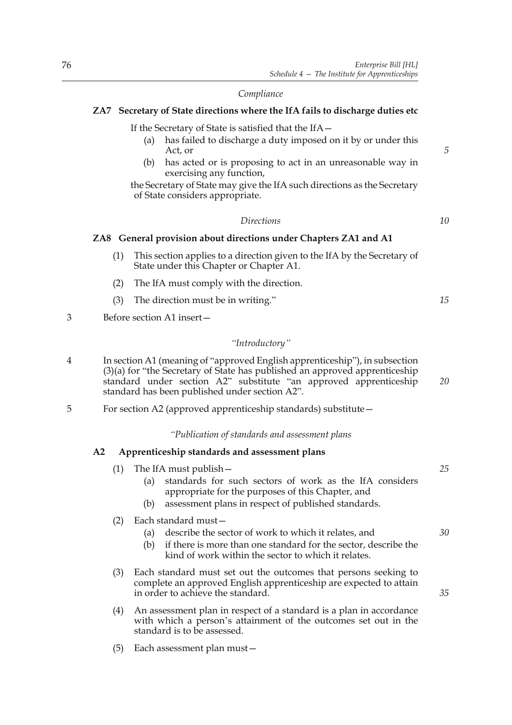# *Compliance*

# **ZA7 Secretary of State directions where the IfA fails to discharge duties etc**

If the Secretary of State is satisfied that the IfA—

- (a) has failed to discharge a duty imposed on it by or under this Act, or
- (b) has acted or is proposing to act in an unreasonable way in exercising any function,

the Secretary of State may give the IfA such directions as the Secretary of State considers appropriate.

## *Directions*

# **ZA8 General provision about directions under Chapters ZA1 and A1**

- (1) This section applies to a direction given to the IfA by the Secretary of State under this Chapter or Chapter A1.
- (2) The IfA must comply with the direction.
- (3) The direction must be in writing."
- 3 Before section A1 insert—

# *"Introductory"*

- 4 In section A1 (meaning of "approved English apprenticeship"), in subsection (3)(a) for "the Secretary of State has published an approved apprenticeship standard under section A2" substitute "an approved apprenticeship standard has been published under section A2". *20*
- 5 For section A2 (approved apprenticeship standards) substitute—

#### *"Publication of standards and assessment plans*

## **A2 Apprenticeship standards and assessment plans**

- (1) The IfA must publish— (a) standards for such sectors of work as the IfA considers appropriate for the purposes of this Chapter, and
	- (b) assessment plans in respect of published standards.

# (2) Each standard must—

- (a) describe the sector of work to which it relates, and
- (b) if there is more than one standard for the sector, describe the kind of work within the sector to which it relates.
- (3) Each standard must set out the outcomes that persons seeking to complete an approved English apprenticeship are expected to attain in order to achieve the standard.
- (4) An assessment plan in respect of a standard is a plan in accordance with which a person's attainment of the outcomes set out in the standard is to be assessed.
- (5) Each assessment plan must—

*5*

*10*

*15*

*25*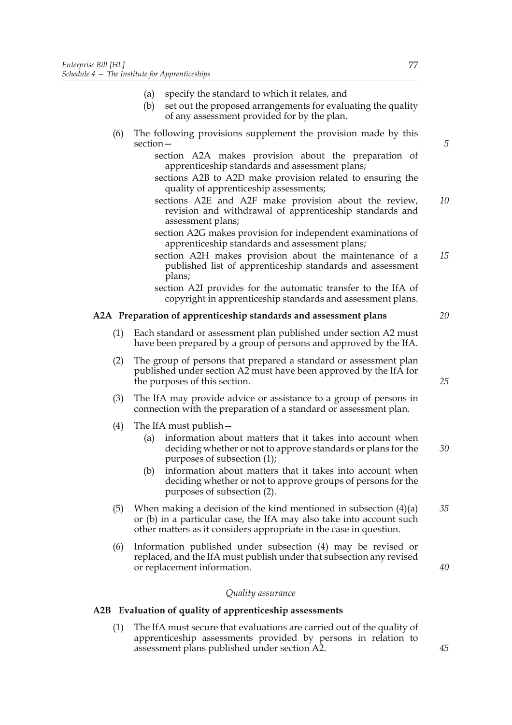- (a) specify the standard to which it relates, and
- (b) set out the proposed arrangements for evaluating the quality of any assessment provided for by the plan.
- (6) The following provisions supplement the provision made by this section
	- section A2A makes provision about the preparation of apprenticeship standards and assessment plans;
	- sections A2B to A2D make provision related to ensuring the quality of apprenticeship assessments;
	- sections A2E and A2F make provision about the review, revision and withdrawal of apprenticeship standards and assessment plans; *10*
	- section A2G makes provision for independent examinations of apprenticeship standards and assessment plans;
	- section A2H makes provision about the maintenance of a published list of apprenticeship standards and assessment plans;
	- section A2I provides for the automatic transfer to the IfA of copyright in apprenticeship standards and assessment plans.

## **A2A Preparation of apprenticeship standards and assessment plans**

- (1) Each standard or assessment plan published under section A2 must have been prepared by a group of persons and approved by the IfA.
- (2) The group of persons that prepared a standard or assessment plan published under section A2 must have been approved by the IfA for the purposes of this section.
- (3) The IfA may provide advice or assistance to a group of persons in connection with the preparation of a standard or assessment plan.
- (4) The IfA must publish—
	- (a) information about matters that it takes into account when deciding whether or not to approve standards or plans for the purposes of subsection (1); *30*
	- (b) information about matters that it takes into account when deciding whether or not to approve groups of persons for the purposes of subsection (2).
- (5) When making a decision of the kind mentioned in subsection  $(4)(a)$ or (b) in a particular case, the IfA may also take into account such other matters as it considers appropriate in the case in question. *35*
- (6) Information published under subsection (4) may be revised or replaced, and the IfA must publish under that subsection any revised or replacement information.

#### *Quality assurance*

# **A2B Evaluation of quality of apprenticeship assessments**

(1) The IfA must secure that evaluations are carried out of the quality of apprenticeship assessments provided by persons in relation to assessment plans published under section A2.

*5*

*20*

*15*

*25*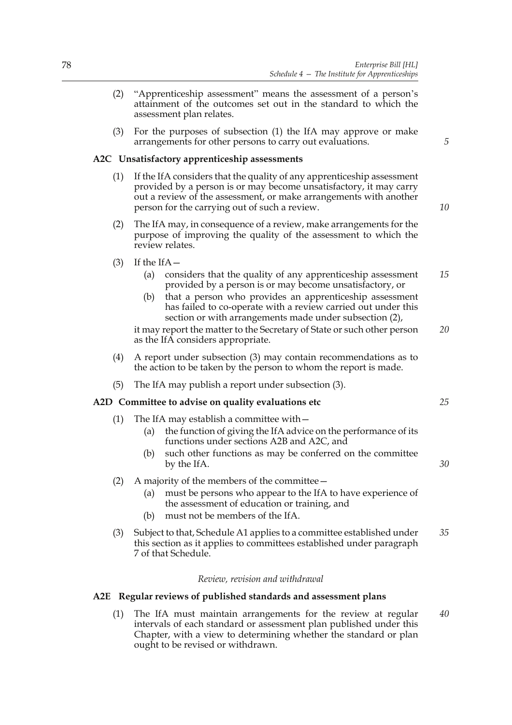*5*

*10*

*25*

*30*

- (2) "Apprenticeship assessment" means the assessment of a person's attainment of the outcomes set out in the standard to which the assessment plan relates.
- (3) For the purposes of subsection (1) the IfA may approve or make arrangements for other persons to carry out evaluations.

## **A2C Unsatisfactory apprenticeship assessments**

- (1) If the IfA considers that the quality of any apprenticeship assessment provided by a person is or may become unsatisfactory, it may carry out a review of the assessment, or make arrangements with another person for the carrying out of such a review.
- (2) The IfA may, in consequence of a review, make arrangements for the purpose of improving the quality of the assessment to which the review relates.
- $(3)$  If the IfA-
	- (a) considers that the quality of any apprenticeship assessment provided by a person is or may become unsatisfactory, or *15*
	- (b) that a person who provides an apprenticeship assessment has failed to co-operate with a review carried out under this section or with arrangements made under subsection (2),

it may report the matter to the Secretary of State or such other person as the IfA considers appropriate. *20*

- (4) A report under subsection (3) may contain recommendations as to the action to be taken by the person to whom the report is made.
- (5) The IfA may publish a report under subsection (3).

# **A2D Committee to advise on quality evaluations etc**

- (1) The IfA may establish a committee with  $-$ 
	- (a) the function of giving the IfA advice on the performance of its functions under sections A2B and A2C, and
	- (b) such other functions as may be conferred on the committee by the IfA.
- (2) A majority of the members of the committee—
	- (a) must be persons who appear to the IfA to have experience of the assessment of education or training, and
	- (b) must not be members of the IfA.
- (3) Subject to that, Schedule A1 applies to a committee established under this section as it applies to committees established under paragraph 7 of that Schedule. *35*

#### *Review, revision and withdrawal*

# **A2E Regular reviews of published standards and assessment plans**

(1) The IfA must maintain arrangements for the review at regular intervals of each standard or assessment plan published under this Chapter, with a view to determining whether the standard or plan ought to be revised or withdrawn. *40*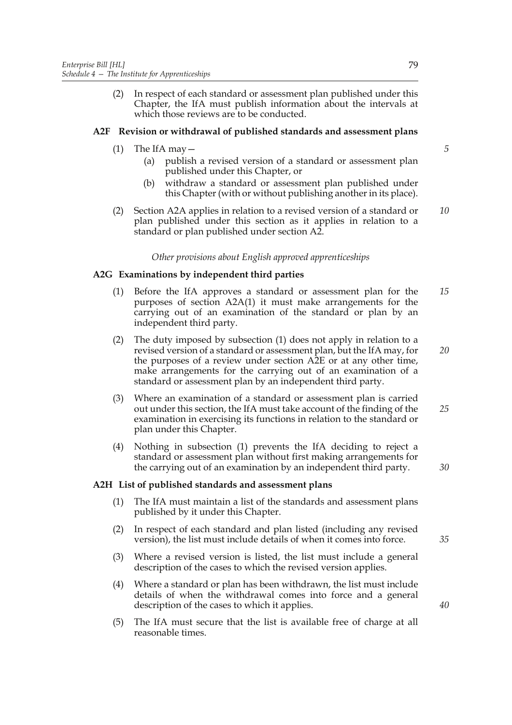(2) In respect of each standard or assessment plan published under this Chapter, the IfA must publish information about the intervals at which those reviews are to be conducted.

# **A2F Revision or withdrawal of published standards and assessment plans**

- $(1)$  The IfA may  $-$ 
	- (a) publish a revised version of a standard or assessment plan published under this Chapter, or
	- (b) withdraw a standard or assessment plan published under this Chapter (with or without publishing another in its place).
- (2) Section A2A applies in relation to a revised version of a standard or plan published under this section as it applies in relation to a standard or plan published under section A2.

# *Other provisions about English approved apprenticeships*

# **A2G Examinations by independent third parties**

- (1) Before the IfA approves a standard or assessment plan for the purposes of section A2A(1) it must make arrangements for the carrying out of an examination of the standard or plan by an independent third party. *15*
- (2) The duty imposed by subsection (1) does not apply in relation to a revised version of a standard or assessment plan, but the IfA may, for the purposes of a review under section A2E or at any other time, make arrangements for the carrying out of an examination of a standard or assessment plan by an independent third party. *20*
- (3) Where an examination of a standard or assessment plan is carried out under this section, the IfA must take account of the finding of the examination in exercising its functions in relation to the standard or plan under this Chapter. *25*
- (4) Nothing in subsection (1) prevents the IfA deciding to reject a standard or assessment plan without first making arrangements for the carrying out of an examination by an independent third party.

#### **A2H List of published standards and assessment plans**

- (1) The IfA must maintain a list of the standards and assessment plans published by it under this Chapter.
- (2) In respect of each standard and plan listed (including any revised version), the list must include details of when it comes into force.
- (3) Where a revised version is listed, the list must include a general description of the cases to which the revised version applies.
- (4) Where a standard or plan has been withdrawn, the list must include details of when the withdrawal comes into force and a general description of the cases to which it applies.
- (5) The IfA must secure that the list is available free of charge at all reasonable times.

79

*5*

*10*

*30*

*35*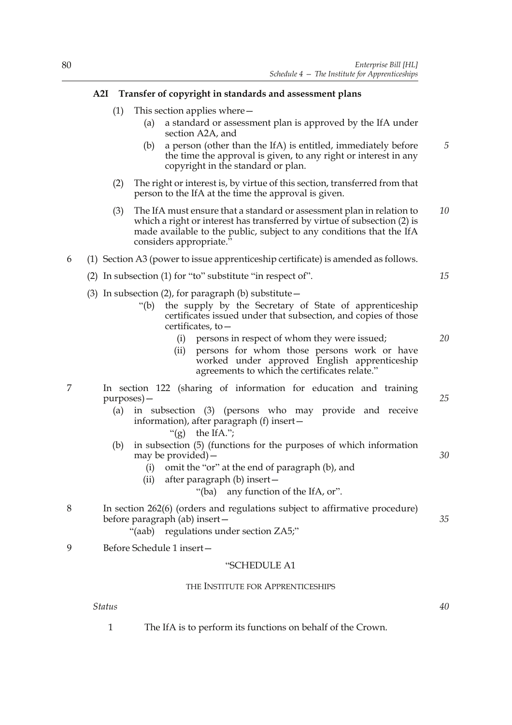# **A2I Transfer of copyright in standards and assessment plans**

- (1) This section applies where—
	- (a) a standard or assessment plan is approved by the IfA under section A2A, and
	- (b) a person (other than the IfA) is entitled, immediately before the time the approval is given, to any right or interest in any copyright in the standard or plan. *5*
- (2) The right or interest is, by virtue of this section, transferred from that person to the IfA at the time the approval is given.
- (3) The IfA must ensure that a standard or assessment plan in relation to which a right or interest has transferred by virtue of subsection (2) is made available to the public, subject to any conditions that the IfA considers appropriate." *10*
- 6 (1) Section A3 (power to issue apprenticeship certificate) is amended as follows.
	- (2) In subsection (1) for "to" substitute "in respect of".
	- (3) In subsection (2), for paragraph (b) substitute  $-$ 
		- "(b) the supply by the Secretary of State of apprenticeship certificates issued under that subsection, and copies of those certificates, to—
			- (i) persons in respect of whom they were issued;
			- (ii) persons for whom those persons work or have worked under approved English apprenticeship agreements to which the certificates relate."
- 7 In section 122 (sharing of information for education and training purposes)—
	- (a) in subsection (3) (persons who may provide and receive information), after paragraph (f) insert—
		- " $(g)$  the IfA.":
	- (b) in subsection (5) (functions for the purposes of which information may be provided)—
		- (i) omit the "or" at the end of paragraph (b), and
		- (ii) after paragraph (b) insert—
			- "(ba) any function of the IfA, or".
- 8 In section 262(6) (orders and regulations subject to affirmative procedure) before paragraph (ab) insert—
	- "(aab) regulations under section ZA5;"
- 9 Before Schedule 1 insert—

# "SCHEDULE A1

#### THE INSTITUTE FOR APPRENTICESHIPS

*Status*

1 The IfA is to perform its functions on behalf of the Crown.

*25*

*20*

*15*

*30*

*35*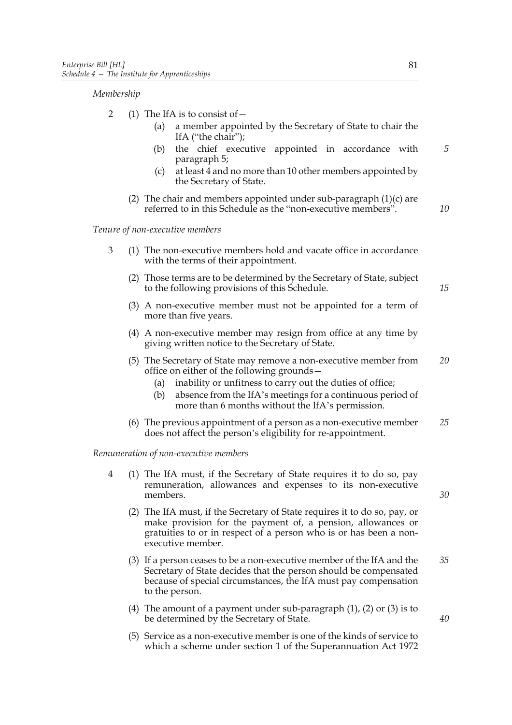#### *Membership*

- 2 (1) The IfA is to consist of  $-$ 
	- (a) a member appointed by the Secretary of State to chair the IfA ("the chair");
	- (b) the chief executive appointed in accordance with paragraph 5;
	- (c) at least 4 and no more than 10 other members appointed by the Secretary of State.
	- (2) The chair and members appointed under sub-paragraph  $(1)(c)$  are referred to in this Schedule as the "non-executive members".

*Tenure of non-executive members*

- 3 (1) The non-executive members hold and vacate office in accordance with the terms of their appointment.
	- (2) Those terms are to be determined by the Secretary of State, subject to the following provisions of this Schedule.
	- (3) A non-executive member must not be appointed for a term of more than five years.
	- (4) A non-executive member may resign from office at any time by giving written notice to the Secretary of State.
	- (5) The Secretary of State may remove a non-executive member from office on either of the following grounds— *20*
		- (a) inability or unfitness to carry out the duties of office;
		- (b) absence from the IfA's meetings for a continuous period of more than 6 months without the IfA's permission.
	- (6) The previous appointment of a person as a non-executive member does not affect the person's eligibility for re-appointment. *25*

#### *Remuneration of non-executive members*

- 4 (1) The IfA must, if the Secretary of State requires it to do so, pay remuneration, allowances and expenses to its non-executive members.
	- (2) The IfA must, if the Secretary of State requires it to do so, pay, or make provision for the payment of, a pension, allowances or gratuities to or in respect of a person who is or has been a nonexecutive member.
	- (3) If a person ceases to be a non-executive member of the IfA and the Secretary of State decides that the person should be compensated because of special circumstances, the IfA must pay compensation to the person. *35*
	- (4) The amount of a payment under sub-paragraph (1), (2) or (3) is to be determined by the Secretary of State.
	- (5) Service as a non-executive member is one of the kinds of service to which a scheme under section 1 of the Superannuation Act 1972

*5*

*10*

*15*

*30*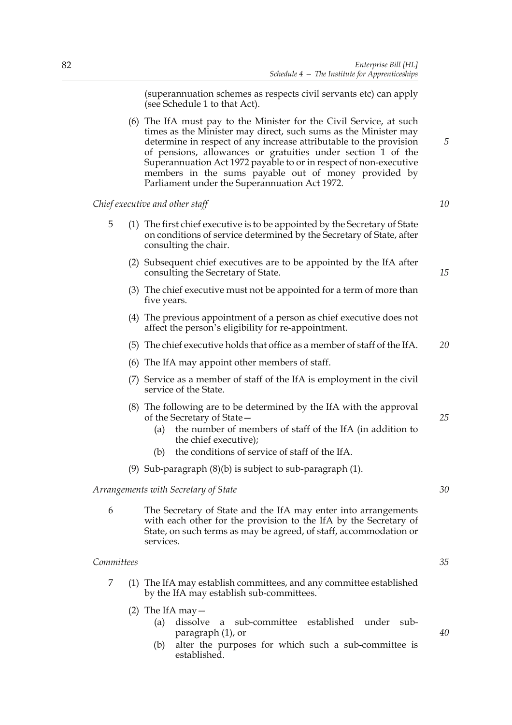(superannuation schemes as respects civil servants etc) can apply (see Schedule 1 to that Act).

(6) The IfA must pay to the Minister for the Civil Service, at such times as the Minister may direct, such sums as the Minister may determine in respect of any increase attributable to the provision of pensions, allowances or gratuities under section 1 of the Superannuation Act 1972 payable to or in respect of non-executive members in the sums payable out of money provided by Parliament under the Superannuation Act 1972.

*Chief executive and other staff*

- 5 (1) The first chief executive is to be appointed by the Secretary of State on conditions of service determined by the Secretary of State, after consulting the chair.
	- (2) Subsequent chief executives are to be appointed by the IfA after consulting the Secretary of State.
	- (3) The chief executive must not be appointed for a term of more than five years.
	- (4) The previous appointment of a person as chief executive does not affect the person's eligibility for re-appointment.
	- (5) The chief executive holds that office as a member of staff of the IfA. *20*
	- (6) The IfA may appoint other members of staff.
	- (7) Service as a member of staff of the IfA is employment in the civil service of the State.
	- (8) The following are to be determined by the IfA with the approval of the Secretary of State—
		- (a) the number of members of staff of the IfA (in addition to the chief executive);
		- (b) the conditions of service of staff of the IfA.
	- (9) Sub-paragraph (8)(b) is subject to sub-paragraph (1).

# *Arrangements with Secretary of State*

6 The Secretary of State and the IfA may enter into arrangements with each other for the provision to the IfA by the Secretary of State, on such terms as may be agreed, of staff, accommodation or services.

#### *Committees*

- 7 (1) The IfA may establish committees, and any committee established by the IfA may establish sub-committees.
	- (2) The IfA may  $-$ 
		- (a) dissolve a sub-committee established under subparagraph (1), or
		- (b) alter the purposes for which such a sub-committee is established.

*35*

*5*

*10*

*15*

*25*

*30*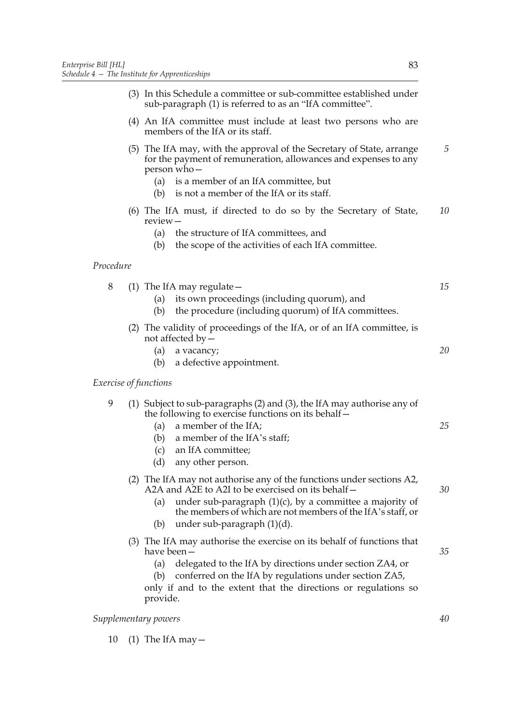- (4) An IfA committee must include at least two persons who are members of the IfA or its staff.
- (5) The IfA may, with the approval of the Secretary of State, arrange for the payment of remuneration, allowances and expenses to any person who— *5*
	- (a) is a member of an IfA committee, but
	- (b) is not a member of the IfA or its staff.
- (6) The IfA must, if directed to do so by the Secretary of State, review— *10*
	- (a) the structure of IfA committees, and
	- (b) the scope of the activities of each IfA committee.

# *Procedure*

- 8 (1) The IfA may regulate—
	- (a) its own proceedings (including quorum), and
	- (b) the procedure (including quorum) of IfA committees.
	- (2) The validity of proceedings of the IfA, or of an IfA committee, is not affected by—
		- (a) a vacancy; (b) a defective appointment.
	-

# *Exercise of functions*

|  | (1) Subject to sub-paragraphs (2) and (3), the If A may authorise any of |
|--|--------------------------------------------------------------------------|
|  | the following to exercise functions on its behalf –                      |

- (a) a member of the IfA;
- (b) a member of the IfA's staff;
- (c) an IfA committee;
- (d) any other person.
- (2) The IfA may not authorise any of the functions under sections A2, A2A and A2E to A2I to be exercised on its behalf—
	- (a) under sub-paragraph  $(1)(c)$ , by a committee a majority of the members of which are not members of the IfA's staff, or
	- (b) under sub-paragraph (1)(d).
- (3) The IfA may authorise the exercise on its behalf of functions that have been—
	- (a) delegated to the IfA by directions under section ZA4, or
	- (b) conferred on the IfA by regulations under section ZA5,

only if and to the extent that the directions or regulations so provide.

## *Supplementary powers*

10 (1) The IfA may  $-$ 

*15*

*20*

*25*

*30*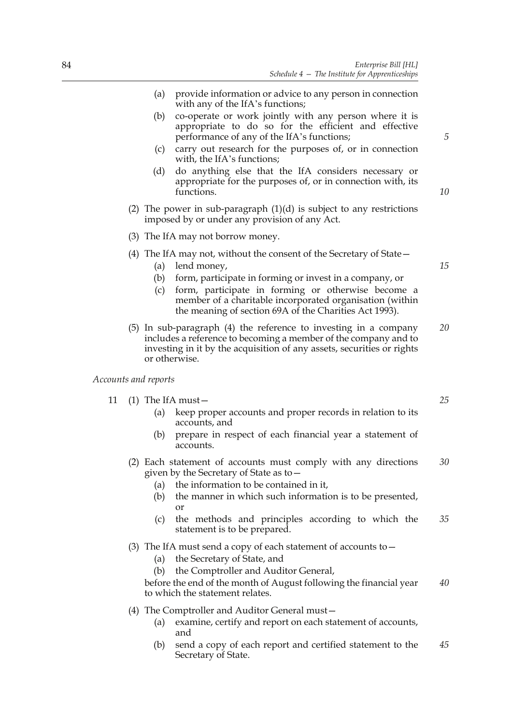- (a) provide information or advice to any person in connection with any of the IfA's functions;
- (b) co-operate or work jointly with any person where it is appropriate to do so for the efficient and effective performance of any of the IfA's functions;
- (c) carry out research for the purposes of, or in connection with, the IfA's functions;
- (d) do anything else that the IfA considers necessary or appropriate for the purposes of, or in connection with, its functions.
- (2) The power in sub-paragraph  $(1)(d)$  is subject to any restrictions imposed by or under any provision of any Act.
- (3) The IfA may not borrow money.
- (4) The IfA may not, without the consent of the Secretary of State—
	- (a) lend money,
	- (b) form, participate in forming or invest in a company, or
	- (c) form, participate in forming or otherwise become a member of a charitable incorporated organisation (within the meaning of section 69A of the Charities Act 1993).
- (5) In sub-paragraph (4) the reference to investing in a company includes a reference to becoming a member of the company and to investing in it by the acquisition of any assets, securities or rights or otherwise. *20*

*Accounts and reports*

- 11 (1) The IfA must—
	- (a) keep proper accounts and proper records in relation to its accounts, and
	- (b) prepare in respect of each financial year a statement of accounts.
	- (2) Each statement of accounts must comply with any directions given by the Secretary of State as to— *30*
		- (a) the information to be contained in it,
		- (b) the manner in which such information is to be presented, or
		- (c) the methods and principles according to which the statement is to be prepared. *35*
	- (3) The IfA must send a copy of each statement of accounts to—
		- (a) the Secretary of State, and
		- (b) the Comptroller and Auditor General,

before the end of the month of August following the financial year to which the statement relates. *40*

- (4) The Comptroller and Auditor General must—
	- (a) examine, certify and report on each statement of accounts, and
	- (b) send a copy of each report and certified statement to the Secretary of State. *45*

*15*

*5*

*10*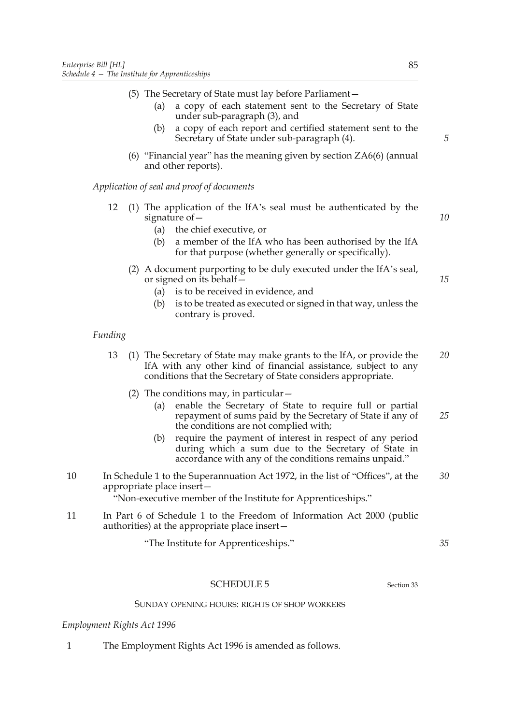- (5) The Secretary of State must lay before Parliament—
	- (a) a copy of each statement sent to the Secretary of State under sub-paragraph (3), and
	- (b) a copy of each report and certified statement sent to the Secretary of State under sub-paragraph (4).
- (6) "Financial year" has the meaning given by section ZA6(6) (annual and other reports).

*Application of seal and proof of documents*

- 12 (1) The application of the IfA's seal must be authenticated by the signature of—
	- (a) the chief executive, or
	- (b) a member of the IfA who has been authorised by the IfA for that purpose (whether generally or specifically).
	- (2) A document purporting to be duly executed under the IfA's seal, or signed on its behalf—
		- (a) is to be received in evidence, and
		- (b) is to be treated as executed or signed in that way, unless the contrary is proved.

# *Funding*

- 13 (1) The Secretary of State may make grants to the IfA, or provide the IfA with any other kind of financial assistance, subject to any conditions that the Secretary of State considers appropriate. *20*
	- (2) The conditions may, in particular—
		- (a) enable the Secretary of State to require full or partial repayment of sums paid by the Secretary of State if any of the conditions are not complied with; *25*
		- (b) require the payment of interest in respect of any period during which a sum due to the Secretary of State in accordance with any of the conditions remains unpaid."
- 10 In Schedule 1 to the Superannuation Act 1972, in the list of "Offices", at the appropriate place insert— *30*

"Non-executive member of the Institute for Apprenticeships."

11 In Part 6 of Schedule 1 to the Freedom of Information Act 2000 (public authorities) at the appropriate place insert—

"The Institute for Apprenticeships."

# SCHEDULE 5 Section 33

*35*

#### SUNDAY OPENING HOURS: RIGHTS OF SHOP WORKERS

*Employment Rights Act 1996*

1 The Employment Rights Act 1996 is amended as follows.

*5*

*10*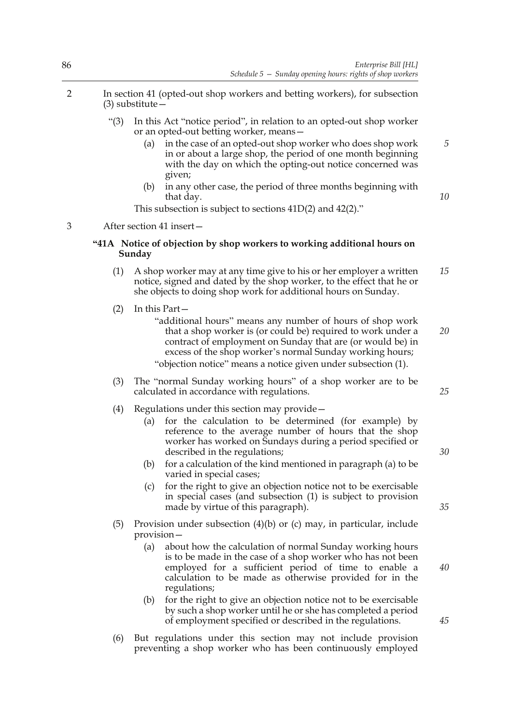- 2 In section 41 (opted-out shop workers and betting workers), for subsection (3) substitute—
	- "(3) In this Act "notice period", in relation to an opted-out shop worker or an opted-out betting worker, means—
		- (a) in the case of an opted-out shop worker who does shop work in or about a large shop, the period of one month beginning with the day on which the opting-out notice concerned was given; *5*
		- (b) in any other case, the period of three months beginning with that day.
		- This subsection is subject to sections 41D(2) and 42(2)."

3 After section 41 insert—

# **"41A Notice of objection by shop workers to working additional hours on Sunday**

- (1) A shop worker may at any time give to his or her employer a written notice, signed and dated by the shop worker, to the effect that he or she objects to doing shop work for additional hours on Sunday. *15*
- (2) In this Part—
	- "additional hours" means any number of hours of shop work that a shop worker is (or could be) required to work under a contract of employment on Sunday that are (or would be) in excess of the shop worker's normal Sunday working hours;

"objection notice" means a notice given under subsection (1).

- (3) The "normal Sunday working hours" of a shop worker are to be calculated in accordance with regulations.
- (4) Regulations under this section may provide—
	- (a) for the calculation to be determined (for example) by reference to the average number of hours that the shop worker has worked on Sundays during a period specified or described in the regulations;
	- (b) for a calculation of the kind mentioned in paragraph (a) to be varied in special cases;
	- (c) for the right to give an objection notice not to be exercisable in special cases (and subsection (1) is subject to provision made by virtue of this paragraph).
- (5) Provision under subsection (4)(b) or (c) may, in particular, include provision—
	- (a) about how the calculation of normal Sunday working hours is to be made in the case of a shop worker who has not been employed for a sufficient period of time to enable a calculation to be made as otherwise provided for in the regulations;
	- (b) for the right to give an objection notice not to be exercisable by such a shop worker until he or she has completed a period of employment specified or described in the regulations.
- (6) But regulations under this section may not include provision preventing a shop worker who has been continuously employed

86

*35*

*30*

*10*

*20*

*25*

*40*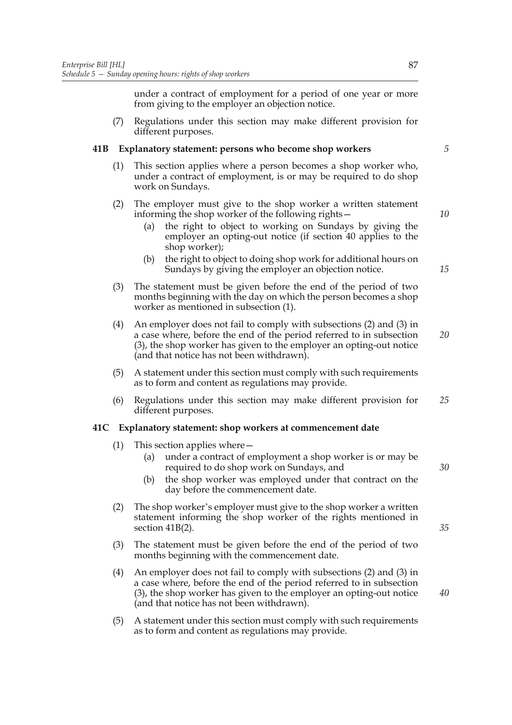under a contract of employment for a period of one year or more from giving to the employer an objection notice.

(7) Regulations under this section may make different provision for different purposes.

# **41B Explanatory statement: persons who become shop workers**

- (1) This section applies where a person becomes a shop worker who, under a contract of employment, is or may be required to do shop work on Sundays.
- (2) The employer must give to the shop worker a written statement informing the shop worker of the following rights—
	- (a) the right to object to working on Sundays by giving the employer an opting-out notice (if section 40 applies to the shop worker);
	- (b) the right to object to doing shop work for additional hours on Sundays by giving the employer an objection notice.
- (3) The statement must be given before the end of the period of two months beginning with the day on which the person becomes a shop worker as mentioned in subsection (1).
- (4) An employer does not fail to comply with subsections (2) and (3) in a case where, before the end of the period referred to in subsection (3), the shop worker has given to the employer an opting-out notice (and that notice has not been withdrawn). *20*
- (5) A statement under this section must comply with such requirements as to form and content as regulations may provide.
- (6) Regulations under this section may make different provision for different purposes. *25*

# **41C Explanatory statement: shop workers at commencement date**

- (1) This section applies where—
	- (a) under a contract of employment a shop worker is or may be required to do shop work on Sundays, and
	- (b) the shop worker was employed under that contract on the day before the commencement date.
- (2) The shop worker's employer must give to the shop worker a written statement informing the shop worker of the rights mentioned in section 41B(2).
- (3) The statement must be given before the end of the period of two months beginning with the commencement date.
- (4) An employer does not fail to comply with subsections (2) and (3) in a case where, before the end of the period referred to in subsection (3), the shop worker has given to the employer an opting-out notice (and that notice has not been withdrawn).
- (5) A statement under this section must comply with such requirements as to form and content as regulations may provide.

*5*

*10*

*15*

*40*

*35*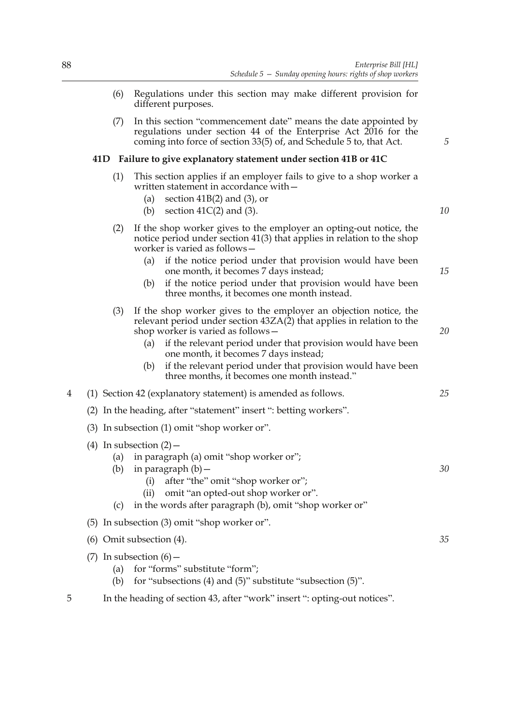- (6) Regulations under this section may make different provision for different purposes.
- (7) In this section "commencement date" means the date appointed by regulations under section 44 of the Enterprise Act 2016 for the coming into force of section 33(5) of, and Schedule 5 to, that Act.

## **41D Failure to give explanatory statement under section 41B or 41C**

- (1) This section applies if an employer fails to give to a shop worker a written statement in accordance with—
	- (a) section  $41B(2)$  and  $(3)$ , or
	- (b) section  $41C(2)$  and (3).
- (2) If the shop worker gives to the employer an opting-out notice, the notice period under section 41(3) that applies in relation to the shop worker is varied as follows—
	- (a) if the notice period under that provision would have been one month, it becomes 7 days instead;
	- (b) if the notice period under that provision would have been three months, it becomes one month instead.
- (3) If the shop worker gives to the employer an objection notice, the relevant period under section 43ZA(2) that applies in relation to the shop worker is varied as follows—
	- (a) if the relevant period under that provision would have been one month, it becomes 7 days instead;
	- (b) if the relevant period under that provision would have been three months, it becomes one month instead."
- 4 (1) Section 42 (explanatory statement) is amended as follows.
	- (2) In the heading, after "statement" insert ": betting workers".
	- (3) In subsection (1) omit "shop worker or".
	- (4) In subsection  $(2)$ 
		- (a) in paragraph (a) omit "shop worker or";
		- (b) in paragraph  $(b)$  -
			- (i) after "the" omit "shop worker or";
			- (ii) omit "an opted-out shop worker or".
		- (c) in the words after paragraph (b), omit "shop worker or"
	- (5) In subsection (3) omit "shop worker or".
	- (6) Omit subsection (4).
	- (7) In subsection  $(6)$  -
		- (a) for "forms" substitute "form";
		- (b) for "subsections (4) and (5)" substitute "subsection (5)".
- 5 In the heading of section 43, after "work" insert ": opting-out notices".

*35*

*30*

*5*

*10*

*15*

*20*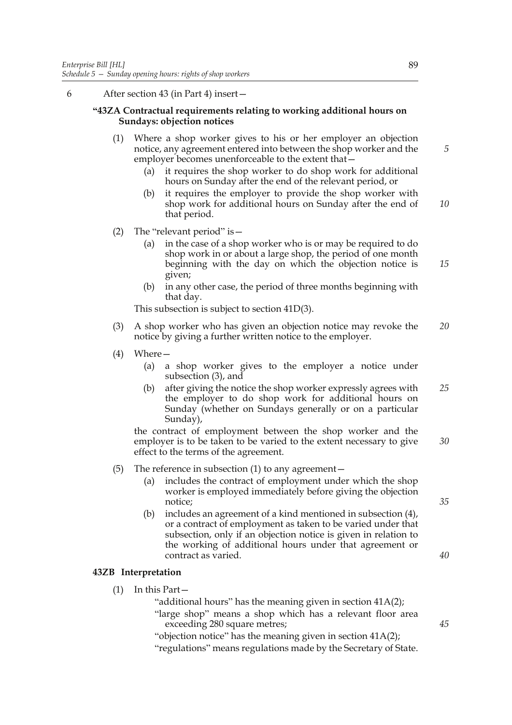# 6 After section 43 (in Part 4) insert—

# **"43ZA Contractual requirements relating to working additional hours on Sundays: objection notices**

- (1) Where a shop worker gives to his or her employer an objection notice, any agreement entered into between the shop worker and the employer becomes unenforceable to the extent that—
	- (a) it requires the shop worker to do shop work for additional hours on Sunday after the end of the relevant period, or
	- (b) it requires the employer to provide the shop worker with shop work for additional hours on Sunday after the end of that period. *10*
- (2) The "relevant period" is  $-$ 
	- (a) in the case of a shop worker who is or may be required to do shop work in or about a large shop, the period of one month beginning with the day on which the objection notice is given; *15*
	- (b) in any other case, the period of three months beginning with that day.

This subsection is subject to section 41D(3).

- (3) A shop worker who has given an objection notice may revoke the notice by giving a further written notice to the employer. *20*
- (4) Where—
	- (a) a shop worker gives to the employer a notice under subsection (3), and
	- (b) after giving the notice the shop worker expressly agrees with the employer to do shop work for additional hours on Sunday (whether on Sundays generally or on a particular Sunday), *25*

the contract of employment between the shop worker and the employer is to be taken to be varied to the extent necessary to give effect to the terms of the agreement. *30*

- (5) The reference in subsection  $(1)$  to any agreement  $-$ 
	- (a) includes the contract of employment under which the shop worker is employed immediately before giving the objection notice;
	- (b) includes an agreement of a kind mentioned in subsection (4), or a contract of employment as taken to be varied under that subsection, only if an objection notice is given in relation to the working of additional hours under that agreement or contract as varied.

#### **43ZB Interpretation**

- (1) In this Part—
	- "additional hours" has the meaning given in section 41A(2);
	- "large shop" means a shop which has a relevant floor area exceeding 280 square metres;
	- "objection notice" has the meaning given in section 41A(2);

"regulations" means regulations made by the Secretary of State.

*5*

*40*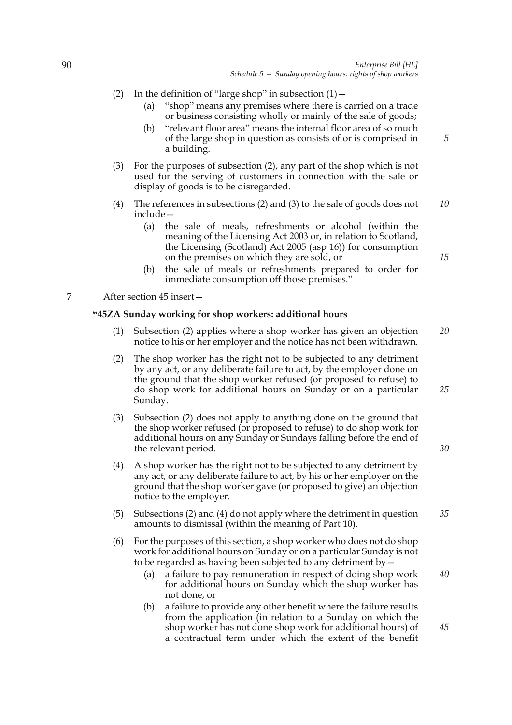- (2) In the definition of "large shop" in subsection  $(1)$  -
	- (a) "shop" means any premises where there is carried on a trade or business consisting wholly or mainly of the sale of goods;
	- (b) "relevant floor area" means the internal floor area of so much of the large shop in question as consists of or is comprised in a building.
- (3) For the purposes of subsection (2), any part of the shop which is not used for the serving of customers in connection with the sale or display of goods is to be disregarded.
- (4) The references in subsections (2) and (3) to the sale of goods does not include— *10*
	- (a) the sale of meals, refreshments or alcohol (within the meaning of the Licensing Act 2003 or, in relation to Scotland, the Licensing (Scotland) Act 2005 (asp 16)) for consumption on the premises on which they are sold, or
	- (b) the sale of meals or refreshments prepared to order for immediate consumption off those premises."

7 After section 45 insert—

#### **"45ZA Sunday working for shop workers: additional hours**

- (1) Subsection (2) applies where a shop worker has given an objection notice to his or her employer and the notice has not been withdrawn. *20*
- (2) The shop worker has the right not to be subjected to any detriment by any act, or any deliberate failure to act, by the employer done on the ground that the shop worker refused (or proposed to refuse) to do shop work for additional hours on Sunday or on a particular Sunday.
- (3) Subsection (2) does not apply to anything done on the ground that the shop worker refused (or proposed to refuse) to do shop work for additional hours on any Sunday or Sundays falling before the end of the relevant period.
- (4) A shop worker has the right not to be subjected to any detriment by any act, or any deliberate failure to act, by his or her employer on the ground that the shop worker gave (or proposed to give) an objection notice to the employer.
- (5) Subsections (2) and (4) do not apply where the detriment in question amounts to dismissal (within the meaning of Part 10). *35*
- (6) For the purposes of this section, a shop worker who does not do shop work for additional hours on Sunday or on a particular Sunday is not to be regarded as having been subjected to any detriment by  $\stackrel{\sim}{-}$ 
	- (a) a failure to pay remuneration in respect of doing shop work for additional hours on Sunday which the shop worker has not done, or
	- (b) a failure to provide any other benefit where the failure results from the application (in relation to a Sunday on which the shop worker has not done shop work for additional hours) of a contractual term under which the extent of the benefit

*15*

*5*

*30*

*40*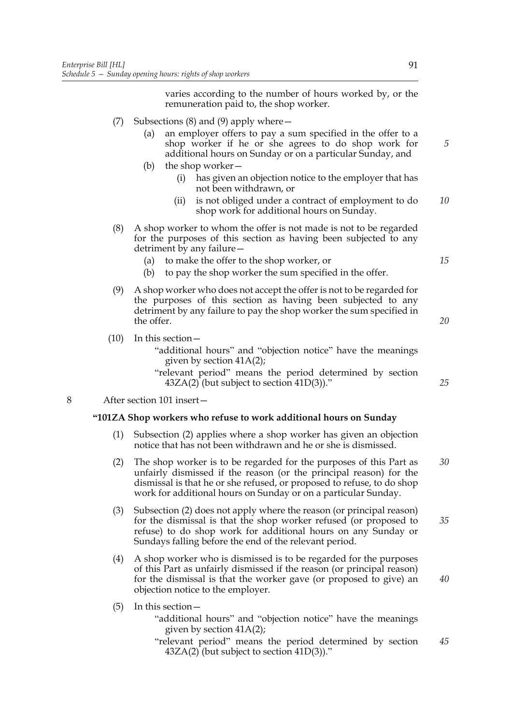varies according to the number of hours worked by, or the remuneration paid to, the shop worker.

- (7) Subsections (8) and (9) apply where—
	- (a) an employer offers to pay a sum specified in the offer to a shop worker if he or she agrees to do shop work for additional hours on Sunday or on a particular Sunday, and
	- (b) the shop worker—
		- (i) has given an objection notice to the employer that has not been withdrawn, or
		- (ii) is not obliged under a contract of employment to do shop work for additional hours on Sunday. *10*
- (8) A shop worker to whom the offer is not made is not to be regarded for the purposes of this section as having been subjected to any detriment by any failure—
	- (a) to make the offer to the shop worker, or
	- (b) to pay the shop worker the sum specified in the offer.
- (9) A shop worker who does not accept the offer is not to be regarded for the purposes of this section as having been subjected to any detriment by any failure to pay the shop worker the sum specified in the offer.

(10) In this section—

"additional hours" and "objection notice" have the meanings given by section 41A(2);

"relevant period" means the period determined by section  $43ZA(2)$  (but subject to section  $41D(3)$ )."

8 After section 101 insert—

#### **"101ZA Shop workers who refuse to work additional hours on Sunday**

- (1) Subsection (2) applies where a shop worker has given an objection notice that has not been withdrawn and he or she is dismissed.
- (2) The shop worker is to be regarded for the purposes of this Part as unfairly dismissed if the reason (or the principal reason) for the dismissal is that he or she refused, or proposed to refuse, to do shop work for additional hours on Sunday or on a particular Sunday. *30*
- (3) Subsection (2) does not apply where the reason (or principal reason) for the dismissal is that the shop worker refused (or proposed to refuse) to do shop work for additional hours on any Sunday or Sundays falling before the end of the relevant period. *35*
- (4) A shop worker who is dismissed is to be regarded for the purposes of this Part as unfairly dismissed if the reason (or principal reason) for the dismissal is that the worker gave (or proposed to give) an objection notice to the employer.
- (5) In this section—
	- "additional hours" and "objection notice" have the meanings given by section 41A(2);
	- "relevant period" means the period determined by section 43ZA(2) (but subject to section 41D(3))." *45*

*5*

*15*

*20*

*25*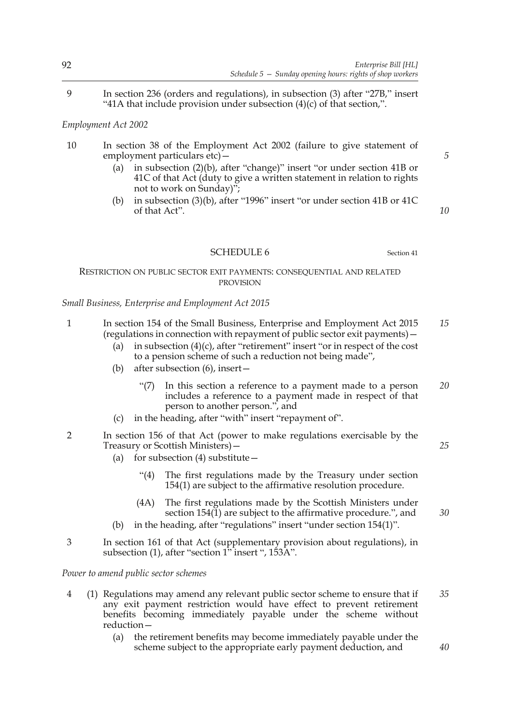9 In section 236 (orders and regulations), in subsection (3) after "27B," insert "41A that include provision under subsection (4)(c) of that section,".

# *Employment Act 2002*

- 10 In section 38 of the Employment Act 2002 (failure to give statement of employment particulars etc) -
	- (a) in subsection (2)(b), after "change)" insert "or under section 41B or 41C of that Act (duty to give a written statement in relation to rights not to work on Sunday)";
	- (b) in subsection (3)(b), after "1996" insert "or under section 41B or 41C of that Act".

# SCHEDULE 6 Section 41

## RESTRICTION ON PUBLIC SECTOR EXIT PAYMENTS: CONSEQUENTIAL AND RELATED PROVISION

## *Small Business, Enterprise and Employment Act 2015*

- 1 In section 154 of the Small Business, Enterprise and Employment Act 2015 (regulations in connection with repayment of public sector exit payments)— *15*
	- (a) in subsection  $(4)(c)$ , after "retirement" insert "or in respect of the cost to a pension scheme of such a reduction not being made",
	- (b) after subsection (6), insert—
		- "(7) In this section a reference to a payment made to a person includes a reference to a payment made in respect of that person to another person.", and *20*
	- (c) in the heading, after "with" insert "repayment of".
- 2 In section 156 of that Act (power to make regulations exercisable by the Treasury or Scottish Ministers)—
	- (a) for subsection  $(4)$  substitute  $-$ 
		- "(4) The first regulations made by the Treasury under section 154(1) are subject to the affirmative resolution procedure.
		- (4A) The first regulations made by the Scottish Ministers under section 154(1) are subject to the affirmative procedure.", and
	- (b) in the heading, after "regulations" insert "under section 154(1)".
- 3 In section 161 of that Act (supplementary provision about regulations), in subsection (1), after "section 1" insert ", 153A".

## *Power to amend public sector schemes*

- 4 (1) Regulations may amend any relevant public sector scheme to ensure that if any exit payment restriction would have effect to prevent retirement benefits becoming immediately payable under the scheme without reduction— *35*
	- (a) the retirement benefits may become immediately payable under the scheme subject to the appropriate early payment deduction, and

*5*

*10*

*25*

*30*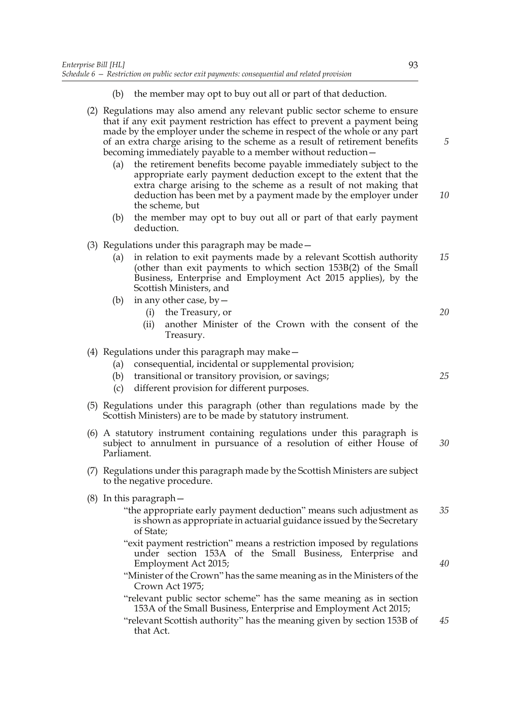- (b) the member may opt to buy out all or part of that deduction.
- (2) Regulations may also amend any relevant public sector scheme to ensure that if any exit payment restriction has effect to prevent a payment being made by the employer under the scheme in respect of the whole or any part of an extra charge arising to the scheme as a result of retirement benefits becoming immediately payable to a member without reduction—
	- (a) the retirement benefits become payable immediately subject to the appropriate early payment deduction except to the extent that the extra charge arising to the scheme as a result of not making that deduction has been met by a payment made by the employer under the scheme, but
	- (b) the member may opt to buy out all or part of that early payment deduction.
- (3) Regulations under this paragraph may be made—
	- (a) in relation to exit payments made by a relevant Scottish authority (other than exit payments to which section 153B(2) of the Small Business, Enterprise and Employment Act 2015 applies), by the Scottish Ministers, and *15*
	- (b) in any other case, by  $-$ 
		- (i) the Treasury, or
		- (ii) another Minister of the Crown with the consent of the Treasury.
- (4) Regulations under this paragraph may make—
	- (a) consequential, incidental or supplemental provision;
	- (b) transitional or transitory provision, or savings;
	- (c) different provision for different purposes.
- (5) Regulations under this paragraph (other than regulations made by the Scottish Ministers) are to be made by statutory instrument.
- (6) A statutory instrument containing regulations under this paragraph is subject to annulment in pursuance of a resolution of either House of Parliament. *30*
- (7) Regulations under this paragraph made by the Scottish Ministers are subject to the negative procedure.
- (8) In this paragraph—
	- "the appropriate early payment deduction" means such adjustment as is shown as appropriate in actuarial guidance issued by the Secretary of State; *35*
	- "exit payment restriction" means a restriction imposed by regulations under section 153A of the Small Business, Enterprise and Employment Act 2015;
	- "Minister of the Crown" has the same meaning as in the Ministers of the Crown Act 1975;
	- "relevant public sector scheme" has the same meaning as in section 153A of the Small Business, Enterprise and Employment Act 2015;
	- "relevant Scottish authority" has the meaning given by section 153B of that Act. *45*

*5*

*10*

*20*

*25*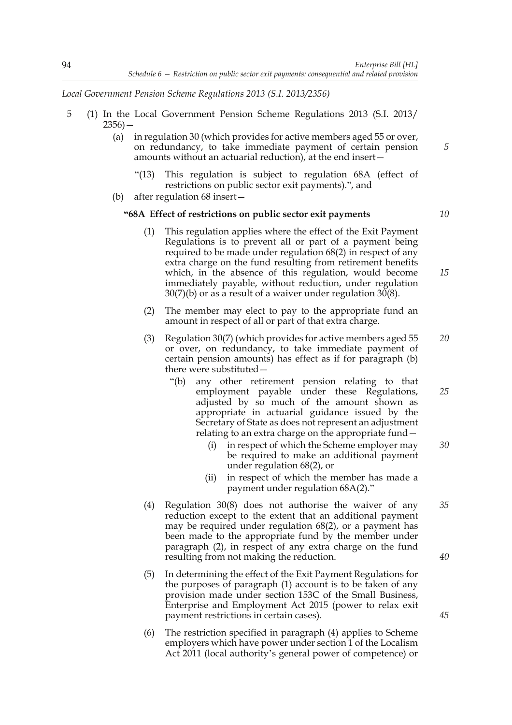*Local Government Pension Scheme Regulations 2013 (S.I. 2013/2356)*

- 5 (1) In the Local Government Pension Scheme Regulations 2013 (S.I. 2013/  $2356$ ) —
	- (a) in regulation 30 (which provides for active members aged 55 or over, on redundancy, to take immediate payment of certain pension amounts without an actuarial reduction), at the end insert—
		- "(13) This regulation is subject to regulation 68A (effect of restrictions on public sector exit payments).", and
	- (b) after regulation 68 insert—

#### **"68A Effect of restrictions on public sector exit payments**

- (1) This regulation applies where the effect of the Exit Payment Regulations is to prevent all or part of a payment being required to be made under regulation 68(2) in respect of any extra charge on the fund resulting from retirement benefits which, in the absence of this regulation, would become immediately payable, without reduction, under regulation 30(7)(b) or as a result of a waiver under regulation 30(8).
- (2) The member may elect to pay to the appropriate fund an amount in respect of all or part of that extra charge.
- (3) Regulation 30(7) (which provides for active members aged 55 or over, on redundancy, to take immediate payment of certain pension amounts) has effect as if for paragraph (b) there were substituted— *20*
	- "(b) any other retirement pension relating to that employment payable under these Regulations, adjusted by so much of the amount shown as appropriate in actuarial guidance issued by the Secretary of State as does not represent an adjustment relating to an extra charge on the appropriate fund— *25*
		- (i) in respect of which the Scheme employer may be required to make an additional payment under regulation 68(2), or *30*
		- (ii) in respect of which the member has made a payment under regulation 68A(2)."
- (4) Regulation 30(8) does not authorise the waiver of any reduction except to the extent that an additional payment may be required under regulation 68(2), or a payment has been made to the appropriate fund by the member under paragraph (2), in respect of any extra charge on the fund resulting from not making the reduction. *35*
- (5) In determining the effect of the Exit Payment Regulations for the purposes of paragraph (1) account is to be taken of any provision made under section 153C of the Small Business, Enterprise and Employment Act 2015 (power to relax exit payment restrictions in certain cases).
- (6) The restriction specified in paragraph (4) applies to Scheme employers which have power under section 1 of the Localism Act 2011 (local authority's general power of competence) or

*5*

*10*

*15*

*40*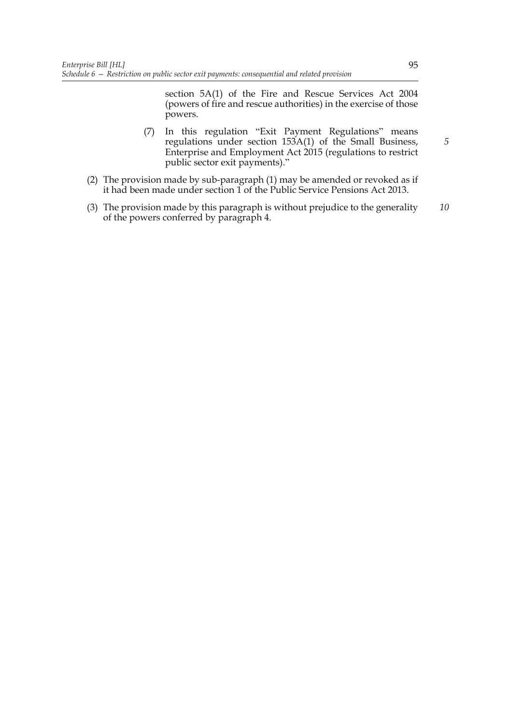section 5A(1) of the Fire and Rescue Services Act 2004 (powers of fire and rescue authorities) in the exercise of those powers.

- (7) In this regulation "Exit Payment Regulations" means regulations under section 153A(1) of the Small Business, Enterprise and Employment Act 2015 (regulations to restrict public sector exit payments)."
- (2) The provision made by sub-paragraph (1) may be amended or revoked as if it had been made under section 1 of the Public Service Pensions Act 2013.
- (3) The provision made by this paragraph is without prejudice to the generality of the powers conferred by paragraph 4. *10*